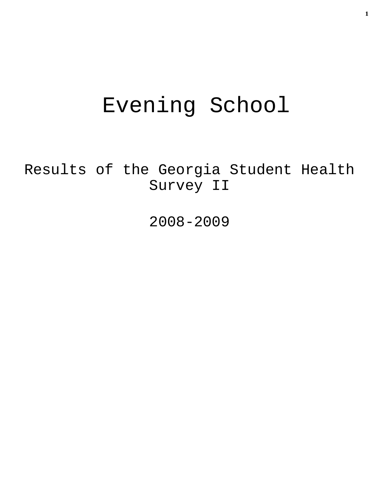# Evening School

Results of the Georgia Student Health Survey II

2008-2009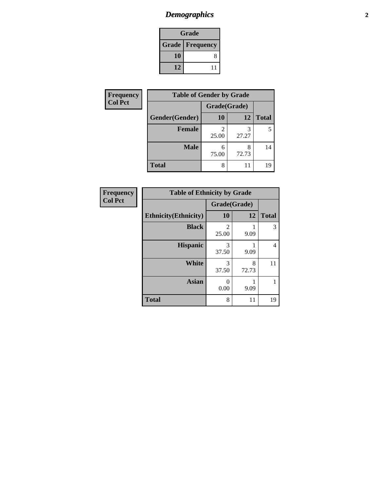# *Demographics* **2**

| Grade                    |    |  |  |
|--------------------------|----|--|--|
| <b>Grade   Frequency</b> |    |  |  |
| 10                       | 8  |  |  |
| 12                       | 11 |  |  |

| Frequency      | <b>Table of Gender by Grade</b> |              |            |              |  |
|----------------|---------------------------------|--------------|------------|--------------|--|
| <b>Col Pct</b> |                                 | Grade(Grade) |            |              |  |
|                | Gender(Gender)                  | 10           | 12         | <b>Total</b> |  |
|                | <b>Female</b>                   | 25.00        | 27.27      | 5            |  |
|                | <b>Male</b>                     | 6<br>75.00   | 8<br>72.73 | 14           |  |
|                | <b>Total</b>                    | 8            | 11         | 19           |  |

| <b>Frequency</b> |
|------------------|
| <b>Col Pct</b>   |

| <b>Table of Ethnicity by Grade</b> |            |              |              |  |  |
|------------------------------------|------------|--------------|--------------|--|--|
|                                    |            | Grade(Grade) |              |  |  |
| <b>Ethnicity</b> (Ethnicity)       | 10         | 12           | <b>Total</b> |  |  |
| <b>Black</b>                       | 2<br>25.00 | 9.09         | 3            |  |  |
| <b>Hispanic</b>                    | 3<br>37.50 | 9.09         | 4            |  |  |
| White                              | 3<br>37.50 | 8<br>72.73   | 11           |  |  |
| <b>Asian</b>                       | 0<br>0.00  | 9.09         | 1            |  |  |
| <b>Total</b>                       | 8          | 11           | 19           |  |  |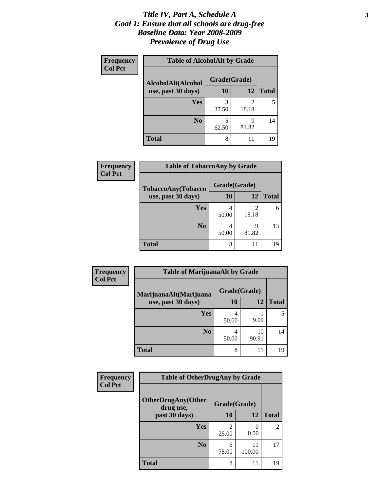#### *Title IV, Part A, Schedule A* **3** *Goal 1: Ensure that all schools are drug-free Baseline Data: Year 2008-2009 Prevalence of Drug Use*

| Frequency<br><b>Col Pct</b> | <b>Table of AlcoholAlt by Grade</b> |              |            |              |  |
|-----------------------------|-------------------------------------|--------------|------------|--------------|--|
|                             | AlcoholAlt(Alcohol                  | Grade(Grade) |            |              |  |
|                             | use, past 30 days)                  | 10           | <b>12</b>  | <b>Total</b> |  |
|                             | <b>Yes</b>                          | 3<br>37.50   | 2<br>18.18 |              |  |
|                             | N <sub>0</sub>                      | 5<br>62.50   | q<br>81.82 | 14           |  |
|                             | <b>Total</b>                        | 8            | 11         | 19           |  |

| Frequency<br><b>Col Pct</b> | <b>Table of TobaccoAny by Grade</b> |              |            |              |  |
|-----------------------------|-------------------------------------|--------------|------------|--------------|--|
|                             | TobaccoAny(Tobacco                  | Grade(Grade) |            |              |  |
|                             | use, past 30 days)                  | 10           | 12         | <b>Total</b> |  |
|                             | <b>Yes</b>                          | 4<br>50.00   | 2<br>18.18 | 6            |  |
|                             | N <sub>0</sub>                      | 4<br>50.00   | q<br>81.82 | 13           |  |
|                             | <b>Total</b>                        | 8            | 11         | 19           |  |

| Frequency                                                      | <b>Table of MarijuanaAlt by Grade</b> |              |              |    |  |
|----------------------------------------------------------------|---------------------------------------|--------------|--------------|----|--|
| <b>Col Pct</b><br>MarijuanaAlt(Marijuana<br>use, past 30 days) |                                       | Grade(Grade) |              |    |  |
|                                                                | 10                                    | 12           | <b>Total</b> |    |  |
|                                                                | Yes                                   | 4<br>50.00   | 9.09         | 5  |  |
|                                                                | N <sub>0</sub>                        | 4<br>50.00   | 10<br>90.91  | 14 |  |
|                                                                | <b>Total</b>                          | 8            | 11           | 19 |  |

| <b>Frequency</b><br><b>Col Pct</b> | <b>Table of OtherDrugAny by Grade</b>                  |            |              |                |  |
|------------------------------------|--------------------------------------------------------|------------|--------------|----------------|--|
|                                    | <b>OtherDrugAny(Other</b><br>Grade(Grade)<br>drug use, |            |              |                |  |
|                                    | past 30 days)                                          | 10         | <b>12</b>    | <b>Total</b>   |  |
|                                    | <b>Yes</b>                                             | 25.00      | 0.00         | $\overline{2}$ |  |
|                                    | N <sub>0</sub>                                         | 6<br>75.00 | 11<br>100.00 | 17             |  |
|                                    | <b>Total</b>                                           | 8          | 11           | 19             |  |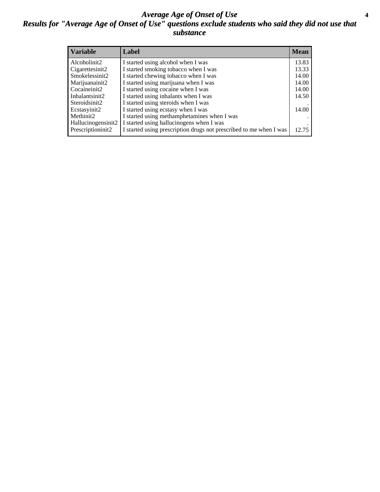#### *Average Age of Onset of Use* **4** *Results for "Average Age of Onset of Use" questions exclude students who said they did not use that substance*

| <b>Variable</b>       | Label                                                              | <b>Mean</b> |
|-----------------------|--------------------------------------------------------------------|-------------|
| Alcoholinit2          | I started using alcohol when I was                                 | 13.83       |
| Cigarettesinit2       | I started smoking tobacco when I was                               | 13.33       |
| Smokelessinit2        | I started chewing tobacco when I was                               | 14.00       |
| Marijuanainit2        | I started using marijuana when I was                               | 14.00       |
| Cocaineinit2          | I started using cocaine when I was                                 | 14.00       |
| Inhalantsinit2        | I started using inhalants when I was                               | 14.50       |
| Steroidsinit2         | I started using steroids when I was                                |             |
| Ecstasyinit2          | I started using ecstasy when I was                                 | 14.00       |
| Methinit <sub>2</sub> | I started using methamphetamines when I was                        |             |
| Hallucinogensinit2    | I started using hallucinogens when I was                           |             |
| Prescriptioninit2     | I started using prescription drugs not prescribed to me when I was | 12.75       |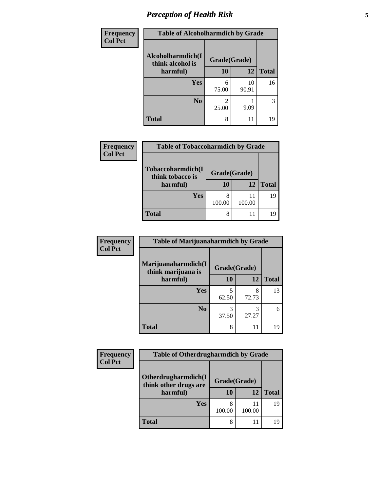# *Perception of Health Risk* **5**

| Frequency      | <b>Table of Alcoholharmdich by Grade</b> |              |             |              |
|----------------|------------------------------------------|--------------|-------------|--------------|
| <b>Col Pct</b> | Alcoholharmdich(I<br>think alcohol is    | Grade(Grade) |             |              |
|                | harmful)                                 | 10           | 12          | <b>Total</b> |
|                | Yes                                      | 6<br>75.00   | 10<br>90.91 | 16           |
|                | N <sub>0</sub>                           | 2<br>25.00   | 9.09        | 3            |
|                | <b>Total</b>                             | 8            | 11          | 19           |

| <b>Frequency</b><br><b>Col Pct</b> | <b>Table of Tobaccoharmdich by Grade</b>          |                                 |              |              |
|------------------------------------|---------------------------------------------------|---------------------------------|--------------|--------------|
|                                    | Tobaccoharmdich(I<br>think tobacco is<br>harmful) | Grade(Grade)<br><b>12</b><br>10 |              | <b>Total</b> |
|                                    | Yes                                               | 100.00                          | 11<br>100.00 | 19           |
|                                    | <b>Total</b>                                      | 8                               | 11           | 19           |

| <b>Frequency</b> | <b>Table of Marijuanaharmdich by Grade</b>            |              |            |              |  |
|------------------|-------------------------------------------------------|--------------|------------|--------------|--|
| <b>Col Pct</b>   | Marijuanaharmdich(I<br>think marijuana is<br>harmful) | Grade(Grade) |            |              |  |
|                  |                                                       | <b>10</b>    | 12         | <b>Total</b> |  |
|                  | <b>Yes</b>                                            | 5<br>62.50   | 8<br>72.73 | 13           |  |
|                  | N <sub>o</sub>                                        | 3<br>37.50   | 3<br>27.27 | 6            |  |
|                  | <b>Total</b>                                          | 8            | 11         | 19           |  |

| <b>Frequency</b> | <b>Table of Otherdrugharmdich by Grade</b>   |              |              |              |
|------------------|----------------------------------------------|--------------|--------------|--------------|
| <b>Col Pct</b>   | Otherdrugharmdich(I<br>think other drugs are | Grade(Grade) |              |              |
|                  | harmful)                                     | 10           | 12           | <b>Total</b> |
|                  | Yes                                          | 100.00       | 11<br>100.00 | 19           |
|                  | <b>Total</b>                                 | 8            | 11           | 19           |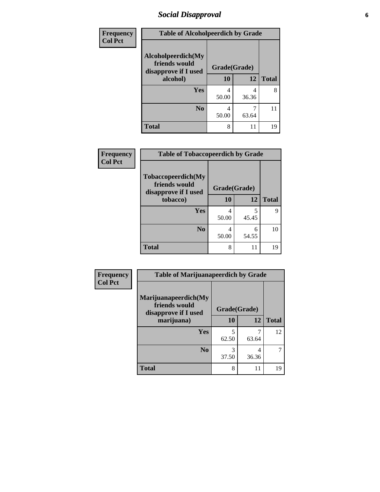### *Social Disapproval* **6**

| Frequency      | <b>Table of Alcoholpeerdich by Grade</b>                                |              |            |              |
|----------------|-------------------------------------------------------------------------|--------------|------------|--------------|
| <b>Col Pct</b> | Alcoholpeerdich(My<br>friends would<br>disapprove if I used<br>alcohol) | Grade(Grade) |            |              |
|                |                                                                         | 10           | 12         | <b>Total</b> |
|                | <b>Yes</b>                                                              | 4<br>50.00   | 4<br>36.36 | 8            |
|                | N <sub>0</sub>                                                          | 4<br>50.00   | 63.64      | 11           |
|                | <b>Total</b>                                                            | 8            | 11         | 19           |

| <b>Frequency</b> |
|------------------|
| <b>Col Pct</b>   |

| <b>Table of Tobaccopeerdich by Grade</b>                    |              |       |              |  |  |
|-------------------------------------------------------------|--------------|-------|--------------|--|--|
| Tobaccopeerdich(My<br>friends would<br>disapprove if I used | Grade(Grade) |       |              |  |  |
| tobacco)                                                    | 10           | 12    | <b>Total</b> |  |  |
| Yes                                                         | 4            | 5     | Q            |  |  |
|                                                             | 50.00        | 45.45 |              |  |  |
| N <sub>0</sub>                                              | 4            | 6     | 10           |  |  |
|                                                             | 50.00        | 54.55 |              |  |  |
| <b>Total</b>                                                | 8            | 11    | 19           |  |  |

| <b>Frequency</b> | <b>Table of Marijuanapeerdich by Grade</b>                    |            |              |              |  |
|------------------|---------------------------------------------------------------|------------|--------------|--------------|--|
| <b>Col Pct</b>   | Marijuanapeerdich(My<br>friends would<br>disapprove if I used |            | Grade(Grade) |              |  |
|                  | marijuana)                                                    | 10         | 12           | <b>Total</b> |  |
|                  | <b>Yes</b>                                                    | 5<br>62.50 | 63.64        | 12           |  |
|                  | N <sub>0</sub>                                                | 3<br>37.50 | 4<br>36.36   |              |  |
|                  | <b>Total</b>                                                  | 8          | 11           | 19           |  |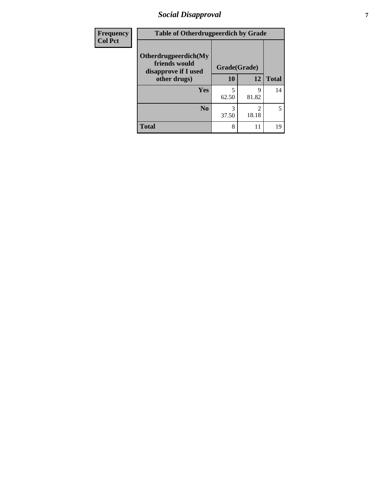### *Social Disapproval* **7**

| <b>Frequency</b> | <b>Table of Otherdrugpeerdich by Grade</b>                    |              |            |              |  |
|------------------|---------------------------------------------------------------|--------------|------------|--------------|--|
| <b>Col Pct</b>   | Otherdrugpeerdich(My<br>friends would<br>disapprove if I used | Grade(Grade) |            |              |  |
|                  | other drugs)                                                  | 10           | 12         | <b>Total</b> |  |
|                  | <b>Yes</b>                                                    | 5<br>62.50   | 9<br>81.82 | 14           |  |
|                  | N <sub>0</sub>                                                | 3<br>37.50   | 2<br>18.18 | 5            |  |
|                  | <b>Total</b>                                                  | 8            | 11         | 19           |  |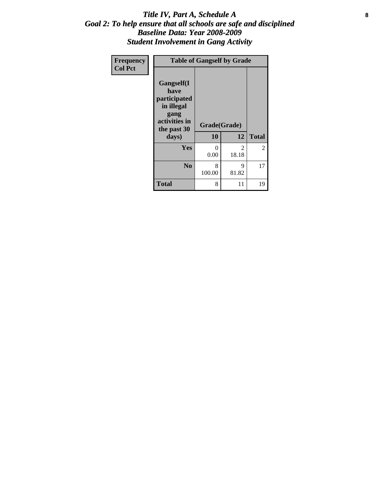#### Title IV, Part A, Schedule A **8** *Goal 2: To help ensure that all schools are safe and disciplined Baseline Data: Year 2008-2009 Student Involvement in Gang Activity*

| Frequency      | <b>Table of Gangself by Grade</b>                                                                 |                    |            |              |  |
|----------------|---------------------------------------------------------------------------------------------------|--------------------|------------|--------------|--|
| <b>Col Pct</b> | Gangself(I<br>have<br>participated<br>in illegal<br>gang<br>activities in<br>the past 30<br>days) | Grade(Grade)<br>10 | 12         | <b>Total</b> |  |
|                | Yes                                                                                               | 0<br>0.00          | 2<br>18.18 | 2            |  |
|                | N <sub>0</sub>                                                                                    | 8<br>100.00        | 9<br>81.82 | 17           |  |
|                | <b>Total</b>                                                                                      | 8                  | 11         | 19           |  |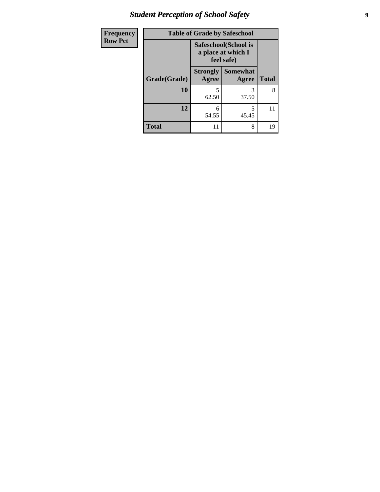# *Student Perception of School Safety* **9**

| Frequency      | <b>Table of Grade by Safeschool</b> |                                                          |                          |              |
|----------------|-------------------------------------|----------------------------------------------------------|--------------------------|--------------|
| <b>Row Pct</b> |                                     | Safeschool(School is<br>a place at which I<br>feel safe) |                          |              |
|                | Grade(Grade)                        | <b>Strongly</b><br>Agree                                 | <b>Somewhat</b><br>Agree | <b>Total</b> |
|                | 10                                  | 5<br>62.50                                               | 3<br>37.50               | 8            |
|                | 12                                  | 6<br>54.55                                               | 5<br>45.45               | 11           |
|                | <b>Total</b>                        | 11                                                       | 8                        | 19           |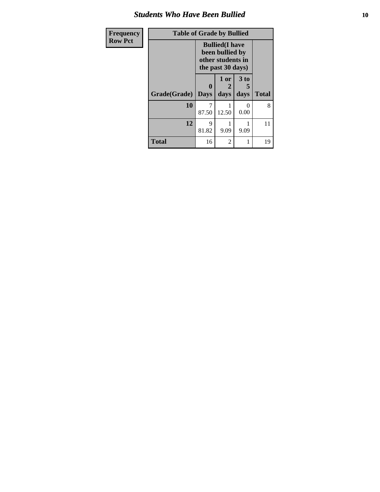#### *Students Who Have Been Bullied* **10**

| Frequency      | <b>Table of Grade by Bullied</b> |                                                                                     |                   |                              |              |
|----------------|----------------------------------|-------------------------------------------------------------------------------------|-------------------|------------------------------|--------------|
| <b>Row Pct</b> |                                  | <b>Bullied</b> (I have<br>been bullied by<br>other students in<br>the past 30 days) |                   |                              |              |
|                | Grade(Grade)   Days              | $\bf{0}$                                                                            | 1 or<br>2<br>days | 3 <sub>to</sub><br>5<br>days | <b>Total</b> |
|                | 10                               | 87.50                                                                               | 12.50             | $\Omega$<br>0.00             | 8            |
|                | 12                               | 9<br>81.82                                                                          | 9.09              | 9.09                         | 11           |
|                | <b>Total</b>                     | 16                                                                                  | 2                 |                              | 19           |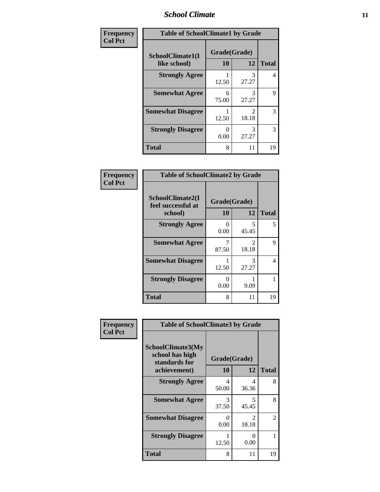#### *School Climate* **11**

| Frequency      | <b>Table of SchoolClimate1 by Grade</b> |                    |                         |              |  |
|----------------|-----------------------------------------|--------------------|-------------------------|--------------|--|
| <b>Col Pct</b> | SchoolClimate1(I<br>like school)        | Grade(Grade)<br>10 | 12                      | <b>Total</b> |  |
|                | <b>Strongly Agree</b>                   | 12.50              | 3<br>27.27              | 4            |  |
|                | <b>Somewhat Agree</b>                   | 6<br>75.00         | 3<br>27.27              | 9            |  |
|                | <b>Somewhat Disagree</b>                | 12.50              | $\mathfrak{D}$<br>18.18 | 3            |  |
|                | <b>Strongly Disagree</b>                | 0.00               | 3<br>27.27              | 3            |  |
|                | <b>Total</b>                            | 8                  | 11                      | 19           |  |

| Frequency<br>Col Pct |  |
|----------------------|--|

| <b>Table of SchoolClimate2 by Grade</b>           |                    |                                      |              |  |  |
|---------------------------------------------------|--------------------|--------------------------------------|--------------|--|--|
| SchoolClimate2(I<br>feel successful at<br>school) | Grade(Grade)<br>10 | 12                                   | <b>Total</b> |  |  |
| <b>Strongly Agree</b>                             | 0.00               | 45.45                                | 5            |  |  |
| <b>Somewhat Agree</b>                             | 87.50              | $\mathcal{D}_{\mathcal{L}}$<br>18.18 | 9            |  |  |
| <b>Somewhat Disagree</b>                          | 12.50              | 3<br>27.27                           | 4            |  |  |
| <b>Strongly Disagree</b>                          | 0<br>0.00          | 9.09                                 |              |  |  |
| Total                                             | 8                  | 11                                   | 19           |  |  |

| Frequency      | <b>Table of SchoolClimate3 by Grade</b>                               |                    |                         |              |
|----------------|-----------------------------------------------------------------------|--------------------|-------------------------|--------------|
| <b>Col Pct</b> | SchoolClimate3(My<br>school has high<br>standards for<br>achievement) | Grade(Grade)<br>10 | 12                      | <b>Total</b> |
|                | <b>Strongly Agree</b>                                                 | 4<br>50.00         | 4<br>36.36              | 8            |
|                | <b>Somewhat Agree</b>                                                 | 3<br>37.50         | 5<br>45.45              | 8            |
|                | <b>Somewhat Disagree</b>                                              | ∩<br>0.00          | $\mathfrak{D}$<br>18.18 | 2            |
|                | <b>Strongly Disagree</b>                                              | 12.50              | 0<br>0.00               |              |
|                | Total                                                                 | 8                  | 11                      | 19           |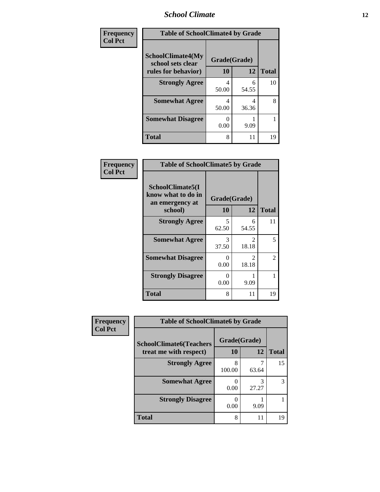### *School Climate* **12**

| Frequency<br><b>Col Pct</b> |                                               | <b>Table of SchoolClimate4 by Grade</b> |            |              |  |
|-----------------------------|-----------------------------------------------|-----------------------------------------|------------|--------------|--|
|                             | <b>SchoolClimate4(My</b><br>school sets clear | Grade(Grade)                            |            |              |  |
|                             | rules for behavior)                           | 10                                      | 12         | <b>Total</b> |  |
|                             | <b>Strongly Agree</b>                         | 4<br>50.00                              | 6<br>54.55 | 10           |  |
|                             | <b>Somewhat Agree</b>                         | 4<br>50.00                              | 4<br>36.36 | 8            |  |
|                             | <b>Somewhat Disagree</b>                      | 0<br>0.00                               | 9.09       |              |  |
|                             | Total                                         | 8                                       | 11         | 19           |  |

| Frequency      | <b>Table of SchoolClimate5 by Grade</b>                   |              |                         |              |
|----------------|-----------------------------------------------------------|--------------|-------------------------|--------------|
| <b>Col Pct</b> | SchoolClimate5(I<br>know what to do in<br>an emergency at | Grade(Grade) |                         |              |
|                | school)                                                   | <b>10</b>    | 12                      | <b>Total</b> |
|                | <b>Strongly Agree</b>                                     | 5<br>62.50   | 6<br>54.55              | 11           |
|                | <b>Somewhat Agree</b>                                     | 3<br>37.50   | $\mathfrak{D}$<br>18.18 | 5            |
|                | <b>Somewhat Disagree</b>                                  | 0<br>0.00    | $\mathfrak{D}$<br>18.18 | 2            |
|                | <b>Strongly Disagree</b>                                  | 0<br>0.00    | 9.09                    |              |
|                | <b>Total</b>                                              | 8            | 11                      | 19           |

| Frequency      | <b>Table of SchoolClimate6 by Grade</b>                  |             |                    |              |
|----------------|----------------------------------------------------------|-------------|--------------------|--------------|
| <b>Col Pct</b> | <b>SchoolClimate6(Teachers</b><br>treat me with respect) | 10          | Grade(Grade)<br>12 | <b>Total</b> |
|                | <b>Strongly Agree</b>                                    | 8<br>100.00 | 63.64              | 15           |
|                | <b>Somewhat Agree</b>                                    | 0.00        | 3<br>27.27         |              |
|                | <b>Strongly Disagree</b>                                 | 0.00        | 9.09               |              |
|                | <b>Total</b>                                             | 8           | 11                 | 19           |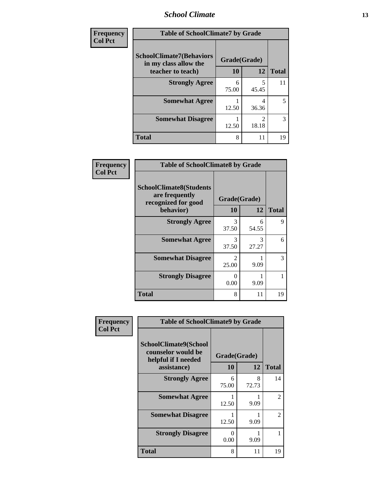#### *School Climate* **13**

| Frequency      | <b>Table of SchoolClimate7 by Grade</b>                  |              |                         |              |
|----------------|----------------------------------------------------------|--------------|-------------------------|--------------|
| <b>Col Pct</b> | <b>SchoolClimate7(Behaviors</b><br>in my class allow the | Grade(Grade) |                         |              |
|                | teacher to teach)                                        | <b>10</b>    | 12                      | <b>Total</b> |
|                | <b>Strongly Agree</b>                                    | 6<br>75.00   | 5<br>45.45              | 11           |
|                | <b>Somewhat Agree</b>                                    | 12.50        | 4<br>36.36              | 5            |
|                | <b>Somewhat Disagree</b>                                 | 12.50        | $\mathfrak{D}$<br>18.18 | 3            |
|                | <b>Total</b>                                             | 8            | 11                      | 19           |

| Frequency      | <b>Table of SchoolClimate8 by Grade</b>                                 |                                      |            |                   |
|----------------|-------------------------------------------------------------------------|--------------------------------------|------------|-------------------|
| <b>Col Pct</b> | <b>SchoolClimate8(Students</b><br>are frequently<br>recognized for good | Grade(Grade)                         |            |                   |
|                | behavior)<br><b>Strongly Agree</b>                                      | 10<br>3                              | 12<br>6    | <b>Total</b><br>9 |
|                |                                                                         | 37.50                                | 54.55      |                   |
|                | <b>Somewhat Agree</b>                                                   | 3<br>37.50                           | 3<br>27.27 | 6                 |
|                | <b>Somewhat Disagree</b>                                                | $\mathcal{D}_{\mathcal{L}}$<br>25.00 | 9.09       | 3                 |
|                | <b>Strongly Disagree</b>                                                | 0<br>0.00                            | 9.09       |                   |
|                | <b>Total</b>                                                            | 8                                    | 11         | 19                |

| Frequency      | <b>Table of SchoolClimate9 by Grade</b>                                           |                    |            |                |
|----------------|-----------------------------------------------------------------------------------|--------------------|------------|----------------|
| <b>Col Pct</b> | SchoolClimate9(School<br>counselor would be<br>helpful if I needed<br>assistance) | Grade(Grade)<br>10 | 12         | <b>Total</b>   |
|                | <b>Strongly Agree</b>                                                             | 6<br>75.00         | 8<br>72.73 | 14             |
|                | <b>Somewhat Agree</b>                                                             | 12.50              | 9.09       | $\mathfrak{D}$ |
|                | <b>Somewhat Disagree</b>                                                          | 12.50              | 9.09       | $\mathfrak{D}$ |
|                | <b>Strongly Disagree</b>                                                          | 0<br>0.00          | 9.09       |                |
|                | Total                                                                             | 8                  | 11         | 19             |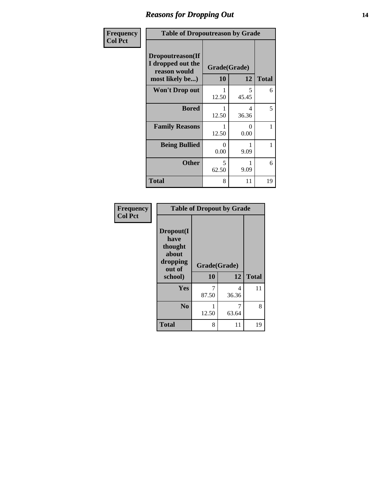#### *Reasons for Dropping Out* **14**

| Frequency      | <b>Table of Dropoutreason by Grade</b>                                   |                    |            |              |
|----------------|--------------------------------------------------------------------------|--------------------|------------|--------------|
| <b>Col Pct</b> | Dropoutreason(If<br>I dropped out the<br>reason would<br>most likely be) | Grade(Grade)<br>10 | 12         | <b>Total</b> |
|                | <b>Won't Drop out</b>                                                    | 12.50              | 5<br>45.45 | 6            |
|                | <b>Bored</b>                                                             | 12.50              | 4<br>36.36 | 5            |
|                | <b>Family Reasons</b>                                                    | 12.50              | 0<br>0.00  | 1            |
|                | <b>Being Bullied</b>                                                     | $\Omega$<br>0.00   | 9.09       | 1            |
|                | <b>Other</b>                                                             | 5<br>62.50         | 9.09       | 6            |
|                | <b>Total</b>                                                             | 8                  | 11         | 19           |

| Frequency<br><b>Col Pct</b> | <b>Table of Dropout by Grade</b>                                       |                    |            |              |  |
|-----------------------------|------------------------------------------------------------------------|--------------------|------------|--------------|--|
|                             | Dropout(I<br>have<br>thought<br>about<br>dropping<br>out of<br>school) | Grade(Grade)<br>10 | 12         | <b>Total</b> |  |
|                             |                                                                        |                    |            |              |  |
|                             | Yes                                                                    | 7<br>87.50         | 4<br>36.36 | 11           |  |
|                             | N <sub>0</sub>                                                         | 12.50              | 63.64      | 8            |  |
|                             | <b>Total</b>                                                           | 8                  | 11         | 19           |  |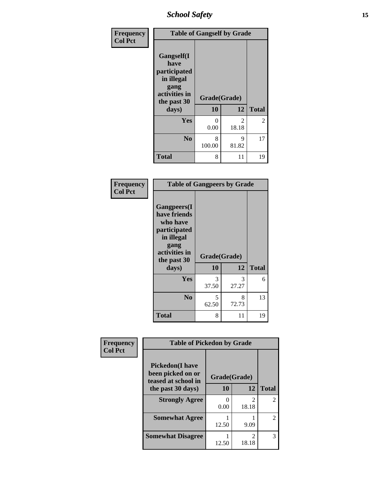*School Safety* **15**

| Frequency      | <b>Table of Gangself by Grade</b>                                                                 |                    |                         |              |
|----------------|---------------------------------------------------------------------------------------------------|--------------------|-------------------------|--------------|
| <b>Col Pct</b> | Gangself(I<br>have<br>participated<br>in illegal<br>gang<br>activities in<br>the past 30<br>days) | Grade(Grade)<br>10 | 12                      | <b>Total</b> |
|                | Yes                                                                                               | 0<br>0.00          | $\mathfrak{D}$<br>18.18 | 2            |
|                | N <sub>0</sub>                                                                                    | 8<br>100.00        | 9<br>81.82              | 17           |
|                | <b>Total</b>                                                                                      | 8                  | 11                      | 19           |

| Frequency<br><b>Col Pct</b> | <b>Table of Gangpeers by Grade</b>                                                                                             |                    |            |              |
|-----------------------------|--------------------------------------------------------------------------------------------------------------------------------|--------------------|------------|--------------|
|                             | <b>Gangpeers</b> (I<br>have friends<br>who have<br>participated<br>in illegal<br>gang<br>activities in<br>the past 30<br>days) | Grade(Grade)<br>10 | 12         | <b>Total</b> |
|                             | <b>Yes</b>                                                                                                                     | 3<br>37.50         | 3<br>27.27 | 6            |
|                             | N <sub>0</sub>                                                                                                                 | 5<br>62.50         | 8<br>72.73 | 13           |
|                             | <b>Total</b>                                                                                                                   | 8                  | 11         | 19           |

| Frequency      | <b>Table of Pickedon by Grade</b>                                  |              |            |                |
|----------------|--------------------------------------------------------------------|--------------|------------|----------------|
| <b>Col Pct</b> | <b>Pickedon(I have</b><br>been picked on or<br>teased at school in | Grade(Grade) |            |                |
|                | the past 30 days)                                                  | 10           | 12         | <b>Total</b>   |
|                | <b>Strongly Agree</b>                                              | 0<br>0.00    | 2<br>18.18 | $\mathfrak{D}$ |
|                | <b>Somewhat Agree</b>                                              | 12.50        | 9.09       | $\mathfrak{D}$ |
|                | <b>Somewhat Disagree</b>                                           | 12.50        | 2<br>18.18 | 3              |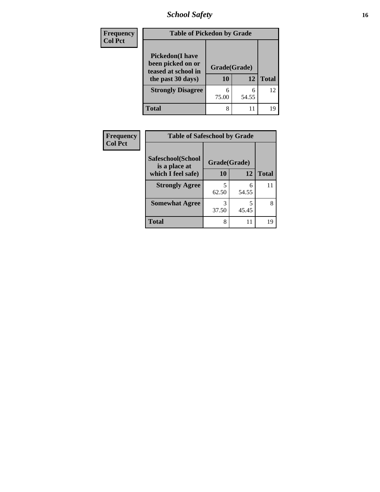*School Safety* **16**

| <b>Frequency</b><br><b>Col Pct</b> | <b>Table of Pickedon by Grade</b>                                                        |                    |            |              |  |
|------------------------------------|------------------------------------------------------------------------------------------|--------------------|------------|--------------|--|
|                                    | <b>Pickedon</b> (I have<br>been picked on or<br>teased at school in<br>the past 30 days) | Grade(Grade)<br>10 | 12         | <b>Total</b> |  |
|                                    | <b>Strongly Disagree</b>                                                                 | 6<br>75.00         | 6<br>54.55 | 12           |  |
|                                    | <b>Total</b>                                                                             | 8                  | 11         | 19           |  |

| Frequency      |                                    | <b>Table of Safeschool by Grade</b> |            |              |  |  |
|----------------|------------------------------------|-------------------------------------|------------|--------------|--|--|
| <b>Col Pct</b> | Safeschool(School<br>is a place at | Grade(Grade)                        |            |              |  |  |
|                | which I feel safe)                 | 10                                  | 12         | <b>Total</b> |  |  |
|                | <b>Strongly Agree</b>              | 5<br>62.50                          | 6<br>54.55 | 11           |  |  |
|                | <b>Somewhat Agree</b>              | 3<br>37.50                          | 45.45      | 8            |  |  |
|                | <b>Total</b>                       | 8                                   | 11         | 19           |  |  |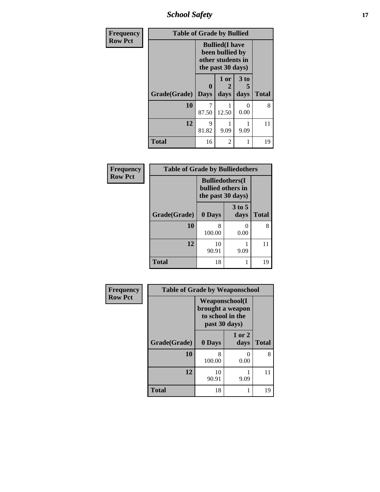*School Safety* **17**

| Frequency      | <b>Table of Grade by Bullied</b> |                                                                                     |                   |              |              |  |  |
|----------------|----------------------------------|-------------------------------------------------------------------------------------|-------------------|--------------|--------------|--|--|
| <b>Row Pct</b> |                                  | <b>Bullied</b> (I have<br>been bullied by<br>other students in<br>the past 30 days) |                   |              |              |  |  |
|                | Grade(Grade)                     | 0<br><b>Days</b>                                                                    | 1 or<br>2<br>days | 3 to<br>days | <b>Total</b> |  |  |
|                | 10                               | 87.50                                                                               | 12.50             | 0<br>0.00    | 8            |  |  |
|                | 12                               | 9<br>81.82                                                                          | 9.09              | 9.09         | 11           |  |  |
|                | <b>Total</b>                     | 16                                                                                  | 2                 |              | 19           |  |  |

| Frequency      | <b>Table of Grade by Bulliedothers</b> |                                                                    |                    |              |
|----------------|----------------------------------------|--------------------------------------------------------------------|--------------------|--------------|
| <b>Row Pct</b> |                                        | <b>Bulliedothers</b> (I)<br>bullied others in<br>the past 30 days) |                    |              |
|                | Grade(Grade)                           | 0 Days                                                             | $3$ to $5$<br>days | <b>Total</b> |
|                | 10                                     | 8<br>100.00                                                        | 0.00               | 8            |
|                | 12                                     | 10<br>90.91                                                        | 9.09               | 11           |
|                | <b>Total</b>                           | 18                                                                 |                    | 19           |

| Frequency      | <b>Table of Grade by Weaponschool</b> |                                                                                 |                |              |  |  |
|----------------|---------------------------------------|---------------------------------------------------------------------------------|----------------|--------------|--|--|
| <b>Row Pct</b> |                                       | <b>Weaponschool</b> (I<br>brought a weapon<br>to school in the<br>past 30 days) |                |              |  |  |
|                | Grade(Grade)                          | 0 Days                                                                          | 1 or 2<br>days | <b>Total</b> |  |  |
|                | 10                                    | 8<br>100.00                                                                     | ∩<br>0.00      | 8            |  |  |
|                | 12                                    | 10<br>90.91                                                                     | 9.09           | 11           |  |  |
|                | <b>Total</b>                          | 18                                                                              |                | 19           |  |  |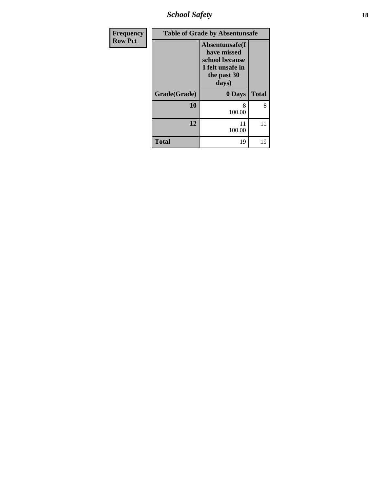*School Safety* **18**

| Frequency      |              | <b>Table of Grade by Absentunsafe</b>                                                       |              |
|----------------|--------------|---------------------------------------------------------------------------------------------|--------------|
| <b>Row Pct</b> |              | Absentunsafe(I<br>have missed<br>school because<br>I felt unsafe in<br>the past 30<br>days) |              |
|                | Grade(Grade) | 0 Days                                                                                      | <b>Total</b> |
|                | 10           | 8<br>100.00                                                                                 | 8            |
|                | 12           | 11<br>100.00                                                                                | 11           |
|                | <b>Total</b> | 19                                                                                          | 19           |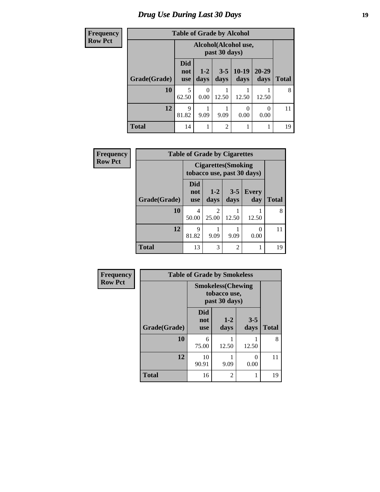### *Drug Use During Last 30 Days* **19**

| <b>Frequency</b> | <b>Table of Grade by Alcohol</b> |                                       |                 |                 |                 |                   |       |
|------------------|----------------------------------|---------------------------------------|-----------------|-----------------|-----------------|-------------------|-------|
| <b>Row Pct</b>   |                                  | Alcohol(Alcohol use,<br>past 30 days) |                 |                 |                 |                   |       |
|                  | Grade(Grade)                     | <b>Did</b><br>not<br><b>use</b>       | $1 - 2$<br>days | $3 - 5$<br>days | $10-19$<br>days | $20 - 29$<br>days | Total |
|                  | 10                               | 5<br>62.50                            | 0<br>0.00       | 12.50           | 12.50           | 12.50             | 8     |
|                  | 12                               | $\mathbf Q$<br>81.82                  | 9.09            | 9.09            | 0<br>0.00       | 0<br>0.00         | 11    |
|                  | <b>Total</b>                     | 14                                    |                 | $\overline{c}$  | 1               |                   | 19    |

| Frequency      | <b>Table of Grade by Cigarettes</b> |                                                          |                         |                 |              |              |
|----------------|-------------------------------------|----------------------------------------------------------|-------------------------|-----------------|--------------|--------------|
| <b>Row Pct</b> |                                     | <b>Cigarettes</b> (Smoking<br>tobacco use, past 30 days) |                         |                 |              |              |
|                | Grade(Grade)                        | Did<br>not<br><b>use</b>                                 | $1-2$<br>days           | $3 - 5$<br>days | Every<br>day | <b>Total</b> |
|                | 10                                  | 4<br>50.00                                               | $\overline{2}$<br>25.00 | 12.50           | 12.50        | 8            |
|                | 12                                  | 9<br>81.82                                               | 9.09                    | 9.09            | 0<br>0.00    | 11           |
|                | <b>Total</b>                        | 13                                                       | 3                       | $\overline{2}$  |              | 19           |

| Frequency      | <b>Table of Grade by Smokeless</b>                         |                                 |                 |                 |              |  |
|----------------|------------------------------------------------------------|---------------------------------|-----------------|-----------------|--------------|--|
| <b>Row Pct</b> | <b>Smokeless</b> (Chewing<br>tobacco use,<br>past 30 days) |                                 |                 |                 |              |  |
|                | Grade(Grade)                                               | <b>Did</b><br>not<br><b>use</b> | $1 - 2$<br>days | $3 - 5$<br>days | <b>Total</b> |  |
|                | 10                                                         | 6<br>75.00                      | 12.50           | 12.50           | 8            |  |
|                | 12                                                         | 10<br>90.91                     | 9.09            | 0<br>0.00       | 11           |  |
|                | <b>Total</b>                                               | 16                              | 2               | 1               | 19           |  |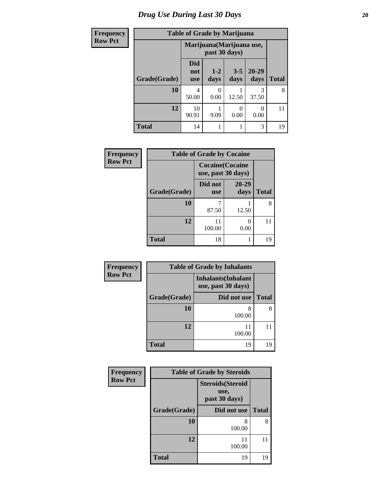### *Drug Use During Last 30 Days* 20

| <b>Frequency</b> |              | <b>Table of Grade by Marijuana</b> |                 |                  |                   |              |
|------------------|--------------|------------------------------------|-----------------|------------------|-------------------|--------------|
| <b>Row Pct</b>   |              | Marijuana (Marijuana use,          |                 |                  |                   |              |
|                  | Grade(Grade) | <b>Did</b><br>not<br><b>use</b>    | $1 - 2$<br>days | $3 - 5$<br>days  | $20 - 29$<br>days | <b>Total</b> |
|                  | 10           | 4<br>50.00                         | ∩<br>0.00       | 12.50            | 3<br>37.50        | 8            |
|                  | 12           | 10<br>90.91                        | 9.09            | $\theta$<br>0.00 | 0<br>0.00         | 11           |
|                  | <b>Total</b> | 14                                 | 1               |                  | 3                 | 19           |

| Frequency      | <b>Table of Grade by Cocaine</b> |                                              |               |              |  |
|----------------|----------------------------------|----------------------------------------------|---------------|--------------|--|
| <b>Row Pct</b> |                                  | <b>Cocaine(Cocaine</b><br>use, past 30 days) |               |              |  |
|                | Grade(Grade)                     | Did not<br><b>use</b>                        | 20-29<br>days | <b>Total</b> |  |
|                | 10                               | 87.50                                        | 12.50         | 8            |  |
|                | 12                               | 11<br>100.00                                 | 0.00          | 11           |  |
|                | <b>Total</b>                     | 18                                           |               | 19           |  |

| Frequency      |              | <b>Table of Grade by Inhalants</b>               |              |
|----------------|--------------|--------------------------------------------------|--------------|
| <b>Row Pct</b> |              | <b>Inhalants</b> (Inhalant<br>use, past 30 days) |              |
|                | Grade(Grade) | Did not use                                      | <b>Total</b> |
|                | 10           | 8<br>100.00                                      | 8            |
|                | 12           | 11<br>100.00                                     |              |
|                | <b>Total</b> | 19                                               | 19           |

| Frequency      | <b>Table of Grade by Steroids</b> |                                                   |              |  |  |
|----------------|-----------------------------------|---------------------------------------------------|--------------|--|--|
| <b>Row Pct</b> |                                   | <b>Steroids</b> (Steroid<br>use,<br>past 30 days) |              |  |  |
|                | Grade(Grade)                      | Did not use                                       | <b>Total</b> |  |  |
|                | 10                                | 8<br>100.00                                       | 8            |  |  |
|                | 12                                | 11<br>100.00                                      | 11           |  |  |
|                | <b>Total</b>                      | 19                                                | 19           |  |  |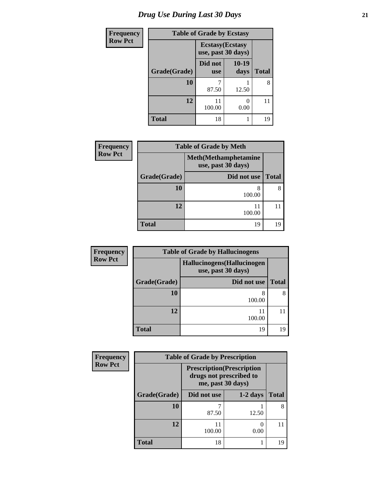# *Drug Use During Last 30 Days* **21**

| <b>Frequency</b> | <b>Table of Grade by Ecstasy</b> |                                               |               |              |
|------------------|----------------------------------|-----------------------------------------------|---------------|--------------|
| <b>Row Pct</b>   |                                  | <b>Ecstasy</b> (Ecstasy<br>use, past 30 days) |               |              |
|                  | Grade(Grade)                     | Did not<br><b>use</b>                         | 10-19<br>days | <b>Total</b> |
|                  | 10                               | 87.50                                         | 12.50         | 8            |
|                  | 12                               | 11<br>100.00                                  | 0<br>0.00     | 11           |
|                  | <b>Total</b>                     | 18                                            |               | 19           |

| <b>Frequency</b> | <b>Table of Grade by Meth</b> |                                                    |              |  |
|------------------|-------------------------------|----------------------------------------------------|--------------|--|
| <b>Row Pct</b>   |                               | <b>Meth</b> (Methamphetamine<br>use, past 30 days) |              |  |
|                  | Grade(Grade)                  | Did not use                                        | <b>Total</b> |  |
|                  | 10                            | 8<br>100.00                                        | 8            |  |
|                  | 12                            | 11<br>100.00                                       |              |  |
|                  | <b>Total</b>                  | 19                                                 | 19           |  |

| <b>Frequency</b> | <b>Table of Grade by Hallucinogens</b> |                                                   |              |  |  |
|------------------|----------------------------------------|---------------------------------------------------|--------------|--|--|
| <b>Row Pct</b>   |                                        | Hallucinogens (Hallucinogen<br>use, past 30 days) |              |  |  |
|                  | Grade(Grade)                           | Did not use                                       | <b>Total</b> |  |  |
|                  | <b>10</b>                              | 8<br>100.00                                       | 8            |  |  |
|                  | 12                                     | 11<br>100.00                                      |              |  |  |
|                  | <b>Total</b>                           | 19                                                | 19           |  |  |

| Frequency      | <b>Table of Grade by Prescription</b> |                                                                                   |            |              |
|----------------|---------------------------------------|-----------------------------------------------------------------------------------|------------|--------------|
| <b>Row Pct</b> |                                       | <b>Prescription</b> (Prescription<br>drugs not prescribed to<br>me, past 30 days) |            |              |
|                | Grade(Grade)                          | Did not use                                                                       | $1-2$ days | <b>Total</b> |
|                | 10                                    | 87.50                                                                             | 12.50      | 8            |
|                | 12                                    | 11<br>100.00                                                                      | 0.00       |              |
|                | <b>Total</b>                          | 18                                                                                |            | 19           |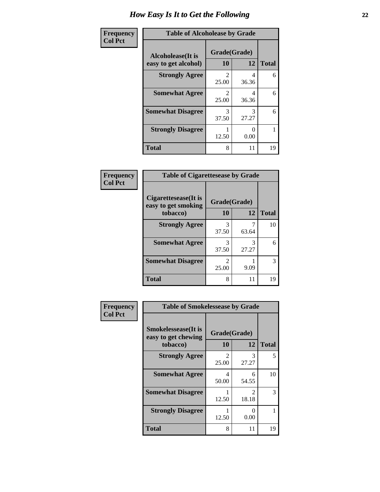| Frequency      | <b>Table of Alcoholease by Grade</b>              |                         |            |              |
|----------------|---------------------------------------------------|-------------------------|------------|--------------|
| <b>Col Pct</b> | <b>Alcoholease</b> (It is<br>easy to get alcohol) | Grade(Grade)<br>10      | 12         | <b>Total</b> |
|                | <b>Strongly Agree</b>                             | $\mathfrak{D}$<br>25.00 | 4<br>36.36 | 6            |
|                | <b>Somewhat Agree</b>                             | $\mathfrak{D}$<br>25.00 | 4<br>36.36 | 6            |
|                | <b>Somewhat Disagree</b>                          | 3<br>37.50              | 3<br>27.27 | 6            |
|                | <b>Strongly Disagree</b>                          | 12.50                   | 0.00       |              |
|                | <b>Total</b>                                      | 8                       | 11         | 19           |

| Frequency      | <b>Table of Cigarettesease by Grade</b>     |                         |            |              |
|----------------|---------------------------------------------|-------------------------|------------|--------------|
| <b>Col Pct</b> | Cigarettesease(It is<br>easy to get smoking | Grade(Grade)            |            |              |
|                | tobacco)                                    | 10                      | 12         | <b>Total</b> |
|                | <b>Strongly Agree</b>                       | 3<br>37.50              | 63.64      | 10           |
|                | <b>Somewhat Agree</b>                       | 3<br>37.50              | 3<br>27.27 | 6            |
|                | <b>Somewhat Disagree</b>                    | $\mathfrak{D}$<br>25.00 | 9.09       | 3            |
|                | <b>Total</b>                                | 8                       | 11         | 19           |

| Frequency      | <b>Table of Smokelessease by Grade</b>                         |                         |                                |              |
|----------------|----------------------------------------------------------------|-------------------------|--------------------------------|--------------|
| <b>Col Pct</b> | <b>Smokelessease</b> (It is<br>easy to get chewing<br>tobacco) | Grade(Grade)<br>10      | 12                             | <b>Total</b> |
|                | <b>Strongly Agree</b>                                          | $\mathfrak{D}$<br>25.00 | 3<br>27.27                     | 5            |
|                | <b>Somewhat Agree</b>                                          | 4<br>50.00              | 6<br>54.55                     | 10           |
|                | <b>Somewhat Disagree</b>                                       | 12.50                   | $\mathcal{D}_{\cdot}$<br>18.18 | 3            |
|                | <b>Strongly Disagree</b>                                       | 12.50                   | 0<br>0.00                      |              |
|                | <b>Total</b>                                                   | 8                       | 11                             | 19           |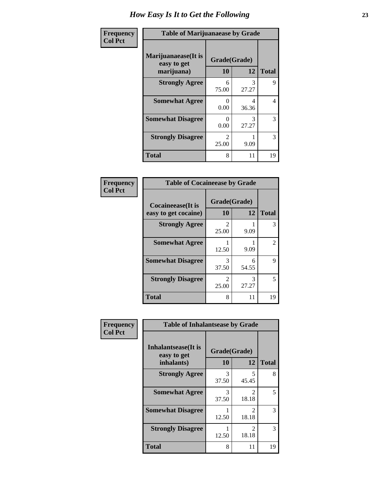| Frequency      | <b>Table of Marijuanaease by Grade</b>           |                                      |            |              |
|----------------|--------------------------------------------------|--------------------------------------|------------|--------------|
| <b>Col Pct</b> | Marijuanaease(It is<br>easy to get<br>marijuana) | Grade(Grade)<br>10                   | 12         | <b>Total</b> |
|                | <b>Strongly Agree</b>                            | 6<br>75.00                           | 3<br>27.27 | 9            |
|                | <b>Somewhat Agree</b>                            | 0<br>0.00                            | 4<br>36.36 | 4            |
|                | <b>Somewhat Disagree</b>                         | $\mathbf{\Omega}$<br>0.00            | 3<br>27.27 | 3            |
|                | <b>Strongly Disagree</b>                         | $\mathcal{D}_{\mathcal{L}}$<br>25.00 | 9.09       | 3            |
|                | <b>Total</b>                                     | 8                                    | 11         | 19           |

#### **Frequency Col Pct**

| <b>Table of Cocaineease by Grade</b>              |                         |            |               |  |
|---------------------------------------------------|-------------------------|------------|---------------|--|
| <b>Cocaineease</b> (It is<br>easy to get cocaine) | Grade(Grade)<br>10      | 12         | <b>Total</b>  |  |
| <b>Strongly Agree</b>                             | $\mathfrak{D}$<br>25.00 | 9.09       | 3             |  |
| <b>Somewhat Agree</b>                             | 12.50                   | 9.09       | $\mathcal{L}$ |  |
| <b>Somewhat Disagree</b>                          | 3<br>37.50              | 6<br>54.55 | 9             |  |
| <b>Strongly Disagree</b>                          | 2<br>25.00              | 3<br>27.27 | 5             |  |
| <b>Total</b>                                      | 8                       | 11         | 19            |  |

| Frequency      | <b>Table of Inhalantsease by Grade</b>                   |                           |                         |              |
|----------------|----------------------------------------------------------|---------------------------|-------------------------|--------------|
| <b>Col Pct</b> | <b>Inhalantsease</b> (It is<br>easy to get<br>inhalants) | Grade(Grade)<br><b>10</b> | 12                      | <b>Total</b> |
|                | <b>Strongly Agree</b>                                    | 3<br>37.50                | 5<br>45.45              | 8            |
|                | <b>Somewhat Agree</b>                                    | 3<br>37.50                | $\mathfrak{D}$<br>18.18 | 5            |
|                | <b>Somewhat Disagree</b>                                 | 12.50                     | 2<br>18.18              | 3            |
|                | <b>Strongly Disagree</b>                                 | 12.50                     | 2<br>18.18              | 3            |
|                | <b>Total</b>                                             | 8                         | 11                      | 19           |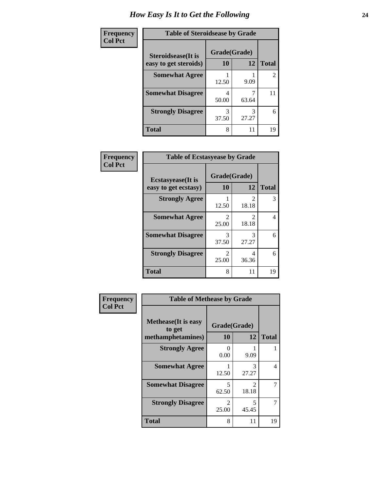| Frequency      | <b>Table of Steroidsease by Grade</b>               |                    |            |                |
|----------------|-----------------------------------------------------|--------------------|------------|----------------|
| <b>Col Pct</b> | <b>Steroidsease</b> (It is<br>easy to get steroids) | Grade(Grade)<br>10 | 12         | <b>Total</b>   |
|                | <b>Somewhat Agree</b>                               | 12.50              | 9.09       | $\overline{2}$ |
|                | <b>Somewhat Disagree</b>                            | 4<br>50.00         | 63.64      | 11             |
|                | <b>Strongly Disagree</b>                            | 3<br>37.50         | 3<br>27.27 | 6              |
|                | <b>Total</b>                                        | 8                  | 11         | 19             |

| Frequency      | <b>Table of Ecstasyease by Grade</b>              |                         |                        |              |  |  |  |
|----------------|---------------------------------------------------|-------------------------|------------------------|--------------|--|--|--|
| <b>Col Pct</b> | <b>Ecstasyease</b> (It is<br>easy to get ecstasy) |                         | Grade(Grade)<br>12     | <b>Total</b> |  |  |  |
|                | <b>Strongly Agree</b>                             | 12.50                   | $\mathcal{L}$<br>18.18 | 3            |  |  |  |
|                | <b>Somewhat Agree</b>                             | $\mathfrak{D}$<br>25.00 | 2<br>18.18             | 4            |  |  |  |
|                | <b>Somewhat Disagree</b>                          | 3<br>37.50              | 3<br>27.27             | 6            |  |  |  |
|                | <b>Strongly Disagree</b>                          | 2<br>25.00              | 4<br>36.36             | 6            |  |  |  |
|                | <b>Total</b>                                      | 8                       | 11                     | 19           |  |  |  |

| Frequency      | <b>Table of Methease by Grade</b>                          |                         |                                      |              |
|----------------|------------------------------------------------------------|-------------------------|--------------------------------------|--------------|
| <b>Col Pct</b> | <b>Methease</b> (It is easy<br>to get<br>methamphetamines) | Grade(Grade)<br>10      | 12                                   | <b>Total</b> |
|                | <b>Strongly Agree</b>                                      | 0<br>0.00               | 9.09                                 |              |
|                | <b>Somewhat Agree</b>                                      | 12.50                   | 3<br>27.27                           | 4            |
|                | <b>Somewhat Disagree</b>                                   | 5<br>62.50              | $\mathcal{D}_{\mathcal{L}}$<br>18.18 | 7            |
|                | <b>Strongly Disagree</b>                                   | $\mathfrak{D}$<br>25.00 | 5<br>45.45                           | 7            |
|                | <b>Total</b>                                               | 8                       | 11                                   | 19           |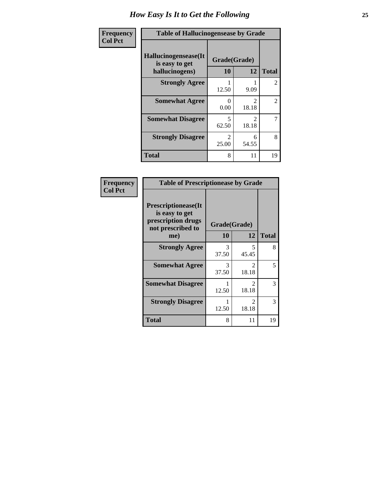| Frequency      | <b>Table of Hallucinogensease by Grade</b>               |                                   |                    |                |  |  |
|----------------|----------------------------------------------------------|-----------------------------------|--------------------|----------------|--|--|
| <b>Col Pct</b> | Hallucinogensease(It<br>is easy to get<br>hallucinogens) | 10                                | Grade(Grade)<br>12 | <b>Total</b>   |  |  |
|                | <b>Strongly Agree</b>                                    | 12.50                             | 9.09               | $\overline{2}$ |  |  |
|                | <b>Somewhat Agree</b>                                    | 0<br>0.00                         | っ<br>18.18         | $\overline{2}$ |  |  |
|                | <b>Somewhat Disagree</b>                                 | $\overline{\phantom{0}}$<br>62.50 | 2<br>18.18         | 7              |  |  |
|                | <b>Strongly Disagree</b>                                 | $\mathfrak{D}$<br>25.00           | 6<br>54.55         | 8              |  |  |
|                | <b>Total</b>                                             | 8                                 | 11                 | 19             |  |  |

#### **Frequency Col Pct**

| <b>Table of Prescriptionease by Grade</b>                                                |              |                         |              |  |  |  |  |
|------------------------------------------------------------------------------------------|--------------|-------------------------|--------------|--|--|--|--|
| <b>Prescriptionease</b> (It<br>is easy to get<br>prescription drugs<br>not prescribed to | Grade(Grade) |                         |              |  |  |  |  |
| me)                                                                                      | 10           | 12                      | <b>Total</b> |  |  |  |  |
| <b>Strongly Agree</b>                                                                    | 3<br>37.50   | 5<br>45.45              | 8            |  |  |  |  |
| <b>Somewhat Agree</b>                                                                    | 3<br>37.50   | $\mathfrak{D}$<br>18.18 | 5            |  |  |  |  |
| <b>Somewhat Disagree</b>                                                                 | 12.50        | $\mathfrak{D}$<br>18.18 | 3            |  |  |  |  |
| <b>Strongly Disagree</b>                                                                 | 12.50        | $\mathcal{L}$<br>18.18  | 3            |  |  |  |  |
| <b>Total</b>                                                                             | 8            | 11                      | 19           |  |  |  |  |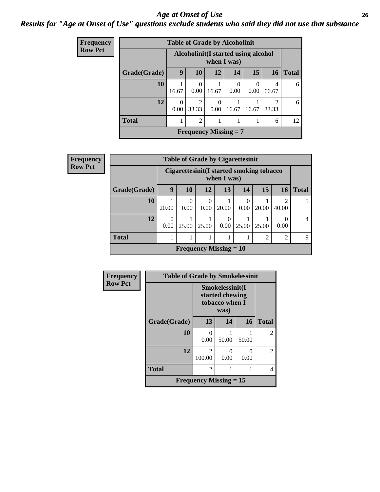#### *Age at Onset of Use* **26** *Results for "Age at Onset of Use" questions exclude students who said they did not use that substance*

| <b>Frequency</b> |              | <b>Table of Grade by Alcoholinit</b>                |                              |           |                  |                  |                         |              |
|------------------|--------------|-----------------------------------------------------|------------------------------|-----------|------------------|------------------|-------------------------|--------------|
| <b>Row Pct</b>   |              | Alcoholinit (I started using alcohol<br>when I was) |                              |           |                  |                  |                         |              |
|                  | Grade(Grade) | 9                                                   | 10                           | 12        | 14               | 15               | <b>16</b>               | <b>Total</b> |
|                  | 10           | 16.67                                               | $\Omega$<br>0.00             | 16.67     | $\Omega$<br>0.00 | $\theta$<br>0.00 | 4<br>66.67              | 6            |
|                  | 12           | $\theta$<br>0.00                                    | 2<br>33.33                   | 0<br>0.00 | 16.67            | 16.67            | $\mathfrak{D}$<br>33.33 | 6            |
|                  | <b>Total</b> | 1                                                   | 2                            |           | 1                |                  | 6                       | 12           |
|                  |              |                                                     | <b>Frequency Missing = 7</b> |           |                  |                  |                         |              |

| <b>Frequency</b> | <b>Table of Grade by Cigarettesinit</b><br><b>Cigarettesinit(I started smoking tobacco</b><br>when I was) |       |       |       |                               |                  |       |                         |              |
|------------------|-----------------------------------------------------------------------------------------------------------|-------|-------|-------|-------------------------------|------------------|-------|-------------------------|--------------|
| <b>Row Pct</b>   |                                                                                                           |       |       |       |                               |                  |       |                         |              |
|                  | Grade(Grade)                                                                                              | 9     | 10    | 12    | 13                            | 14               | 15    | <b>16</b>               | <b>Total</b> |
|                  | 10                                                                                                        | 20.00 | 0.00  | 0.00  | 20.00                         | $\theta$<br>0.00 | 20.00 | $\mathfrak{D}$<br>40.00 |              |
|                  | 12                                                                                                        | 0.00  | 25.00 | 25.00 | 0<br>0.00                     | 25.00            | 25.00 | 0.00                    | 4            |
|                  | <b>Total</b>                                                                                              |       |       |       |                               |                  | 2     | $\overline{2}$          | $\mathbf Q$  |
|                  |                                                                                                           |       |       |       | <b>Frequency Missing = 10</b> |                  |       |                         |              |

| Frequency      | <b>Table of Grade by Smokelessinit</b> |                                            |                                                              |           |                |
|----------------|----------------------------------------|--------------------------------------------|--------------------------------------------------------------|-----------|----------------|
| <b>Row Pct</b> |                                        |                                            | Smokelessinit(I<br>started chewing<br>tobacco when I<br>was) |           |                |
|                | Grade(Grade)                           | 13                                         | 14                                                           | 16        | <b>Total</b>   |
|                | 10                                     | 0<br>0.00                                  | 50.00                                                        | 50.00     | $\overline{2}$ |
|                | 12                                     | $\mathfrak{D}$<br>100.00                   | 0<br>0.00                                                    | 0<br>0.00 | $\overline{2}$ |
|                | <b>Total</b>                           | $\overline{c}$                             |                                                              |           | 4              |
|                |                                        | <b>Frequency Missing <math>= 15</math></b> |                                                              |           |                |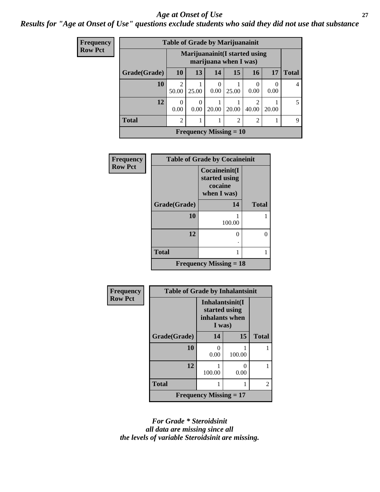#### *Age at Onset of Use* **27**

*Results for "Age at Onset of Use" questions exclude students who said they did not use that substance*

| Frequency      |              | <b>Table of Grade by Marijuanainit</b><br>Marijuanainit (I started using<br>marijuana when I was) |                  |                               |                |                |           |              |
|----------------|--------------|---------------------------------------------------------------------------------------------------|------------------|-------------------------------|----------------|----------------|-----------|--------------|
| <b>Row Pct</b> |              |                                                                                                   |                  |                               |                |                |           |              |
|                | Grade(Grade) | <b>10</b>                                                                                         | 13               | 14                            | 15             | <b>16</b>      | <b>17</b> | <b>Total</b> |
|                | 10           | 2<br>50.00                                                                                        | 25.00            | 0.00                          | 25.00          | 0.00           | 0.00      | 4            |
|                | 12           | $\theta$<br>0.00                                                                                  | $\theta$<br>0.00 | 20.00                         | 20.00          | 40.00          | 20.00     | 5            |
|                | <b>Total</b> | $\overline{c}$                                                                                    |                  |                               | $\mathfrak{D}$ | $\overline{2}$ |           | 9            |
|                |              |                                                                                                   |                  | <b>Frequency Missing = 10</b> |                |                |           |              |

| <b>Frequency</b> | <b>Table of Grade by Cocaineinit</b> |                                                          |              |  |  |  |
|------------------|--------------------------------------|----------------------------------------------------------|--------------|--|--|--|
| <b>Row Pct</b>   |                                      | Cocaineinit(I<br>started using<br>cocaine<br>when I was) |              |  |  |  |
|                  | Grade(Grade)                         | 14                                                       | <b>Total</b> |  |  |  |
|                  | 10                                   | 100.00                                                   |              |  |  |  |
|                  | 12                                   |                                                          | 0            |  |  |  |
|                  | <b>Total</b>                         |                                                          |              |  |  |  |
|                  |                                      | <b>Frequency Missing = 18</b>                            |              |  |  |  |

| Frequency      | <b>Table of Grade by Inhalantsinit</b> |                                                              |                           |              |  |
|----------------|----------------------------------------|--------------------------------------------------------------|---------------------------|--------------|--|
| <b>Row Pct</b> |                                        | Inhalantsinit(I<br>started using<br>inhalants when<br>I was) |                           |              |  |
|                | Grade(Grade)                           | 14                                                           | 15                        | <b>Total</b> |  |
|                | 10                                     | 0<br>0.00                                                    | 100.00                    |              |  |
|                | 12                                     | 100.00                                                       | $\mathbf{\Omega}$<br>0.00 |              |  |
|                | <b>Total</b>                           |                                                              |                           | 2            |  |
|                |                                        | <b>Frequency Missing = 17</b>                                |                           |              |  |

*For Grade \* Steroidsinit all data are missing since all the levels of variable Steroidsinit are missing.*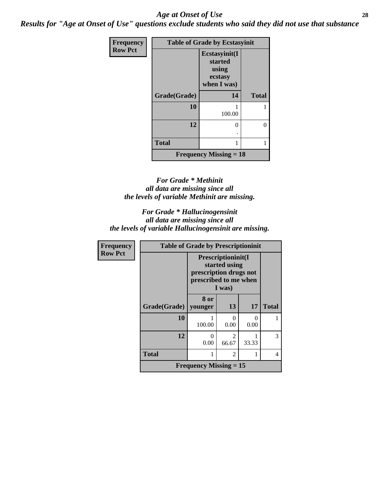#### *Age at Onset of Use* **28**

*Results for "Age at Onset of Use" questions exclude students who said they did not use that substance*

| Frequency      | <b>Table of Grade by Ecstasyinit</b> |                                                             |              |  |  |  |
|----------------|--------------------------------------|-------------------------------------------------------------|--------------|--|--|--|
| <b>Row Pct</b> |                                      | Ecstasyinit(I<br>started<br>using<br>ecstasy<br>when I was) |              |  |  |  |
|                | Grade(Grade)                         | 14                                                          | <b>Total</b> |  |  |  |
|                | 10                                   | 100.00                                                      |              |  |  |  |
|                | 12                                   | 0                                                           | 0            |  |  |  |
|                | <b>Total</b>                         | 1                                                           |              |  |  |  |
|                |                                      | <b>Frequency Missing <math>= 18</math></b>                  |              |  |  |  |

#### *For Grade \* Methinit all data are missing since all the levels of variable Methinit are missing.*

*For Grade \* Hallucinogensinit all data are missing since all the levels of variable Hallucinogensinit are missing.*

| Frequency      | <b>Table of Grade by Prescriptioninit</b>  |                                                 |                                               |           |              |  |  |
|----------------|--------------------------------------------|-------------------------------------------------|-----------------------------------------------|-----------|--------------|--|--|
| <b>Row Pct</b> |                                            | prescription drugs not<br>prescribed to me when | Prescriptioninit(I<br>started using<br>I was) |           |              |  |  |
|                | Grade(Grade)                               | 8 or<br>  younger                               | 13                                            | 17        | <b>Total</b> |  |  |
|                | 10                                         | 100.00                                          | $\Omega$<br>0.00                              | ∩<br>0.00 |              |  |  |
|                | 12                                         | 0<br>0.00                                       | $\mathcal{D}_{\mathcal{A}}$<br>66.67          | 33.33     | 3            |  |  |
|                | <b>Total</b>                               |                                                 | $\overline{2}$                                |           | 4            |  |  |
|                | <b>Frequency Missing <math>= 15</math></b> |                                                 |                                               |           |              |  |  |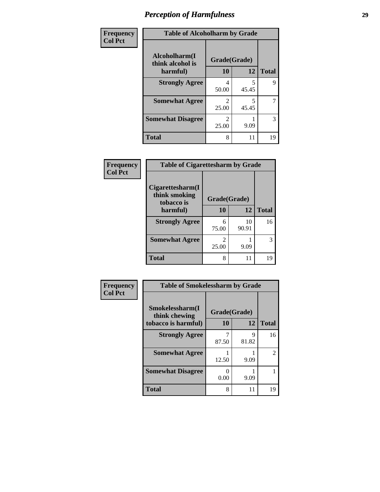| Frequency      | <b>Table of Alcoholharm by Grade</b>          |                         |            |              |
|----------------|-----------------------------------------------|-------------------------|------------|--------------|
| <b>Col Pct</b> | Alcoholharm(I<br>think alcohol is<br>harmful) | Grade(Grade)<br>10      | 12         | <b>Total</b> |
|                | <b>Strongly Agree</b>                         | 4<br>50.00              | 5<br>45.45 | 9            |
|                | <b>Somewhat Agree</b>                         | 2<br>25.00              | 5<br>45.45 | 7            |
|                | <b>Somewhat Disagree</b>                      | $\mathfrak{D}$<br>25.00 | 9.09       | 3            |
|                | <b>Total</b>                                  | 8                       | 11         | 19           |

| Frequency      | <b>Table of Cigarettesharm by Grade</b>         |              |             |              |
|----------------|-------------------------------------------------|--------------|-------------|--------------|
| <b>Col Pct</b> | Cigarettesharm(I<br>think smoking<br>tobacco is | Grade(Grade) |             |              |
|                | harmful)                                        | 10           | 12          | <b>Total</b> |
|                | <b>Strongly Agree</b>                           | 6<br>75.00   | 10<br>90.91 | 16           |
|                | <b>Somewhat Agree</b>                           | 2<br>25.00   | 9.09        | 3            |
|                | <b>Total</b>                                    | 8            | 11          | 19           |

| Frequency      | <b>Table of Smokelessharm by Grade</b> |                       |            |                |
|----------------|----------------------------------------|-----------------------|------------|----------------|
| <b>Col Pct</b> | Smokelessharm(I<br>think chewing       | Grade(Grade)          |            |                |
|                | tobacco is harmful)                    | 10                    | 12         | <b>Total</b>   |
|                | <b>Strongly Agree</b>                  | 87.50                 | 9<br>81.82 | 16             |
|                | <b>Somewhat Agree</b>                  | 12.50                 | 9.09       | $\overline{c}$ |
|                | <b>Somewhat Disagree</b>               | $\mathcal{O}$<br>0.00 | 9.09       |                |
|                | Total                                  | 8                     | 11         | 19             |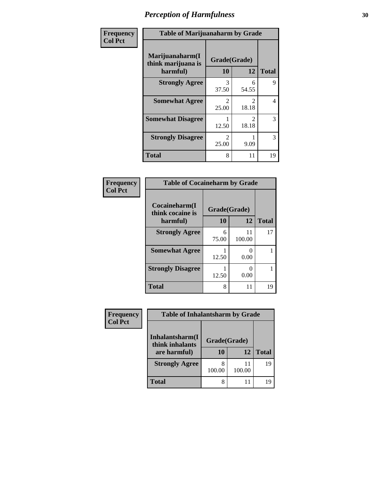| Frequency      | <b>Table of Marijuanaharm by Grade</b>            |                         |                         |              |
|----------------|---------------------------------------------------|-------------------------|-------------------------|--------------|
| <b>Col Pct</b> | Marijuanaharm(I<br>think marijuana is<br>harmful) | Grade(Grade)<br>10      | 12                      | <b>Total</b> |
|                | <b>Strongly Agree</b>                             | 3<br>37.50              | 6<br>54.55              | 9            |
|                | <b>Somewhat Agree</b>                             | $\mathfrak{D}$<br>25.00 | $\mathfrak{D}$<br>18.18 | 4            |
|                | <b>Somewhat Disagree</b>                          | 12.50                   | $\mathfrak{D}$<br>18.18 | 3            |
|                | <b>Strongly Disagree</b>                          | $\mathfrak{D}$<br>25.00 | 9.09                    | 3            |
|                | <b>Total</b>                                      | 8                       | 11                      | 19           |

#### **Frequency Col Pct**

| <b>Table of Cocaineharm by Grade</b> |              |              |              |  |  |
|--------------------------------------|--------------|--------------|--------------|--|--|
| Cocaineharm(I<br>think cocaine is    | Grade(Grade) |              |              |  |  |
| harmful)                             | 10           | 12           | <b>Total</b> |  |  |
| <b>Strongly Agree</b>                | 6<br>75.00   | 11<br>100.00 | 17           |  |  |
| <b>Somewhat Agree</b>                | 12.50        | 0.00         |              |  |  |
| <b>Strongly Disagree</b>             | 12.50        | 0.00         |              |  |  |
| <b>Total</b>                         | 8            | 11           | 19           |  |  |

| <b>Frequency</b><br>Col Pct |
|-----------------------------|

| <b>Table of Inhalantsharm by Grade</b>             |                    |                    |    |  |
|----------------------------------------------------|--------------------|--------------------|----|--|
| Inhalantsharm(I<br>think inhalants<br>are harmful) | Grade(Grade)<br>10 | <b>Total</b>       |    |  |
| <b>Strongly Agree</b>                              | 100.00             | 12<br>11<br>100.00 | 19 |  |
| Total                                              |                    |                    |    |  |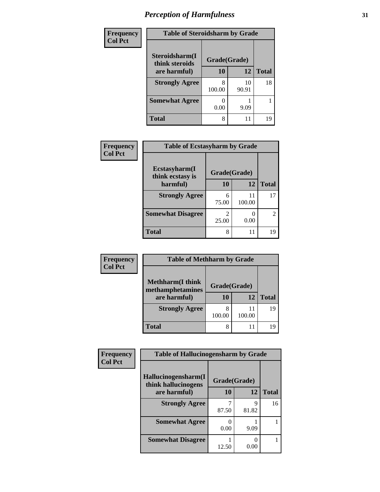| Frequency      | <b>Table of Steroidsharm by Grade</b> |              |             |              |
|----------------|---------------------------------------|--------------|-------------|--------------|
| <b>Col Pct</b> | Steroidsharm(I<br>think steroids      | Grade(Grade) |             |              |
|                | are harmful)                          | 10           | 12          | <b>Total</b> |
|                | <b>Strongly Agree</b>                 | 100.00       | 10<br>90.91 | 18           |
|                | <b>Somewhat Agree</b>                 | 0.00         | 9.09        |              |
|                | Total                                 | 8            | 11          | 19           |

| Frequency      | <b>Table of Ecstasyharm by Grade</b> |                         |        |              |
|----------------|--------------------------------------|-------------------------|--------|--------------|
| <b>Col Pct</b> | Ecstasyharm(I<br>think ecstasy is    | Grade(Grade)            |        |              |
|                | harmful)                             | 10                      | 12     | <b>Total</b> |
|                | <b>Strongly Agree</b>                | 6<br>75.00              | 100.00 | 17           |
|                | <b>Somewhat Disagree</b>             | $\mathfrak{D}$<br>25.00 | 0.00   | 2            |
|                | <b>Total</b>                         | 8                       | 11     | 19           |

| Frequency      | <b>Table of Methharm by Grade</b> |              |        |              |
|----------------|-----------------------------------|--------------|--------|--------------|
| <b>Col Pct</b> | <b>Methharm</b> (I think          |              |        |              |
|                | methamphetamines                  | Grade(Grade) |        |              |
|                | are harmful)                      | 10           | 12     | <b>Total</b> |
|                | <b>Strongly Agree</b>             |              |        | 19           |
|                |                                   | 100.00       | 100.00 |              |
|                | <b>Total</b>                      | 8            |        | 19           |

| Frequency      | <b>Table of Hallucinogensharm by Grade</b> |              |            |              |
|----------------|--------------------------------------------|--------------|------------|--------------|
| <b>Col Pct</b> | Hallucinogensharm(I                        |              |            |              |
|                | think hallucinogens                        | Grade(Grade) |            |              |
|                | are harmful)                               | 10           | 12         | <b>Total</b> |
|                | <b>Strongly Agree</b>                      | 87.50        | Q<br>81.82 | 16           |
|                | <b>Somewhat Agree</b>                      | 0.00         | 9.09       |              |
|                | <b>Somewhat Disagree</b>                   | 12.50        | 0.00       |              |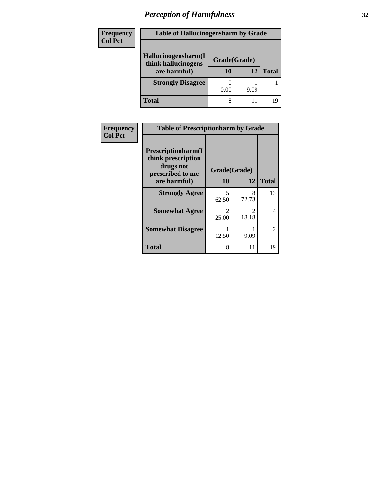| Frequency<br>Col Pct |
|----------------------|
|                      |

| <b>Table of Hallucinogensharm by Grade</b> |              |      |              |  |  |
|--------------------------------------------|--------------|------|--------------|--|--|
| Hallucinogensharm(I<br>think hallucinogens | Grade(Grade) |      |              |  |  |
| are harmful)                               | 10           | 12   | <b>Total</b> |  |  |
| <b>Strongly Disagree</b>                   |              |      |              |  |  |
|                                            | 0.00         | 9.09 |              |  |  |
| <b>Total</b>                               | 8            | 11   | 19           |  |  |

| Frequency      | <b>Table of Prescriptionharm by Grade</b>                                         |                         |                         |              |
|----------------|-----------------------------------------------------------------------------------|-------------------------|-------------------------|--------------|
| <b>Col Pct</b> | <b>Prescriptionharm(I)</b><br>think prescription<br>drugs not<br>prescribed to me | Grade(Grade)            |                         |              |
|                | are harmful)                                                                      | 10                      | 12                      | <b>Total</b> |
|                | <b>Strongly Agree</b>                                                             | 5<br>62.50              | 8<br>72.73              | 13           |
|                | <b>Somewhat Agree</b>                                                             | $\mathfrak{D}$<br>25.00 | $\mathfrak{D}$<br>18.18 |              |
|                | <b>Somewhat Disagree</b>                                                          | 12.50                   | 9.09                    | 2            |
|                | <b>Total</b>                                                                      | 8                       | 11                      | 19           |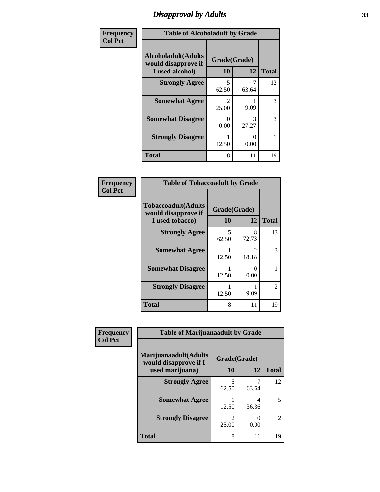### *Disapproval by Adults* **33**

| Frequency      | <b>Table of Alcoholadult by Grade</b>                                 |                    |            |              |  |
|----------------|-----------------------------------------------------------------------|--------------------|------------|--------------|--|
| <b>Col Pct</b> | <b>Alcoholadult</b> (Adults<br>would disapprove if<br>I used alcohol) | Grade(Grade)<br>10 | 12         | <b>Total</b> |  |
|                | <b>Strongly Agree</b>                                                 | 5<br>62.50         | 63.64      | 12           |  |
|                | <b>Somewhat Agree</b>                                                 | 2<br>25.00         | 9.09       | 3            |  |
|                | <b>Somewhat Disagree</b>                                              | O<br>0.00          | 3<br>27.27 | 3            |  |
|                | <b>Strongly Disagree</b>                                              | 1<br>12.50         | 0<br>0.00  |              |  |
|                | <b>Total</b>                                                          | 8                  | 11         | 19           |  |

#### **Frequency Col Pct**

| <b>Table of Tobaccoadult by Grade</b>                                 |                    |            |                |  |  |  |
|-----------------------------------------------------------------------|--------------------|------------|----------------|--|--|--|
| <b>Tobaccoadult</b> (Adults<br>would disapprove if<br>I used tobacco) | Grade(Grade)<br>10 | 12         | <b>Total</b>   |  |  |  |
| <b>Strongly Agree</b>                                                 | 5<br>62.50         | 8<br>72.73 | 13             |  |  |  |
| <b>Somewhat Agree</b>                                                 | 12.50              | 2<br>18.18 | 3              |  |  |  |
| <b>Somewhat Disagree</b>                                              | 12.50              | 0<br>0.00  |                |  |  |  |
| <b>Strongly Disagree</b>                                              | 12.50              | 9.09       | $\mathfrak{D}$ |  |  |  |
| <b>Total</b>                                                          | 8                  | 11         | 19             |  |  |  |

| Frequency      | <b>Table of Marijuanaadult by Grade</b>                           |                         |            |              |
|----------------|-------------------------------------------------------------------|-------------------------|------------|--------------|
| <b>Col Pct</b> | Marijuanaadult(Adults<br>would disapprove if I<br>used marijuana) | Grade(Grade)<br>10      | 12         | <b>Total</b> |
|                | <b>Strongly Agree</b>                                             | 5<br>62.50              | 63.64      | 12           |
|                | <b>Somewhat Agree</b>                                             | 12.50                   | 4<br>36.36 | 5            |
|                | <b>Strongly Disagree</b>                                          | $\mathfrak{D}$<br>25.00 | 0<br>0.00  | 2            |
|                | <b>Total</b>                                                      | 8                       | 11         | 19           |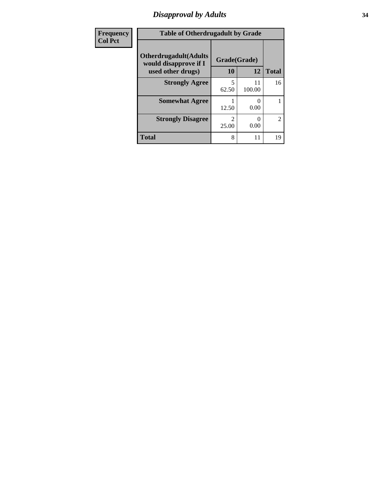### *Disapproval by Adults* **34**

| Frequency      | <b>Table of Otherdrugadult by Grade</b>                                     |                    |                           |                |
|----------------|-----------------------------------------------------------------------------|--------------------|---------------------------|----------------|
| <b>Col Pct</b> | <b>Otherdrugadult</b> (Adults<br>would disapprove if I<br>used other drugs) | Grade(Grade)<br>10 | 12                        | <b>Total</b>   |
|                | <b>Strongly Agree</b>                                                       | 62.50              | 11<br>100.00              | 16             |
|                | <b>Somewhat Agree</b>                                                       | 12.50              | $\mathbf{\Omega}$<br>0.00 |                |
|                | <b>Strongly Disagree</b>                                                    | っ<br>25.00         | 0<br>0.00                 | $\overline{2}$ |
|                | <b>Total</b>                                                                | 8                  | 11                        | 19             |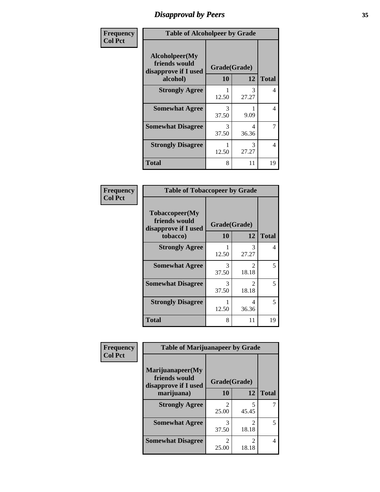### *Disapproval by Peers* **35**

| Frequency      | <b>Table of Alcoholpeer by Grade</b>                    |              |            |              |  |
|----------------|---------------------------------------------------------|--------------|------------|--------------|--|
| <b>Col Pct</b> | Alcoholpeer(My<br>friends would<br>disapprove if I used | Grade(Grade) |            |              |  |
|                | alcohol)                                                | 10           | 12         | <b>Total</b> |  |
|                | <b>Strongly Agree</b>                                   | 12.50        | 3<br>27.27 | 4            |  |
|                | <b>Somewhat Agree</b>                                   | 3<br>37.50   | 9.09       | 4            |  |
|                | <b>Somewhat Disagree</b>                                | 3<br>37.50   | 4<br>36.36 | 7            |  |
|                | <b>Strongly Disagree</b>                                | 12.50        | 3<br>27.27 | 4            |  |
|                | Total                                                   | 8            | 11         | 19           |  |

| Frequency      | <b>Table of Tobaccopeer by Grade</b>                                |                    |                                      |              |
|----------------|---------------------------------------------------------------------|--------------------|--------------------------------------|--------------|
| <b>Col Pct</b> | Tobaccopeer(My<br>friends would<br>disapprove if I used<br>tobacco) | Grade(Grade)<br>10 | 12                                   | <b>Total</b> |
|                | <b>Strongly Agree</b>                                               | 12.50              | 3<br>27.27                           | 4            |
|                | <b>Somewhat Agree</b>                                               | 3<br>37.50         | $\mathcal{D}_{\mathcal{L}}$<br>18.18 | 5            |
|                | <b>Somewhat Disagree</b>                                            | 3<br>37.50         | 2<br>18.18                           | 5            |
|                | <b>Strongly Disagree</b>                                            | 12.50              | 4<br>36.36                           | 5            |
|                | Total                                                               | 8                  | 11                                   | 19           |

| Frequency      | <b>Table of Marijuanapeer by Grade</b>                    |                         |                         |              |
|----------------|-----------------------------------------------------------|-------------------------|-------------------------|--------------|
| <b>Col Pct</b> | Marijuanapeer(My<br>friends would<br>disapprove if I used | Grade(Grade)            |                         |              |
|                | marijuana)                                                | <b>10</b>               | 12                      | <b>Total</b> |
|                | <b>Strongly Agree</b>                                     | $\mathfrak{D}$<br>25.00 | 5<br>45.45              |              |
|                | <b>Somewhat Agree</b>                                     | 3<br>37.50              | $\mathfrak{D}$<br>18.18 | 5            |
|                | <b>Somewhat Disagree</b>                                  | $\mathfrak{D}$<br>25.00 | $\mathfrak{D}$<br>18.18 | 4            |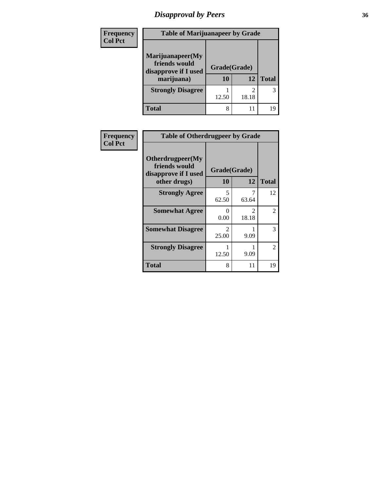# *Disapproval by Peers* **36**

| <b>Frequency</b> | <b>Table of Marijuanapeer by Grade</b>                                  |                          |       |              |  |
|------------------|-------------------------------------------------------------------------|--------------------------|-------|--------------|--|
| <b>Col Pct</b>   | Marijuanapeer(My<br>friends would<br>disapprove if I used<br>marijuana) | Grade(Grade)<br>12<br>10 |       | <b>Total</b> |  |
|                  | <b>Strongly Disagree</b>                                                | 12.50                    | 18.18 | 3            |  |
|                  | <b>Total</b>                                                            | 8                        |       | 19           |  |

| Frequency      | <b>Table of Otherdrugpeer by Grade</b>                                    |                         |            |              |  |
|----------------|---------------------------------------------------------------------------|-------------------------|------------|--------------|--|
| <b>Col Pct</b> | Otherdrugpeer(My<br>friends would<br>disapprove if I used<br>other drugs) | Grade(Grade)<br>10      | 12         | <b>Total</b> |  |
|                | <b>Strongly Agree</b>                                                     | 5<br>62.50              | 7<br>63.64 | 12           |  |
|                | <b>Somewhat Agree</b>                                                     | 0.00                    | 2<br>18.18 | 2            |  |
|                | <b>Somewhat Disagree</b>                                                  | $\mathfrak{D}$<br>25.00 | 9.09       | 3            |  |
|                | <b>Strongly Disagree</b>                                                  | 12.50                   | 9.09       | 2            |  |
|                | <b>Total</b>                                                              | 8                       | 11         | 19           |  |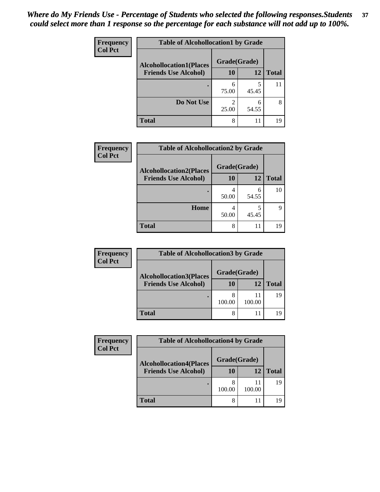| Frequency      | <b>Table of Alcohollocation1 by Grade</b> |              |            |              |
|----------------|-------------------------------------------|--------------|------------|--------------|
| <b>Col Pct</b> | <b>Alcohollocation1(Places</b>            | Grade(Grade) |            |              |
|                | <b>Friends Use Alcohol)</b>               | 10           | 12         | <b>Total</b> |
|                |                                           | 6<br>75.00   | 5<br>45.45 | 11           |
|                | Do Not Use                                | 2<br>25.00   | 6<br>54.55 | 8            |
|                | <b>Total</b>                              | 8            | 11         | 19           |

| Frequency      | <b>Table of Alcohollocation2 by Grade</b> |              |       |              |
|----------------|-------------------------------------------|--------------|-------|--------------|
| <b>Col Pct</b> | <b>Alcohollocation2(Places</b>            | Grade(Grade) |       |              |
|                | <b>Friends Use Alcohol)</b>               | 10           | 12    | <b>Total</b> |
|                |                                           | 50.00        | 54.55 | 10           |
|                | Home                                      | 4<br>50.00   | 45.45 |              |
|                | <b>Total</b>                              | 8            | 11    | 19           |

| Frequency      | <b>Table of Alcohollocation3 by Grade</b> |              |        |              |  |
|----------------|-------------------------------------------|--------------|--------|--------------|--|
| <b>Col Pct</b> | <b>Alcohollocation3(Places</b>            | Grade(Grade) |        |              |  |
|                | <b>Friends Use Alcohol)</b>               | 10           | 12     | <b>Total</b> |  |
|                |                                           | 100.00       | 100.00 | 19           |  |
|                | <b>Total</b>                              | 8            |        | 19           |  |

| <b>Frequency</b> | <b>Table of Alcohollocation4 by Grade</b> |              |              |              |
|------------------|-------------------------------------------|--------------|--------------|--------------|
| <b>Col Pct</b>   | <b>Alcohollocation4(Places</b>            | Grade(Grade) |              |              |
|                  | <b>Friends Use Alcohol)</b>               | 10           | 12           | <b>Total</b> |
|                  |                                           | 100.00       | 11<br>100.00 | 19           |
|                  | <b>Total</b>                              | 8            | 11           | 19           |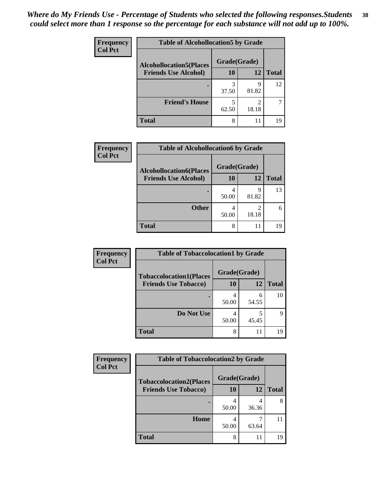| Frequency<br><b>Col Pct</b> | <b>Table of Alcohollocation5 by Grade</b> |              |            |              |  |
|-----------------------------|-------------------------------------------|--------------|------------|--------------|--|
|                             | <b>Alcohollocation5(Places</b>            | Grade(Grade) |            |              |  |
|                             | <b>Friends Use Alcohol)</b>               | 10           | 12         | <b>Total</b> |  |
|                             |                                           | 3<br>37.50   | q<br>81.82 | 12           |  |
|                             | <b>Friend's House</b>                     | 5<br>62.50   | 2<br>18.18 |              |  |
|                             | <b>Total</b>                              | 8            | 11         | 19           |  |

| <b>Frequency</b> | <b>Table of Alcohollocation6 by Grade</b>                     |                    |            |              |
|------------------|---------------------------------------------------------------|--------------------|------------|--------------|
| <b>Col Pct</b>   | <b>Alcohollocation6(Places</b><br><b>Friends Use Alcohol)</b> | Grade(Grade)<br>10 | 12         | <b>Total</b> |
|                  |                                                               | 50.00              | 9<br>81.82 | 13           |
|                  | <b>Other</b>                                                  | 50.00              | 18.18      | 6            |
|                  | <b>Total</b>                                                  | 8                  | 11         | 19           |

| <b>Frequency</b> | <b>Table of Tobaccolocation1 by Grade</b> |              |            |              |
|------------------|-------------------------------------------|--------------|------------|--------------|
| <b>Col Pct</b>   | <b>Tobaccolocation1(Places</b>            | Grade(Grade) |            |              |
|                  | <b>Friends Use Tobacco)</b>               | 10           | 12         | <b>Total</b> |
|                  |                                           | 50.00        | h<br>54.55 | 10           |
|                  | Do Not Use                                | 50.00        | 45.45      | Q            |
|                  | <b>Total</b>                              | 8            | 11         | 19           |

| Frequency      | <b>Table of Tobaccolocation2 by Grade</b> |              |       |              |  |
|----------------|-------------------------------------------|--------------|-------|--------------|--|
| <b>Col Pct</b> | <b>Tobaccolocation2(Places</b>            | Grade(Grade) |       |              |  |
|                | <b>Friends Use Tobacco)</b>               | 10           | 12    | <b>Total</b> |  |
|                |                                           | 50.00        | 36.36 | 8            |  |
|                | Home                                      | 50.00        | 63.64 |              |  |
|                | <b>Total</b>                              | 8            | 11    | 19           |  |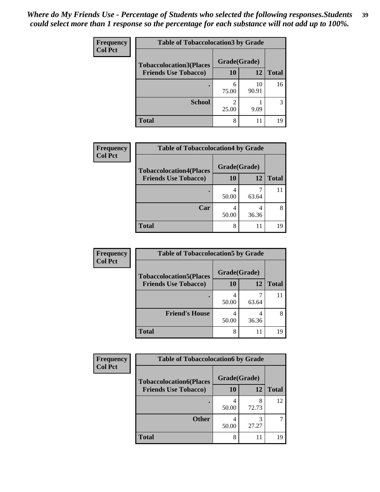| Frequency      | <b>Table of Tobaccolocation 3 by Grade</b> |              |             |              |
|----------------|--------------------------------------------|--------------|-------------|--------------|
| <b>Col Pct</b> | <b>Tobaccolocation3(Places</b>             | Grade(Grade) |             |              |
|                | <b>Friends Use Tobacco)</b>                | 10           | <b>12</b>   | <b>Total</b> |
|                |                                            | 6<br>75.00   | 10<br>90.91 | 16           |
|                | <b>School</b>                              | າ<br>25.00   | 9.09        | 3            |
|                | <b>Total</b>                               | 8            | 11          | 19           |

| Frequency      | <b>Table of Tobaccolocation4 by Grade</b>                     |                           |            |              |
|----------------|---------------------------------------------------------------|---------------------------|------------|--------------|
| <b>Col Pct</b> | <b>Tobaccolocation4(Places</b><br><b>Friends Use Tobacco)</b> | Grade(Grade)<br><b>10</b> | 12         | <b>Total</b> |
|                |                                                               | 50.00                     | 63.64      |              |
|                | Car                                                           | 4<br>50.00                | 4<br>36.36 |              |
|                | <b>Total</b>                                                  | 8                         | 11         | 19           |

| Frequency      | <b>Table of Tobaccolocation5 by Grade</b> |              |       |              |
|----------------|-------------------------------------------|--------------|-------|--------------|
| <b>Col Pct</b> | <b>Tobaccolocation5(Places</b>            | Grade(Grade) |       |              |
|                | <b>Friends Use Tobacco)</b>               | 10           | 12    | <b>Total</b> |
|                |                                           | 50.00        | 63.64 |              |
|                | <b>Friend's House</b>                     | 4<br>50.00   | 36.36 |              |
|                | <b>Total</b>                              | 8            | 11    | 19           |

| Frequency      | <b>Table of Tobaccolocation6 by Grade</b> |              |            |              |  |
|----------------|-------------------------------------------|--------------|------------|--------------|--|
| <b>Col Pct</b> | <b>Tobaccolocation6(Places</b>            | Grade(Grade) |            |              |  |
|                | <b>Friends Use Tobacco)</b>               | 10           | 12         | <b>Total</b> |  |
|                |                                           | 50.00        | 8<br>72.73 | 12           |  |
|                | <b>Other</b>                              | 50.00        | 3<br>27.27 |              |  |
|                | <b>Total</b>                              | 8            | 11         | 19           |  |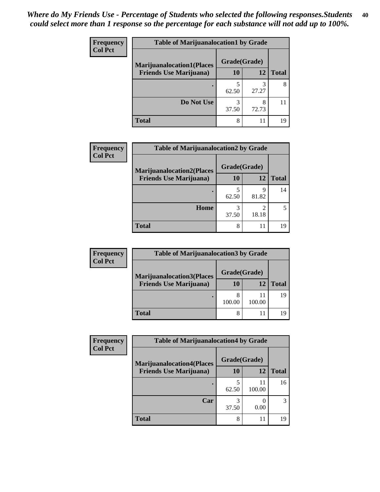| <b>Frequency</b> | <b>Table of Marijuanalocation1 by Grade</b> |              |            |              |
|------------------|---------------------------------------------|--------------|------------|--------------|
| <b>Col Pct</b>   | <b>Marijuanalocation1(Places</b>            | Grade(Grade) |            |              |
|                  | <b>Friends Use Marijuana</b> )              | <b>10</b>    | 12         | <b>Total</b> |
|                  |                                             | 62.50        | 27.27      | 8            |
|                  | Do Not Use                                  | 3<br>37.50   | 8<br>72.73 |              |
|                  | <b>Total</b>                                | 8            | 11         | 19           |

| Frequency      | <b>Table of Marijuanalocation2 by Grade</b>                        |                    |            |              |
|----------------|--------------------------------------------------------------------|--------------------|------------|--------------|
| <b>Col Pct</b> | <b>Marijuanalocation2(Places</b><br><b>Friends Use Marijuana</b> ) | Grade(Grade)<br>10 | 12         | <b>Total</b> |
|                |                                                                    | 62.50              | Q<br>81.82 | 14           |
|                | Home                                                               | 37.50              | 18.18      |              |
|                | <b>Total</b>                                                       | 8                  | 11         |              |

| <b>Frequency</b> | <b>Table of Marijuanalocation3 by Grade</b> |              |              |              |  |
|------------------|---------------------------------------------|--------------|--------------|--------------|--|
| <b>Col Pct</b>   | <b>Marijuanalocation3(Places</b>            | Grade(Grade) |              |              |  |
|                  | <b>Friends Use Marijuana</b> )              | 10           | 12           | <b>Total</b> |  |
|                  |                                             | 100.00       | 11<br>100.00 | 19           |  |
|                  | <b>Total</b>                                |              | 11           |              |  |

| Frequency<br><b>Col Pct</b> | <b>Table of Marijuanalocation4 by Grade</b> |              |              |              |
|-----------------------------|---------------------------------------------|--------------|--------------|--------------|
|                             | <b>Marijuanalocation4(Places</b>            | Grade(Grade) |              |              |
|                             | <b>Friends Use Marijuana</b> )              | <b>10</b>    | 12           | <b>Total</b> |
|                             |                                             | 62.50        | 11<br>100.00 | 16           |
|                             | Car                                         | 3<br>37.50   | 0.00         | 3            |
|                             | <b>Total</b>                                | 8            | 11           | 19           |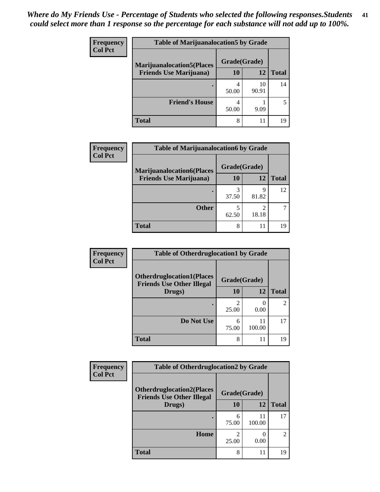| <b>Frequency</b> | <b>Table of Marijuanalocation5 by Grade</b> |              |             |              |
|------------------|---------------------------------------------|--------------|-------------|--------------|
| <b>Col Pct</b>   | <b>Marijuanalocation5</b> (Places           | Grade(Grade) |             |              |
|                  | <b>Friends Use Marijuana</b> )              | 10           | 12          | <b>Total</b> |
|                  |                                             | 50.00        | 10<br>90.91 | 14           |
|                  | <b>Friend's House</b>                       | 4<br>50.00   | 9.09        |              |
|                  | <b>Total</b>                                | 8            | 11          | 19           |

| <b>Frequency</b> | <b>Table of Marijuanalocation6 by Grade</b>                        |                    |            |              |
|------------------|--------------------------------------------------------------------|--------------------|------------|--------------|
| <b>Col Pct</b>   | <b>Marijuanalocation6(Places</b><br><b>Friends Use Marijuana</b> ) | Grade(Grade)<br>10 | 12         | <b>Total</b> |
|                  |                                                                    | 3<br>37.50         | Q<br>81.82 | 12           |
|                  | <b>Other</b>                                                       | 62.50              | ∍<br>18.18 |              |
|                  | <b>Total</b>                                                       | 8                  | 11         | 19           |

| <b>Frequency</b> | <b>Table of Otherdruglocation1 by Grade</b>                          |              |              |                |
|------------------|----------------------------------------------------------------------|--------------|--------------|----------------|
| <b>Col Pct</b>   | <b>Otherdruglocation1(Places</b><br><b>Friends Use Other Illegal</b> | Grade(Grade) |              |                |
|                  | Drugs)                                                               | 10           | 12           | <b>Total</b>   |
|                  |                                                                      | 25.00        | 0.00         | $\mathfrak{D}$ |
|                  | Do Not Use                                                           | 6<br>75.00   | 11<br>100.00 | 17             |
|                  | <b>Total</b>                                                         | 8            | 11           | 19             |

| <b>Frequency</b> | <b>Table of Otherdruglocation2 by Grade</b>                          |                         |              |                |
|------------------|----------------------------------------------------------------------|-------------------------|--------------|----------------|
| <b>Col Pct</b>   | <b>Otherdruglocation2(Places</b><br><b>Friends Use Other Illegal</b> | Grade(Grade)            |              |                |
|                  | Drugs)                                                               | 10                      | 12           | <b>Total</b>   |
|                  |                                                                      | 6<br>75.00              | 11<br>100.00 | 17             |
|                  | Home                                                                 | $\mathfrak{D}$<br>25.00 | 0<br>0.00    | $\overline{c}$ |
|                  | <b>Total</b>                                                         | 8                       | 11           | 19             |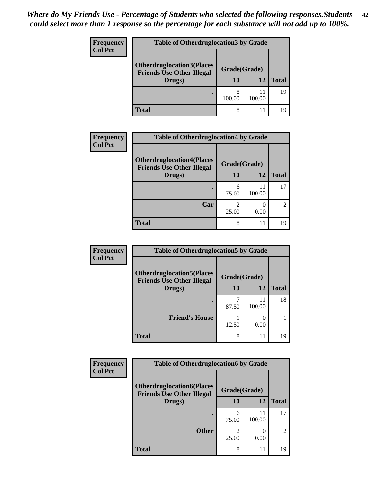| <b>Frequency</b> | <b>Table of Otherdruglocation 3 by Grade</b>                         |              |              |              |  |  |
|------------------|----------------------------------------------------------------------|--------------|--------------|--------------|--|--|
| <b>Col Pct</b>   | <b>Otherdruglocation3(Places</b><br><b>Friends Use Other Illegal</b> | Grade(Grade) |              |              |  |  |
|                  | Drugs)                                                               | <b>10</b>    | 12           | <b>Total</b> |  |  |
|                  |                                                                      | 8<br>100.00  | 11<br>100.00 | 19           |  |  |
|                  | <b>Total</b>                                                         | 8            | 11           | 19           |  |  |

| Frequency      | <b>Table of Otherdruglocation4 by Grade</b>                          |              |                           |               |
|----------------|----------------------------------------------------------------------|--------------|---------------------------|---------------|
| <b>Col Pct</b> | <b>Otherdruglocation4(Places</b><br><b>Friends Use Other Illegal</b> | Grade(Grade) |                           |               |
|                | Drugs)                                                               | 10           | 12                        | <b>Total</b>  |
|                |                                                                      | 6<br>75.00   | 11<br>100.00              | 17            |
|                | Car                                                                  | 25.00        | $\mathbf{\Omega}$<br>0.00 | $\mathcal{L}$ |
|                | <b>Total</b>                                                         | 8            | 11                        | 19            |

| Frequency      | <b>Table of Otherdruglocation5 by Grade</b>                          |              |              |              |
|----------------|----------------------------------------------------------------------|--------------|--------------|--------------|
| <b>Col Pct</b> | <b>Otherdruglocation5(Places</b><br><b>Friends Use Other Illegal</b> | Grade(Grade) |              |              |
|                | Drugs)                                                               | 10           | 12           | <b>Total</b> |
|                |                                                                      | 87.50        | 11<br>100.00 | 18           |
|                | <b>Friend's House</b>                                                | 12.50        | 0.00         |              |
|                | <b>Total</b>                                                         | 8            | 11           | 19           |

| <b>Frequency</b> | <b>Table of Otherdruglocation6 by Grade</b>                          |              |              |               |
|------------------|----------------------------------------------------------------------|--------------|--------------|---------------|
| <b>Col Pct</b>   | <b>Otherdruglocation6(Places</b><br><b>Friends Use Other Illegal</b> | Grade(Grade) |              |               |
|                  | Drugs)                                                               | 10           | 12           | <b>Total</b>  |
|                  |                                                                      | 6<br>75.00   | 11<br>100.00 | 17            |
|                  | <b>Other</b>                                                         | 25.00        | 0.00         | $\mathcal{D}$ |
|                  | <b>Total</b>                                                         | 8            | 11           | 19            |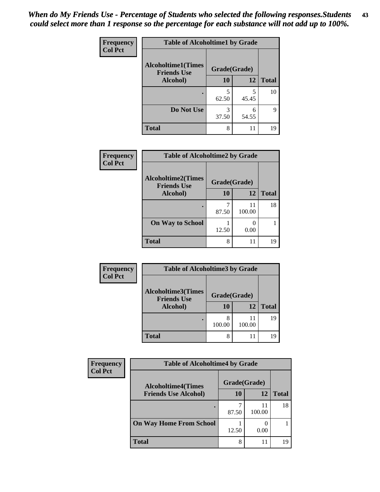| Frequency      | <b>Table of Alcoholtime1 by Grade</b>           |              |            |              |
|----------------|-------------------------------------------------|--------------|------------|--------------|
| <b>Col Pct</b> | <b>Alcoholtime1(Times</b><br><b>Friends Use</b> | Grade(Grade) |            |              |
|                | Alcohol)                                        | 10           | 12         | <b>Total</b> |
|                |                                                 | 5<br>62.50   | 5<br>45.45 | 10           |
|                | Do Not Use                                      | 3<br>37.50   | 6<br>54.55 | 9            |
|                | <b>Total</b>                                    | 8            | 11         | 19           |

| <b>Frequency</b> | <b>Table of Alcoholtime2 by Grade</b>           |              |              |              |
|------------------|-------------------------------------------------|--------------|--------------|--------------|
| <b>Col Pct</b>   | <b>Alcoholtime2(Times</b><br><b>Friends Use</b> | Grade(Grade) |              |              |
|                  | Alcohol)                                        | 10           | 12           | <b>Total</b> |
|                  |                                                 | 87.50        | 11<br>100.00 | 18           |
|                  | <b>On Way to School</b>                         | 12.50        | 0.00         |              |
|                  | <b>Total</b>                                    | 8            | 11           | 19           |

| Frequency      | <b>Table of Alcoholtime3 by Grade</b>           |              |        |              |
|----------------|-------------------------------------------------|--------------|--------|--------------|
| <b>Col Pct</b> | <b>Alcoholtime3(Times</b><br><b>Friends Use</b> | Grade(Grade) |        |              |
|                | Alcohol)                                        | 10           | 12     | <b>Total</b> |
|                |                                                 | 8<br>100.00  | 100.00 | 19           |
|                | <b>Total</b>                                    | 8            |        | 19           |

| Frequency<br><b>Col Pct</b> | <b>Table of Alcoholtime4 by Grade</b> |              |              |              |
|-----------------------------|---------------------------------------|--------------|--------------|--------------|
|                             | <b>Alcoholtime4(Times</b>             | Grade(Grade) |              |              |
|                             | <b>Friends Use Alcohol)</b>           | 10           | 12           | <b>Total</b> |
|                             |                                       | 87.50        | 11<br>100.00 | 18           |
|                             | <b>On Way Home From School</b>        | 12.50        | 0.00         |              |
|                             | <b>Total</b>                          | 8            | 11           | 19           |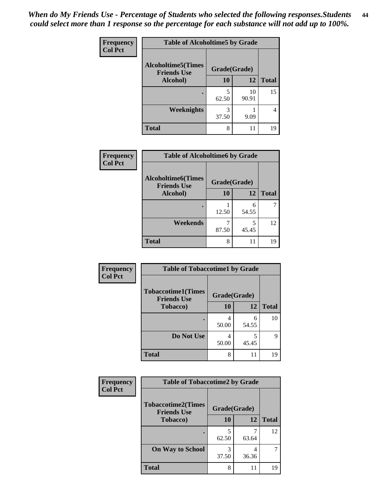*When do My Friends Use - Percentage of Students who selected the following responses.Students could select more than 1 response so the percentage for each substance will not add up to 100%.* **44**

| Frequency      | <b>Table of Alcoholtime5 by Grade</b>           |              |             |              |
|----------------|-------------------------------------------------|--------------|-------------|--------------|
| <b>Col Pct</b> | <b>Alcoholtime5(Times</b><br><b>Friends Use</b> | Grade(Grade) |             |              |
|                | Alcohol)                                        | 10           | 12          | <b>Total</b> |
|                |                                                 | 5<br>62.50   | 10<br>90.91 | 15           |
|                | <b>Weeknights</b>                               | 3<br>37.50   | 9.09        |              |
|                | <b>Total</b>                                    | 8            | 11          | 19           |

| Frequency | <b>Table of Alcoholtime6 by Grade</b>           |              |            |              |
|-----------|-------------------------------------------------|--------------|------------|--------------|
| Col Pct   | <b>Alcoholtime6(Times</b><br><b>Friends Use</b> | Grade(Grade) |            |              |
|           | Alcohol)                                        | 10           | 12         | <b>Total</b> |
|           | ٠                                               | 12.50        | 6<br>54.55 |              |
|           | Weekends                                        | 87.50        | 5<br>45.45 | 12           |
|           | <b>Total</b>                                    | 8            | 11         | 19           |
|           |                                                 |              |            |              |

| Frequency      | <b>Table of Tobaccotime1 by Grade</b>           |              |            |              |
|----------------|-------------------------------------------------|--------------|------------|--------------|
| <b>Col Pct</b> | <b>Tobaccotime1(Times</b><br><b>Friends Use</b> | Grade(Grade) |            |              |
|                | <b>Tobacco</b> )                                | 10           | 12         | <b>Total</b> |
|                | ٠                                               | 4<br>50.00   | 6<br>54.55 | 10           |
|                | Do Not Use                                      | 50.00        | 5<br>45.45 | 9            |
|                | <b>Total</b>                                    | 8            |            | 19           |

| <b>Frequency</b> | <b>Table of Tobaccotime2 by Grade</b>           |              |            |              |
|------------------|-------------------------------------------------|--------------|------------|--------------|
| <b>Col Pct</b>   | <b>Tobaccotime2(Times</b><br><b>Friends Use</b> | Grade(Grade) |            |              |
|                  | <b>Tobacco</b> )                                | 10           | 12         | <b>Total</b> |
|                  |                                                 | 5<br>62.50   | 63.64      | 12           |
|                  | <b>On Way to School</b>                         | 3<br>37.50   | 4<br>36.36 |              |
|                  | <b>Total</b>                                    | 8            | 11         | 19           |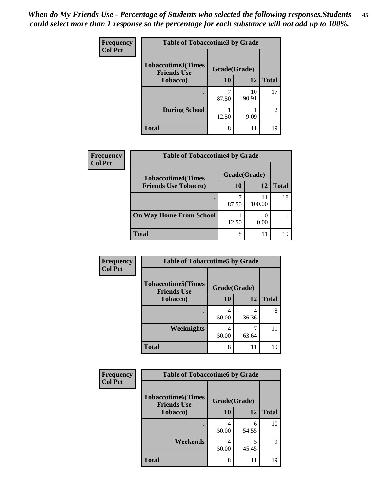| Frequency      | <b>Table of Tobaccotime3 by Grade</b>           |              |             |                |
|----------------|-------------------------------------------------|--------------|-------------|----------------|
| <b>Col Pct</b> | <b>Tobaccotime3(Times</b><br><b>Friends Use</b> | Grade(Grade) |             |                |
|                | <b>Tobacco</b> )                                | 10           | 12          | <b>Total</b>   |
|                | ٠                                               | 87.50        | 10<br>90.91 | 17             |
|                | <b>During School</b>                            | 12.50        | 9.09        | $\overline{2}$ |
|                | <b>Total</b>                                    | 8            |             | 19             |

| Frequency<br><b>Col Pct</b> | <b>Table of Tobaccotime4 by Grade</b> |              |              |              |
|-----------------------------|---------------------------------------|--------------|--------------|--------------|
|                             | <b>Tobaccotime4(Times</b>             | Grade(Grade) |              |              |
|                             | <b>Friends Use Tobacco)</b>           | 10           | 12           | <b>Total</b> |
|                             |                                       | 87.50        | 11<br>100.00 | 18           |
|                             | <b>On Way Home From School</b>        | 12.50        | 0.00         |              |
|                             | <b>Total</b>                          | 8            | 11           | 19           |

| Frequency      | <b>Table of Tobaccotime5 by Grade</b>           |              |            |              |
|----------------|-------------------------------------------------|--------------|------------|--------------|
| <b>Col Pct</b> | <b>Tobaccotime5(Times</b><br><b>Friends Use</b> | Grade(Grade) |            |              |
|                | <b>Tobacco</b> )                                | 10           | 12         | <b>Total</b> |
|                |                                                 | 50.00        | 4<br>36.36 | 8            |
|                | Weeknights                                      | 50.00        | 63.64      | 11           |
|                | <b>Total</b>                                    | 8            | 11         | 19           |

| Frequency<br><b>Col Pct</b> | <b>Table of Tobaccotime6 by Grade</b>                           |            |            |              |
|-----------------------------|-----------------------------------------------------------------|------------|------------|--------------|
|                             | <b>Tobaccotime6(Times</b><br>Grade(Grade)<br><b>Friends Use</b> |            |            |              |
|                             | <b>Tobacco</b> )                                                | <b>10</b>  | 12         | <b>Total</b> |
|                             |                                                                 | 4<br>50.00 | 6<br>54.55 | 10           |
|                             | Weekends                                                        | 4<br>50.00 | 5<br>45.45 | 9            |
|                             | <b>Total</b>                                                    | 8          | 11         | 19           |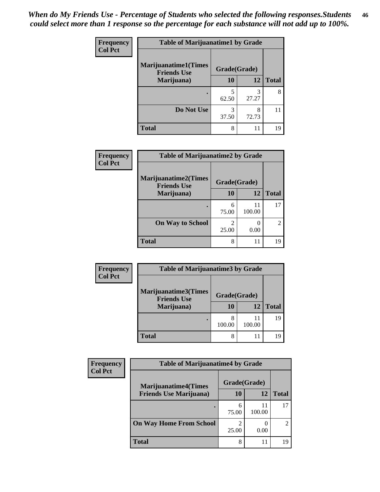| Frequency      | <b>Table of Marijuanatime1 by Grade</b>           |              |            |              |
|----------------|---------------------------------------------------|--------------|------------|--------------|
| <b>Col Pct</b> | <b>Marijuanatime1(Times</b><br><b>Friends Use</b> | Grade(Grade) |            |              |
|                | Marijuana)                                        | 10           | 12         | <b>Total</b> |
|                |                                                   | 5<br>62.50   | 3<br>27.27 | 8            |
|                | Do Not Use                                        | 3<br>37.50   | 8<br>72.73 |              |
|                | <b>Total</b>                                      | 8            | 11         | 19           |

| Frequency      | <b>Table of Marijuanatime2 by Grade</b>           |                         |              |                |
|----------------|---------------------------------------------------|-------------------------|--------------|----------------|
| <b>Col Pct</b> | <b>Marijuanatime2(Times</b><br><b>Friends Use</b> | Grade(Grade)            |              |                |
|                | Marijuana)                                        | 10                      | 12           | <b>Total</b>   |
|                |                                                   | 6<br>75.00              | 11<br>100.00 | 17             |
|                | <b>On Way to School</b>                           | $\mathfrak{D}$<br>25.00 | 0.00         | $\overline{2}$ |
|                | <b>Total</b>                                      | 8                       | 11           | 19             |

| <b>Frequency</b><br><b>Col Pct</b> | <b>Table of Marijuanatime3 by Grade</b>    |              |              |              |
|------------------------------------|--------------------------------------------|--------------|--------------|--------------|
|                                    | Marijuanatime3(Times<br><b>Friends Use</b> | Grade(Grade) |              |              |
|                                    | Marijuana)                                 | 10           | 12           | <b>Total</b> |
|                                    |                                            | 8<br>100.00  | 11<br>100.00 | 19           |
|                                    | <b>Total</b>                               | 8            |              | 19           |

| Frequency      | <b>Table of Marijuanatime4 by Grade</b>                       |                    |              |              |
|----------------|---------------------------------------------------------------|--------------------|--------------|--------------|
| <b>Col Pct</b> | <b>Marijuanatime4(Times</b><br><b>Friends Use Marijuana</b> ) | Grade(Grade)<br>10 | 12           | <b>Total</b> |
|                |                                                               | 6<br>75.00         | 11<br>100.00 |              |
|                | <b>On Way Home From School</b>                                | 2<br>25.00         | 0.00         |              |
|                | <b>Total</b>                                                  | 8                  | 11           |              |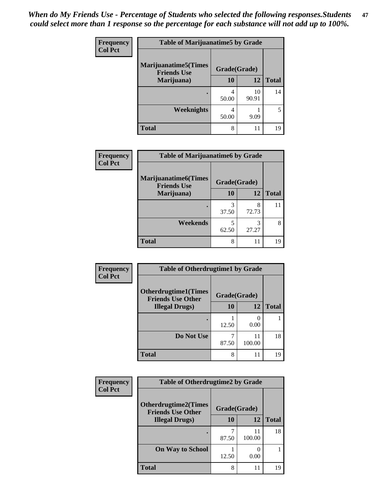| Frequency<br><b>Col Pct</b> | <b>Table of Marijuanatime5 by Grade</b>            |              |             |                          |
|-----------------------------|----------------------------------------------------|--------------|-------------|--------------------------|
|                             | <b>Marijuanatime5</b> (Times<br><b>Friends Use</b> | Grade(Grade) |             |                          |
|                             | Marijuana)                                         | 10           | 12          | <b>Total</b>             |
|                             |                                                    | 4<br>50.00   | 10<br>90.91 | 14                       |
|                             | <b>Weeknights</b>                                  | 4<br>50.00   | 9.09        | $\overline{\phantom{0}}$ |
|                             | <b>Total</b>                                       | 8            | 11          | 19                       |

| <b>Frequency</b><br><b>Col Pct</b> | <b>Table of Marijuanatime6 by Grade</b>            |              |            |              |
|------------------------------------|----------------------------------------------------|--------------|------------|--------------|
|                                    | <b>Marijuanatime6</b> (Times<br><b>Friends Use</b> | Grade(Grade) |            |              |
|                                    | Marijuana)                                         | 10           | 12         | <b>Total</b> |
|                                    |                                                    | 3<br>37.50   | 8<br>72.73 | 11           |
|                                    | Weekends                                           | 5<br>62.50   | 27.27      | 8            |
|                                    | <b>Total</b>                                       | 8            | 11         | 19           |

| <b>Frequency</b> | <b>Table of Otherdrugtime1 by Grade</b>                 |              |              |              |  |
|------------------|---------------------------------------------------------|--------------|--------------|--------------|--|
| <b>Col Pct</b>   | <b>Otherdrugtime1(Times</b><br><b>Friends Use Other</b> | Grade(Grade) |              |              |  |
|                  | <b>Illegal Drugs</b> )                                  | 10           | 12           | <b>Total</b> |  |
|                  |                                                         | 12.50        | 0.00         |              |  |
|                  | Do Not Use                                              | 87.50        | 11<br>100.00 | 18           |  |
|                  | <b>Total</b>                                            | 8            | 11           | 19           |  |

| <b>Frequency</b><br><b>Col Pct</b> | <b>Table of Otherdrugtime2 by Grade</b>                 |              |              |              |  |
|------------------------------------|---------------------------------------------------------|--------------|--------------|--------------|--|
|                                    | <b>Otherdrugtime2(Times</b><br><b>Friends Use Other</b> | Grade(Grade) |              |              |  |
|                                    | <b>Illegal Drugs</b> )                                  | 10           | 12           | <b>Total</b> |  |
|                                    |                                                         | 87.50        | 11<br>100.00 | 18           |  |
|                                    | <b>On Way to School</b>                                 | 12.50        | 0.00         |              |  |
|                                    | Total                                                   | 8            | 11           | 19           |  |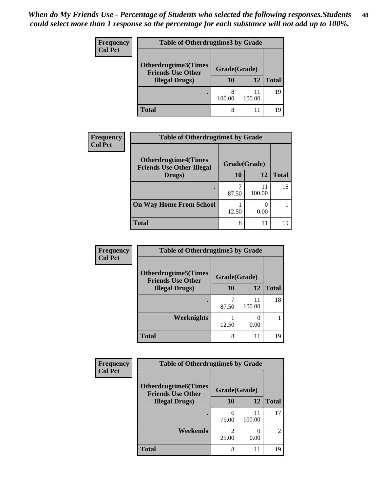| <b>Frequency</b> | <b>Table of Otherdrugtime3 by Grade</b>          |              |              |              |
|------------------|--------------------------------------------------|--------------|--------------|--------------|
| <b>Col Pct</b>   | Otherdrugtime3(Times<br><b>Friends Use Other</b> | Grade(Grade) |              |              |
|                  | <b>Illegal Drugs</b> )                           | 10           | 12           | <b>Total</b> |
|                  |                                                  | 8<br>100.00  | 11<br>100.00 | 19           |
|                  | Total                                            | 8            | 11           | 19           |

| <b>Frequency</b> | <b>Table of Otherdrugtime4 by Grade</b>                         |              |              |              |
|------------------|-----------------------------------------------------------------|--------------|--------------|--------------|
| <b>Col Pct</b>   | <b>Otherdrugtime4(Times</b><br><b>Friends Use Other Illegal</b> | Grade(Grade) |              |              |
|                  | Drugs)                                                          | 10           | 12           | <b>Total</b> |
|                  |                                                                 | 87.50        | 11<br>100.00 | 18           |
|                  | <b>On Way Home From School</b>                                  | 12.50        | 0.00         |              |
|                  | <b>Total</b>                                                    | 8            | 11           | 19           |

| Frequency      | <b>Table of Otherdrugtime5 by Grade</b>                  |              |              |              |
|----------------|----------------------------------------------------------|--------------|--------------|--------------|
| <b>Col Pct</b> | <b>Otherdrugtime5</b> (Times<br><b>Friends Use Other</b> | Grade(Grade) |              |              |
|                | <b>Illegal Drugs</b> )                                   | 10           | 12           | <b>Total</b> |
|                |                                                          | 87.50        | 11<br>100.00 | 18           |
|                | <b>Weeknights</b>                                        | 12.50        | 0.00         |              |
|                | <b>Total</b>                                             | 8            | 11           | 19           |

| Frequency      | <b>Table of Otherdrugtime6 by Grade</b>                  |              |              |                                                                                                                                                                 |
|----------------|----------------------------------------------------------|--------------|--------------|-----------------------------------------------------------------------------------------------------------------------------------------------------------------|
| <b>Col Pct</b> | <b>Otherdrugtime6</b> (Times<br><b>Friends Use Other</b> | Grade(Grade) |              |                                                                                                                                                                 |
|                | <b>Illegal Drugs</b> )                                   | 10           | 12           | <b>Total</b>                                                                                                                                                    |
|                |                                                          | 6<br>75.00   | 11<br>100.00 | 17                                                                                                                                                              |
|                | Weekends                                                 | 25.00        | 0.00         | $\mathcal{D}_{\mathcal{A}}^{\mathcal{A}}(\mathcal{A})=\mathcal{D}_{\mathcal{A}}^{\mathcal{A}}(\mathcal{A})\mathcal{D}_{\mathcal{A}}^{\mathcal{A}}(\mathcal{A})$ |
|                | <b>Total</b>                                             | 8            | 11           | 19                                                                                                                                                              |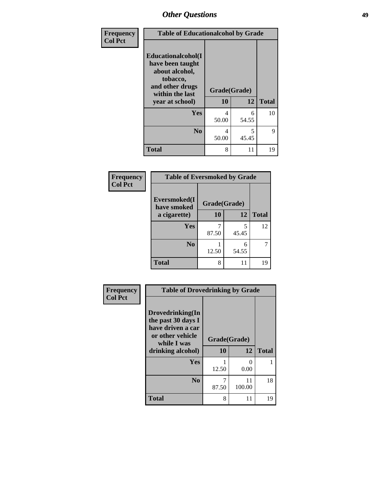| Frequency      | <b>Table of Educationalcohol by Grade</b>                                                                  |              |            |              |  |  |
|----------------|------------------------------------------------------------------------------------------------------------|--------------|------------|--------------|--|--|
| <b>Col Pct</b> | Educationalcohol(I<br>have been taught<br>about alcohol,<br>tobacco,<br>and other drugs<br>within the last | Grade(Grade) |            |              |  |  |
|                | year at school)                                                                                            | 10           | 12         | <b>Total</b> |  |  |
|                | Yes                                                                                                        | 4<br>50.00   | 6<br>54.55 | 10           |  |  |
|                | N <sub>0</sub>                                                                                             | 4<br>50.00   | 5<br>45.45 | 9            |  |  |
|                | <b>Total</b>                                                                                               | 8            | 11         | 19           |  |  |

| Frequency      | <b>Table of Eversmoked by Grade</b>         |       |            |              |  |  |
|----------------|---------------------------------------------|-------|------------|--------------|--|--|
| <b>Col Pct</b> | Eversmoked(I<br>Grade(Grade)<br>have smoked |       |            |              |  |  |
|                | a cigarette)                                | 10    | 12         | <b>Total</b> |  |  |
|                | Yes                                         | 87.50 | 5<br>45.45 | 12           |  |  |
|                | N <sub>0</sub>                              | 12.50 | 6<br>54.55 | 7            |  |  |
|                | <b>Total</b>                                | 8     | 11         | 19           |  |  |

| Frequency      | <b>Table of Drovedrinking by Grade</b>                                                                              |                    |                           |              |  |  |
|----------------|---------------------------------------------------------------------------------------------------------------------|--------------------|---------------------------|--------------|--|--|
| <b>Col Pct</b> | Drovedrinking(In<br>the past 30 days I<br>have driven a car<br>or other vehicle<br>while I was<br>drinking alcohol) | Grade(Grade)<br>10 | 12                        | <b>Total</b> |  |  |
|                | <b>Yes</b>                                                                                                          | 12.50              | $\mathbf{\Omega}$<br>0.00 |              |  |  |
|                | N <sub>0</sub>                                                                                                      | 7<br>87.50         | 11<br>100.00              | 18           |  |  |
|                | <b>Total</b>                                                                                                        | 8                  | 11                        | 19           |  |  |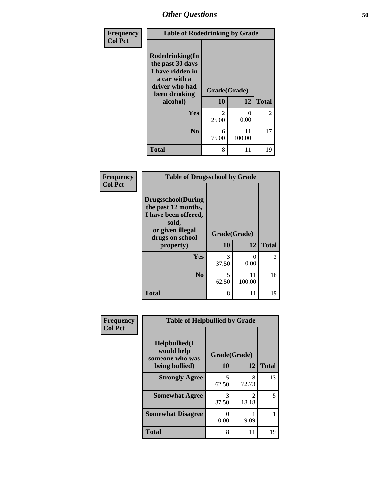| Frequency<br><b>Col Pct</b> | <b>Table of Rodedrinking by Grade</b>                                                                                  |                         |              |                |  |  |
|-----------------------------|------------------------------------------------------------------------------------------------------------------------|-------------------------|--------------|----------------|--|--|
|                             | Rodedrinking(In<br>the past 30 days<br>I have ridden in<br>a car with a<br>driver who had<br>been drinking<br>alcohol) | Grade(Grade)<br>10      | 12           | <b>Total</b>   |  |  |
|                             | <b>Yes</b>                                                                                                             | $\mathfrak{D}$<br>25.00 | 0<br>0.00    | $\overline{2}$ |  |  |
|                             | N <sub>0</sub>                                                                                                         | 6<br>75.00              | 11<br>100.00 | 17             |  |  |
|                             | <b>Total</b>                                                                                                           | 8                       | 11           | 19             |  |  |

#### **Frequency Col Pct**

| <b>Table of Drugsschool by Grade</b>                                                                                      |              |              |              |  |  |  |
|---------------------------------------------------------------------------------------------------------------------------|--------------|--------------|--------------|--|--|--|
| <b>Drugsschool</b> (During<br>the past 12 months,<br>I have been offered,<br>sold,<br>or given illegal<br>drugs on school | Grade(Grade) |              |              |  |  |  |
| property)                                                                                                                 | 10           | 12           | <b>Total</b> |  |  |  |
| Yes                                                                                                                       | 3<br>37.50   | 0<br>0.00    | 3            |  |  |  |
| N <sub>0</sub>                                                                                                            | 5<br>62.50   | 11<br>100.00 | 16           |  |  |  |
| <b>Total</b>                                                                                                              | 8            | 11           | 19           |  |  |  |

| Frequency      | <b>Table of Helpbullied by Grade</b>                 |              |                         |              |  |  |  |
|----------------|------------------------------------------------------|--------------|-------------------------|--------------|--|--|--|
| <b>Col Pct</b> | $Helpb$ ullied $(I$<br>would help<br>someone who was | Grade(Grade) |                         |              |  |  |  |
|                | being bullied)                                       | 10           | 12                      | <b>Total</b> |  |  |  |
|                | <b>Strongly Agree</b>                                | 5<br>62.50   | 8<br>72.73              | 13           |  |  |  |
|                | <b>Somewhat Agree</b>                                | 3<br>37.50   | $\mathfrak{D}$<br>18.18 | 5            |  |  |  |
|                | <b>Somewhat Disagree</b>                             | 0.00         | 9.09                    |              |  |  |  |
|                | <b>Total</b>                                         | 8            | 11                      | 19           |  |  |  |
|                |                                                      |              |                         |              |  |  |  |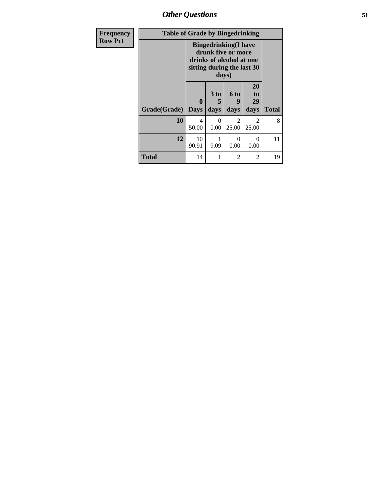*Other Questions* **51**

| <b>Frequency</b> | <b>Table of Grade by Bingedrinking</b> |                                                                                                                       |                   |                          |                               |              |
|------------------|----------------------------------------|-----------------------------------------------------------------------------------------------------------------------|-------------------|--------------------------|-------------------------------|--------------|
| <b>Row Pct</b>   |                                        | <b>Bingedrinking</b> (I have<br>drunk five or more<br>drinks of alcohol at one<br>sitting during the last 30<br>days) |                   |                          |                               |              |
|                  | Grade(Grade)                           | 0<br><b>Days</b>                                                                                                      | 3 to<br>5<br>days | <b>6 to</b><br>9<br>days | <b>20</b><br>to<br>29<br>days | <b>Total</b> |
|                  | 10                                     | 4<br>50.00                                                                                                            | $\Omega$<br>0.00  | $\mathfrak{D}$<br>25.00  | $\mathfrak{D}$<br>25.00       | 8            |
|                  | 12                                     | 10<br>90.91                                                                                                           | 1<br>9.09         | 0<br>0.00                | 0<br>0.00                     | 11           |
|                  | <b>Total</b>                           | 14                                                                                                                    |                   | 2                        | 2                             | 19           |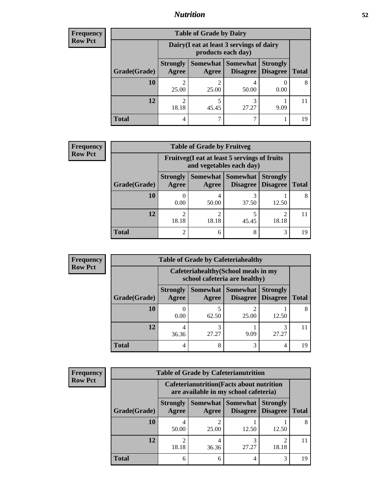### *Nutrition* **52**

| <b>Frequency</b> |
|------------------|
| Row Pct          |

| <b>Table of Grade by Dairy</b> |                          |                                                                                                  |            |      |    |  |  |  |
|--------------------------------|--------------------------|--------------------------------------------------------------------------------------------------|------------|------|----|--|--|--|
|                                |                          | Dairy (I eat at least 3 servings of dairy<br>products each day)                                  |            |      |    |  |  |  |
| Grade(Grade)                   | <b>Strongly</b><br>Agree | Somewhat   Somewhat  <br><b>Strongly</b><br><b>Disagree</b><br><b>Total</b><br>Disagree<br>Agree |            |      |    |  |  |  |
| <b>10</b>                      | 2<br>25.00               | 25.00                                                                                            | 50.00      | 0.00 |    |  |  |  |
| 12                             | っ<br>18.18               | 45.45                                                                                            | 3<br>27.27 | 9.09 |    |  |  |  |
| <b>Total</b>                   | 4                        |                                                                                                  |            |      | 19 |  |  |  |

| <b>Frequency</b> |
|------------------|
| <b>Row Pct</b>   |

| <b>CV</b> | <b>Table of Grade by Fruitveg</b> |                          |                                                                                                     |       |       |    |  |
|-----------|-----------------------------------|--------------------------|-----------------------------------------------------------------------------------------------------|-------|-------|----|--|
|           |                                   |                          | Fruitveg(I eat at least 5 servings of fruits<br>and vegetables each day)                            |       |       |    |  |
|           | Grade(Grade)                      | <b>Strongly</b><br>Agree | Somewhat Somewhat<br><b>Strongly</b><br><b>Disagree</b><br><b>Disagree</b><br><b>Total</b><br>Agree |       |       |    |  |
|           | <b>10</b>                         | 0.00                     | 4<br>50.00                                                                                          | 37.50 | 12.50 | 8  |  |
|           | 12                                | $\mathfrak{D}$<br>18.18  | $\overline{c}$<br>18.18                                                                             | 45.45 | 18.18 |    |  |
|           | <b>Total</b>                      | $\mathfrak{D}$           | 6                                                                                                   | 8     | 3     | 19 |  |

| Frequency      | <b>Table of Grade by Cafeteriahealthy</b> |                          |                                                                       |                                      |                                    |              |  |
|----------------|-------------------------------------------|--------------------------|-----------------------------------------------------------------------|--------------------------------------|------------------------------------|--------------|--|
| <b>Row Pct</b> |                                           |                          | Cafeteriahealthy (School meals in my<br>school cafeteria are healthy) |                                      |                                    |              |  |
|                | Grade(Grade)                              | <b>Strongly</b><br>Agree | Agree                                                                 | Somewhat Somewhat<br><b>Disagree</b> | <b>Strongly</b><br><b>Disagree</b> | <b>Total</b> |  |
|                | 10                                        | 0.00                     | 62.50                                                                 | 25.00                                | 12.50                              | 8            |  |
|                | 12                                        | 36.36                    | 3<br>27.27                                                            | 9.09                                 | 27.27                              |              |  |
|                | Total                                     | 4                        | 8                                                                     | 3                                    |                                    | ۱۹           |  |

| <b>Frequency</b> |
|------------------|
| <b>Row Pct</b>   |

|                                                                                           |                          |            | <b>Table of Grade by Cafeterianutrition</b> |                                    |              |
|-------------------------------------------------------------------------------------------|--------------------------|------------|---------------------------------------------|------------------------------------|--------------|
| <b>Cafeterianutrition</b> (Facts about nutrition<br>are available in my school cafeteria) |                          |            |                                             |                                    |              |
| Grade(Grade)                                                                              | <b>Strongly</b><br>Agree | Agree      | Somewhat   Somewhat<br><b>Disagree</b>      | <b>Strongly</b><br><b>Disagree</b> | <b>Total</b> |
| 10                                                                                        | 50.00                    | 2<br>25.00 | 12.50                                       | 12.50                              |              |
| 12                                                                                        | ി<br>18.18               | 4<br>36.36 | 27.27                                       | 18.18                              |              |
| <b>Total</b>                                                                              | 6                        | 6          |                                             | 3                                  |              |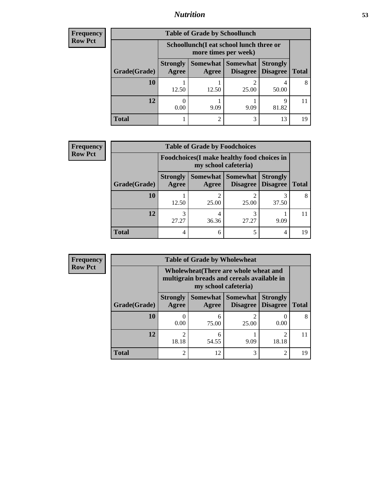### *Nutrition* **53**

| <b>Frequency</b> |
|------------------|
| Row Pct          |

| <b>Table of Grade by Schoollunch</b> |                          |                                                                 |                      |                                    |              |  |  |
|--------------------------------------|--------------------------|-----------------------------------------------------------------|----------------------|------------------------------------|--------------|--|--|
|                                      |                          | Schoollunch(I eat school lunch three or<br>more times per week) |                      |                                    |              |  |  |
| Grade(Grade)                         | <b>Strongly</b><br>Agree | Somewhat  <br>Agree                                             | Somewhat<br>Disagree | <b>Strongly</b><br><b>Disagree</b> | <b>Total</b> |  |  |
| 10                                   | 12.50                    | 12.50                                                           | 25.00                | 50.00                              |              |  |  |
| 12                                   | 0.00                     | 9.09                                                            | 9.09                 | 9<br>81.82                         |              |  |  |
| <b>Total</b>                         |                          |                                                                 | 3                    | 13                                 | 19           |  |  |

| <b>Frequency</b> |
|------------------|
| <b>Row Pct</b>   |

| <b>Table of Grade by Foodchoices</b>                                       |                          |                         |                                    |                                    |              |  |
|----------------------------------------------------------------------------|--------------------------|-------------------------|------------------------------------|------------------------------------|--------------|--|
| <b>Foodchoices</b> (I make healthy food choices in<br>my school cafeteria) |                          |                         |                                    |                                    |              |  |
| Grade(Grade)                                                               | <b>Strongly</b><br>Agree | Somewhat  <br>Agree     | <b>Somewhat</b><br><b>Disagree</b> | <b>Strongly</b><br><b>Disagree</b> | <b>Total</b> |  |
| 10                                                                         | 12.50                    | $\mathfrak{D}$<br>25.00 | 25.00                              | 37.50                              |              |  |
| 12                                                                         | 27.27                    | 4<br>36.36              | 27.27                              | 9.09                               |              |  |
| <b>Total</b>                                                               |                          | 6                       | 5                                  | 4                                  | 19           |  |

| <b>Frequency  </b> | ີຂ          |
|--------------------|-------------|
| <b>Row Pct</b>     |             |
|                    | mu          |
|                    |             |
|                    | <b>Stro</b> |

| <b>Table of Grade by Wholewheat</b> |                          |                                                                                                             |                      |                                    |              |  |  |
|-------------------------------------|--------------------------|-------------------------------------------------------------------------------------------------------------|----------------------|------------------------------------|--------------|--|--|
|                                     |                          | Wholewheat (There are whole wheat and<br>multigrain breads and cereals available in<br>my school cafeteria) |                      |                                    |              |  |  |
| Grade(Grade)                        | <b>Strongly</b><br>Agree | Somewhat  <br>Agree                                                                                         | Somewhat<br>Disagree | <b>Strongly</b><br><b>Disagree</b> | <b>Total</b> |  |  |
| 10                                  | 0<br>0.00                | 6<br>75.00                                                                                                  | 2<br>25.00           | 0.00                               |              |  |  |
| 12                                  | $\mathfrak{D}$<br>18.18  | 6<br>54.55                                                                                                  | 9.09                 | 18.18                              |              |  |  |
| <b>Total</b>                        | $\mathfrak{D}$           | 12                                                                                                          | 3                    | $\mathcal{D}_{\mathcal{L}}$        | 19           |  |  |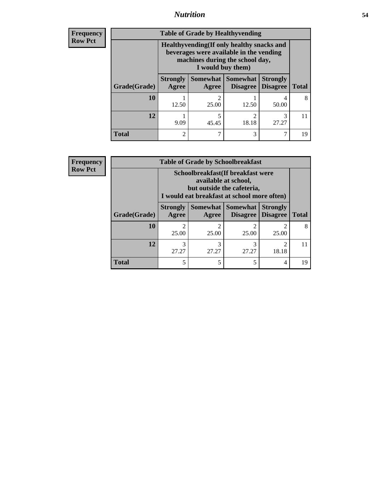### *Nutrition* **54**

**Frequency Row Pct**

| <b>Table of Grade by Healthyvending</b> |                                                                                                                                               |                   |                             |                                    |              |  |
|-----------------------------------------|-----------------------------------------------------------------------------------------------------------------------------------------------|-------------------|-----------------------------|------------------------------------|--------------|--|
|                                         | Healthyvending (If only healthy snacks and<br>beverages were available in the vending<br>machines during the school day,<br>I would buy them) |                   |                             |                                    |              |  |
| Grade(Grade)                            | <b>Strongly</b><br>Agree                                                                                                                      | Somewhat<br>Agree | <b>Somewhat</b><br>Disagree | <b>Strongly</b><br><b>Disagree</b> | <b>Total</b> |  |
| 10                                      | 12.50                                                                                                                                         | 2<br>25.00        | 12.50                       | 4<br>50.00                         | 8            |  |
| 12                                      | 9.09                                                                                                                                          | 5<br>45.45        | $\mathfrak{D}$<br>18.18     | 3<br>27.27                         |              |  |
| <b>Total</b>                            | 2                                                                                                                                             |                   | 3                           |                                    | 19           |  |

**Frequency Row Pct**

| <b>Table of Grade by Schoolbreakfast</b> |                                                                                                                                         |            |            |                                      |    |  |  |
|------------------------------------------|-----------------------------------------------------------------------------------------------------------------------------------------|------------|------------|--------------------------------------|----|--|--|
|                                          | Schoolbreakfast (If breakfast were<br>available at school,<br>but outside the cafeteria,<br>I would eat breakfast at school more often) |            |            |                                      |    |  |  |
| Grade(Grade)                             | Somewhat Somewhat<br><b>Strongly</b><br><b>Strongly</b><br><b>Disagree</b><br>Agree<br><b>Total</b><br>Disagree<br>Agree                |            |            |                                      |    |  |  |
| 10                                       | $\mathfrak{D}$<br>25.00                                                                                                                 | ာ<br>25.00 | 2<br>25.00 | 25.00                                | 8  |  |  |
| 12                                       | 3<br>27.27                                                                                                                              | 3<br>27.27 | 3<br>27.27 | $\mathcal{D}_{\mathcal{A}}$<br>18.18 | 11 |  |  |
| <b>Total</b>                             | 5                                                                                                                                       | 5          | 5          | 4                                    | 19 |  |  |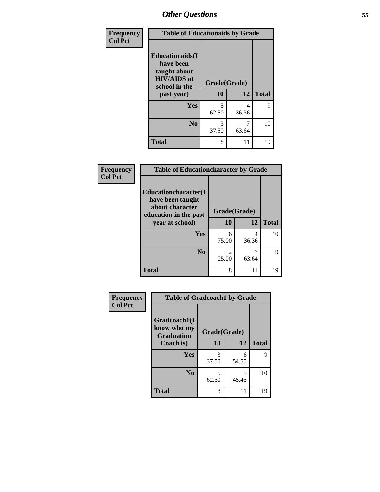| Frequency<br><b>Col Pct</b> | <b>Table of Educationaids by Grade</b>                                                                    |                          |            |              |  |  |
|-----------------------------|-----------------------------------------------------------------------------------------------------------|--------------------------|------------|--------------|--|--|
|                             | <b>Educationaids</b> (I<br>have been<br>taught about<br><b>HIV/AIDS</b> at<br>school in the<br>past year) | Grade(Grade)<br>10<br>12 |            | <b>Total</b> |  |  |
|                             | <b>Yes</b>                                                                                                | 5<br>62.50               | 4<br>36.36 | 9            |  |  |
|                             | N <sub>0</sub>                                                                                            | 3<br>37.50               | 7<br>63.64 | 10           |  |  |
|                             | <b>Total</b>                                                                                              | 8                        | 11         | 19           |  |  |

| Frequency | <b>Table of Educationcharacter by Grade</b>                 |              |            |              |  |
|-----------|-------------------------------------------------------------|--------------|------------|--------------|--|
| Col Pct   | Educationcharacter(I<br>have been taught<br>about character | Grade(Grade) |            |              |  |
|           | education in the past<br>year at school)                    | 10           | 12         | <b>Total</b> |  |
|           | Yes                                                         | 6<br>75.00   | 4<br>36.36 | 10           |  |
|           | N <sub>0</sub>                                              | 25.00        | 63.64      | Q            |  |
|           | <b>Total</b>                                                | 8            | 11         | 19           |  |

| <b>Frequency</b> | <b>Table of Gradcoach1 by Grade</b>              |              |            |              |
|------------------|--------------------------------------------------|--------------|------------|--------------|
| <b>Col Pct</b>   | Gradcoach1(I<br>know who my<br><b>Graduation</b> | Grade(Grade) |            |              |
|                  | Coach is)                                        | 10           | 12         | <b>Total</b> |
|                  | Yes                                              | 3<br>37.50   | 6<br>54.55 | 9            |
|                  | N <sub>0</sub>                                   | 5<br>62.50   | 5<br>45.45 | 10           |
|                  | <b>Total</b>                                     | 8            | 11         | 19           |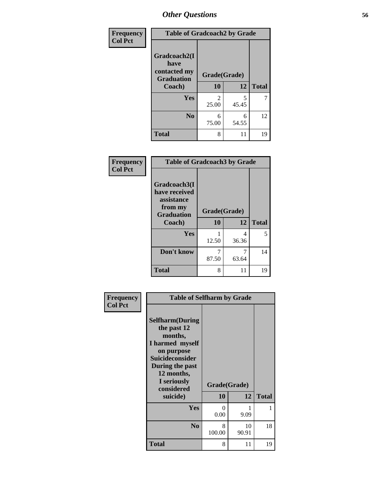| Frequency      | <b>Table of Gradcoach2 by Grade</b> |              |            |              |
|----------------|-------------------------------------|--------------|------------|--------------|
| <b>Col Pct</b> | Gradcoach2(I<br>have                |              |            |              |
|                | contacted my<br><b>Graduation</b>   | Grade(Grade) |            |              |
|                | Coach)                              | 10           | 12         | <b>Total</b> |
|                | Yes                                 | 2<br>25.00   | 5<br>45.45 |              |
|                | N <sub>0</sub>                      | 6<br>75.00   | 6<br>54.55 | 12           |
|                | <b>Total</b>                        | 8            | 11         | 19           |

| Frequency      | <b>Table of Gradcoach3 by Grade</b>                                                   |                    |            |              |  |
|----------------|---------------------------------------------------------------------------------------|--------------------|------------|--------------|--|
| <b>Col Pct</b> | Gradcoach3(I<br>have received<br>assistance<br>from my<br><b>Graduation</b><br>Coach) | Grade(Grade)<br>10 | 12         | <b>Total</b> |  |
|                | Yes                                                                                   | 12.50              | 4<br>36.36 | 5            |  |
|                | Don't know                                                                            | 7<br>87.50         | 63.64      | 14           |  |
|                | <b>Total</b>                                                                          | 8                  | 11         | 19           |  |

| <b>Frequency</b> | <b>Table of Selfharm by Grade</b>                                                                                                                            |              |             |              |
|------------------|--------------------------------------------------------------------------------------------------------------------------------------------------------------|--------------|-------------|--------------|
| <b>Col Pct</b>   | <b>Selfharm</b> (During<br>the past 12<br>months,<br>I harmed myself<br>on purpose<br><b>Suicideconsider</b><br>During the past<br>12 months,<br>I seriously | Grade(Grade) |             |              |
|                  | considered                                                                                                                                                   |              |             |              |
|                  | suicide)                                                                                                                                                     | <b>10</b>    | 12          | <b>Total</b> |
|                  | <b>Yes</b>                                                                                                                                                   | 0<br>0.00    | 9.09        | 1            |
|                  | N <sub>0</sub>                                                                                                                                               | 8<br>100.00  | 10<br>90.91 | 18           |
|                  | <b>Total</b>                                                                                                                                                 | 8            | 11          | 19           |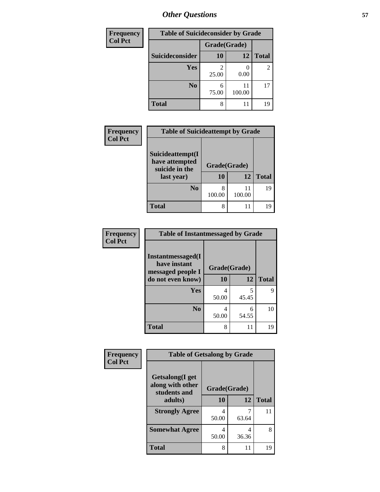| <b>Frequency</b> | <b>Table of Suicideconsider by Grade</b> |              |              |              |  |
|------------------|------------------------------------------|--------------|--------------|--------------|--|
| <b>Col Pct</b>   |                                          | Grade(Grade) |              |              |  |
|                  | Suicideconsider                          | <b>10</b>    | 12           | <b>Total</b> |  |
|                  | Yes                                      | 25.00        | 0.00         | 2            |  |
|                  | N <sub>0</sub>                           | 6<br>75.00   | 11<br>100.00 | 17           |  |
|                  | <b>Total</b>                             | 8            | 11           | 19           |  |

| Frequency<br><b>Col Pct</b> | <b>Table of Suicideattempt by Grade</b>                            |                          |              |              |  |  |
|-----------------------------|--------------------------------------------------------------------|--------------------------|--------------|--------------|--|--|
|                             | Suicideattempt(I<br>have attempted<br>suicide in the<br>last year) | Grade(Grade)<br>10<br>12 |              | <b>Total</b> |  |  |
|                             | N <sub>0</sub>                                                     | 8<br>100.00              | 11<br>100.00 | 19           |  |  |
|                             | <b>Total</b>                                                       | 8                        | 11           | 19           |  |  |

| Frequency      | <b>Table of Instantmessaged by Grade</b>               |              |            |              |  |  |
|----------------|--------------------------------------------------------|--------------|------------|--------------|--|--|
| <b>Col Pct</b> | Instantmessaged(I<br>have instant<br>messaged people I | Grade(Grade) |            |              |  |  |
|                | do not even know)                                      | 10           | 12         | <b>Total</b> |  |  |
|                | Yes                                                    | 4<br>50.00   | 5<br>45.45 | Q            |  |  |
|                | N <sub>0</sub>                                         | 4<br>50.00   | 6<br>54.55 | 10           |  |  |
|                | <b>Total</b>                                           | 8            | 11         | 19           |  |  |

| Frequency      | <b>Table of Getsalong by Grade</b>                  |              |       |              |
|----------------|-----------------------------------------------------|--------------|-------|--------------|
| <b>Col Pct</b> | Getsalong(I get<br>along with other<br>students and | Grade(Grade) |       |              |
|                | adults)                                             | 10           | 12    | <b>Total</b> |
|                | <b>Strongly Agree</b>                               | 4<br>50.00   | 63.64 | 11           |
|                | <b>Somewhat Agree</b>                               | 4<br>50.00   | 36.36 | 8            |
|                | Total                                               | 8            | 11    | 19           |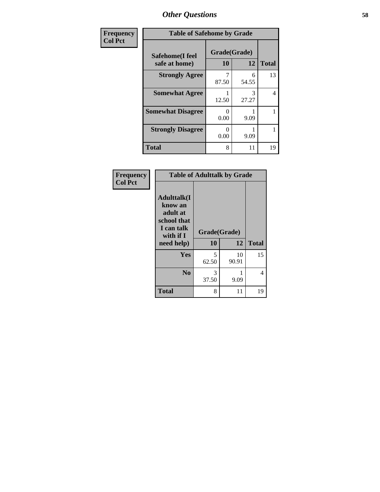| Frequency      | <b>Table of Safehome by Grade</b> |                           |            |              |  |  |  |
|----------------|-----------------------------------|---------------------------|------------|--------------|--|--|--|
| <b>Col Pct</b> | Safehome(I feel<br>safe at home)  | Grade(Grade)<br>10        | 12         | <b>Total</b> |  |  |  |
|                | <b>Strongly Agree</b>             | 87.50                     | 6<br>54.55 | 13           |  |  |  |
|                | <b>Somewhat Agree</b>             | 12.50                     | 3<br>27.27 | 4            |  |  |  |
|                | <b>Somewhat Disagree</b>          | $\mathbf{\Omega}$<br>0.00 | 9.09       |              |  |  |  |
|                | <b>Strongly Disagree</b>          | 0<br>0.00                 | 9.09       |              |  |  |  |
|                | <b>Total</b>                      | 8                         | 11         | 19           |  |  |  |

| Frequency      | <b>Table of Adulttalk by Grade</b>                                                                |                    |             |              |  |  |
|----------------|---------------------------------------------------------------------------------------------------|--------------------|-------------|--------------|--|--|
| <b>Col Pct</b> | <b>Adulttalk(I</b><br>know an<br>adult at<br>school that<br>I can talk<br>with if I<br>need help) | Grade(Grade)<br>10 | 12          | <b>Total</b> |  |  |
|                | <b>Yes</b>                                                                                        | 5<br>62.50         | 10<br>90.91 | 15           |  |  |
|                | N <sub>0</sub>                                                                                    | 3<br>37.50         | 9.09        | 4            |  |  |
|                | <b>Total</b>                                                                                      | 8                  | 11          | 19           |  |  |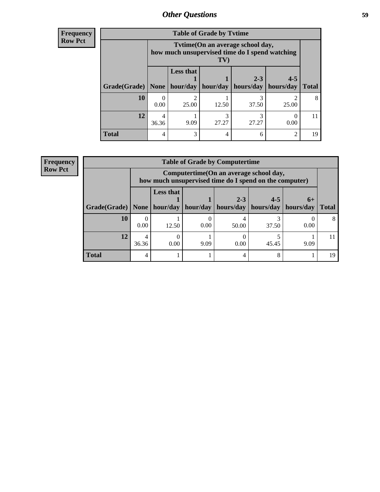**Frequency Row Pct**

| <b>Table of Grade by Tytime</b> |       |                                                                                                                |            |                      |                      |              |  |
|---------------------------------|-------|----------------------------------------------------------------------------------------------------------------|------------|----------------------|----------------------|--------------|--|
|                                 |       | Tvtime (On an average school day,<br>how much unsupervised time do I spend watching<br>$\mathbf{T} \mathbf{V}$ |            |                      |                      |              |  |
| Grade(Grade)                    | None  | <b>Less that</b><br>hour/day                                                                                   | hour/day   | $2 - 3$<br>hours/day | $4 - 5$<br>hours/day | <b>Total</b> |  |
| 10                              | 0.00  | 2<br>25.00                                                                                                     | 12.50      | 37.50                | 25.00                | 8            |  |
| 12                              | 36.36 | 9.09                                                                                                           | 3<br>27.27 | 27.27                | 0.00                 | 11           |  |
| <b>Total</b>                    |       | 3                                                                                                              | 4          |                      | $\mathfrak{D}$       | 19           |  |

**Frequency Row Pct**

| <b>Table of Grade by Computertime</b> |            |                                                                                                   |          |                      |                      |                     |              |
|---------------------------------------|------------|---------------------------------------------------------------------------------------------------|----------|----------------------|----------------------|---------------------|--------------|
|                                       |            | Computertime (On an average school day,<br>how much unsupervised time do I spend on the computer) |          |                      |                      |                     |              |
| Grade(Grade)                          | None $ $   | <b>Less that</b><br>hour/day                                                                      | hour/day | $2 - 3$<br>hours/day | $4 - 5$<br>hours/day | $6+$<br>  hours/day | <b>Total</b> |
| 10                                    | 0.00       | 12.50                                                                                             | 0.00     | 50.00                | 37.50                | 0.00                | 8            |
| 12                                    | 4<br>36.36 | 0.00                                                                                              | 9.09     | 0.00                 | 45.45                | 9.09                |              |
| <b>Total</b>                          | 4          |                                                                                                   |          | 4                    | 8                    |                     | 19           |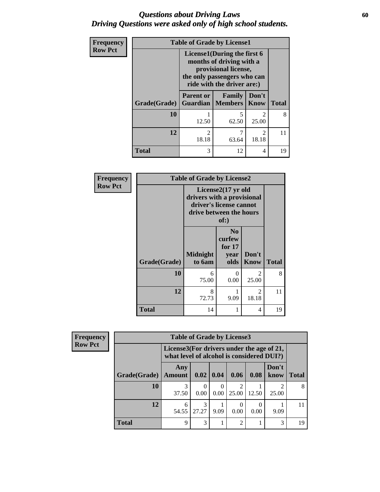### *Questions about Driving Laws* **60** *Driving Questions were asked only of high school students.*

| <b>Frequency</b> | <b>Table of Grade by License1</b> |                                                                                                                                              |                                     |                         |              |  |
|------------------|-----------------------------------|----------------------------------------------------------------------------------------------------------------------------------------------|-------------------------------------|-------------------------|--------------|--|
| <b>Row Pct</b>   |                                   | License1(During the first 6<br>months of driving with a<br>provisional license,<br>the only passengers who can<br>ride with the driver are:) |                                     |                         |              |  |
|                  | Grade(Grade)                      | <b>Parent or</b>                                                                                                                             | Family<br><b>Guardian   Members</b> | Don't<br>Know           | <b>Total</b> |  |
|                  | 10                                | 12.50                                                                                                                                        | 5<br>62.50                          | $\mathfrak{D}$<br>25.00 | 8            |  |
|                  | 12                                | $\overline{2}$<br>18.18                                                                                                                      | 7<br>63.64                          | $\mathfrak{D}$<br>18.18 | 11           |  |
|                  | <b>Total</b>                      | 3                                                                                                                                            | 12                                  | 4                       | 19           |  |

| Frequency      | <b>Table of Grade by License2</b> |                                                                                                                        |                                                      |                         |              |  |  |
|----------------|-----------------------------------|------------------------------------------------------------------------------------------------------------------------|------------------------------------------------------|-------------------------|--------------|--|--|
| <b>Row Pct</b> |                                   | License $2(17 \text{ yr})$<br>drivers with a provisional<br>driver's license cannot<br>drive between the hours<br>of:) |                                                      |                         |              |  |  |
|                | Grade(Grade)                      | <b>Midnight</b><br>to 6am                                                                                              | N <sub>0</sub><br>curfew<br>for $17$<br>year<br>olds | Don't<br><b>Know</b>    | <b>Total</b> |  |  |
|                | 10                                | 6<br>75.00                                                                                                             | 0<br>0.00                                            | $\mathfrak{D}$<br>25.00 | 8            |  |  |
|                | 12                                | 8<br>72.73                                                                                                             | 9.09                                                 | 2<br>18.18              | 11           |  |  |
|                | <b>Total</b>                      | 14                                                                                                                     |                                                      | 4                       | 19           |  |  |

| Frequency      |                       | <b>Table of Grade by License3</b>                                                      |            |                            |                |       |               |              |
|----------------|-----------------------|----------------------------------------------------------------------------------------|------------|----------------------------|----------------|-------|---------------|--------------|
| <b>Row Pct</b> |                       | License3(For drivers under the age of 21,<br>what level of alcohol is considered DUI?) |            |                            |                |       |               |              |
|                | Grade(Grade)   Amount | Any                                                                                    |            | $\mid 0.02 \mid 0.04 \mid$ | 0.06           | 0.08  | Don't<br>know | <b>Total</b> |
|                | 10                    | 3<br>37.50                                                                             | 0.00       | $\theta$<br>0.00           | 25.00          | 12.50 | 2<br>25.00    | 8            |
|                | 12                    | 6<br>54.55                                                                             | 3<br>27.27 | 9.09                       | 0.00           | 0.00  | 9.09          | 11           |
|                | <b>Total</b>          | 9                                                                                      | 3          |                            | $\mathfrak{D}$ |       | 3             | 19           |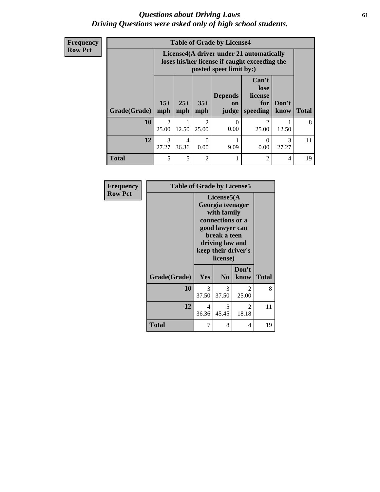### *Questions about Driving Laws* **61** *Driving Questions were asked only of high school students.*

| <b>Frequency</b> |
|------------------|
| <b>Row Pct</b>   |

| <b>Table of Grade by License4</b> |                         |                                                                                                                      |                         |                               |                                             |               |              |
|-----------------------------------|-------------------------|----------------------------------------------------------------------------------------------------------------------|-------------------------|-------------------------------|---------------------------------------------|---------------|--------------|
|                                   |                         | License4(A driver under 21 automatically<br>loses his/her license if caught exceeding the<br>posted speet limit by:) |                         |                               |                                             |               |              |
| Grade(Grade)                      | $15+$<br>mph            | $25+$<br>mph                                                                                                         | $35+$<br>mph            | <b>Depends</b><br>on<br>judge | Can't<br>lose<br>license<br>for<br>speeding | Don't<br>know | <b>Total</b> |
| 10                                | $\overline{2}$<br>25.00 | 12.50                                                                                                                | $\mathfrak{D}$<br>25.00 | $\Omega$<br>0.00              | 2<br>25.00                                  | 12.50         | 8            |
| 12                                | 3<br>27.27              | 4<br>36.36                                                                                                           | $\Omega$<br>0.00        | 9.09                          | 0<br>0.00                                   | 3<br>27.27    | 11           |
| <b>Total</b>                      | 5                       | 5                                                                                                                    | $\overline{2}$          |                               | 2                                           | 4             | 19           |

| Frequency<br><b>Row Pct</b> | <b>Table of Grade by License5</b> |                                                                                                                                                             |                |                        |       |  |  |
|-----------------------------|-----------------------------------|-------------------------------------------------------------------------------------------------------------------------------------------------------------|----------------|------------------------|-------|--|--|
|                             |                                   | License5(A)<br>Georgia teenager<br>with family<br>connections or a<br>good lawyer can<br>break a teen<br>driving law and<br>keep their driver's<br>license) |                |                        |       |  |  |
|                             | Grade(Grade)                      | <b>Yes</b>                                                                                                                                                  | N <sub>0</sub> | Don't<br>know          | Total |  |  |
|                             | 10                                | 3<br>37.50                                                                                                                                                  | 3<br>37.50     | $\mathcal{L}$<br>25.00 | 8     |  |  |
|                             | 12                                | 4<br>36.36                                                                                                                                                  | 5<br>45.45     | 2<br>18.18             | 11    |  |  |
|                             | <b>Total</b>                      | 7                                                                                                                                                           | 8              | 4                      | 19    |  |  |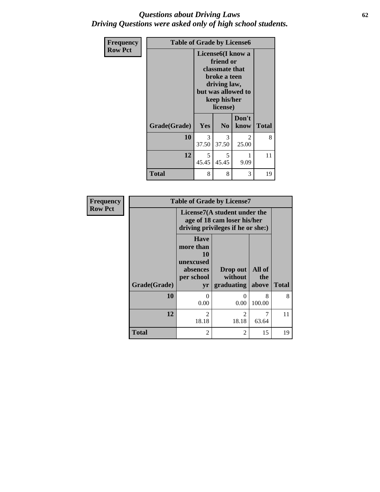### *Questions about Driving Laws* **62** *Driving Questions were asked only of high school students.*

| Frequency      | <b>Table of Grade by License6</b> |                                                                                                                                                 |                        |               |              |
|----------------|-----------------------------------|-------------------------------------------------------------------------------------------------------------------------------------------------|------------------------|---------------|--------------|
| <b>Row Pct</b> |                                   | License <sub>6</sub> (I know a<br>friend or<br>classmate that<br>broke a teen<br>driving law,<br>but was allowed to<br>keep his/her<br>license) |                        |               |              |
|                | Grade(Grade)                      | <b>Yes</b>                                                                                                                                      | N <sub>0</sub>         | Don't<br>know | <b>Total</b> |
|                | 10                                | 3<br>37.50                                                                                                                                      | $\mathcal{F}$<br>37.50 | 2<br>25.00    | 8            |
|                | 12                                | 5<br>45.45                                                                                                                                      | 5<br>45.45             | 1<br>9.09     | 11           |
|                | Total                             | 8                                                                                                                                               | 8                      | 3             | 19           |

| Frequency      |              |                                                                                                  | <b>Table of Grade by License7</b> |               |              |
|----------------|--------------|--------------------------------------------------------------------------------------------------|-----------------------------------|---------------|--------------|
| <b>Row Pct</b> |              | License7(A student under the<br>age of 18 cam loser his/her<br>driving privileges if he or she:) |                                   |               |              |
|                |              | <b>Have</b><br>more than<br>10<br>unexcused<br>absences<br>per school                            | Drop out<br>without               | All of<br>the |              |
|                | Grade(Grade) | yr                                                                                               | graduating                        | above         | <b>Total</b> |
|                | 10           | 0<br>0.00                                                                                        | 0<br>0.00                         | 8<br>100.00   | 8            |
|                | 12           | っ<br>18.18                                                                                       | $\mathfrak{D}$<br>18.18           | 7<br>63.64    | 11           |
|                | <b>Total</b> | $\overline{c}$                                                                                   | $\overline{c}$                    | 15            | 19           |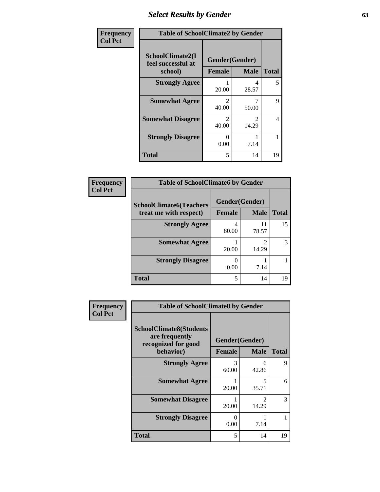# *Select Results by Gender* **63**

| Frequency      | <b>Table of SchoolClimate2 by Gender</b>          |                                 |                        |              |
|----------------|---------------------------------------------------|---------------------------------|------------------------|--------------|
| <b>Col Pct</b> | SchoolClimate2(I<br>feel successful at<br>school) | Gender(Gender)<br><b>Female</b> | <b>Male</b>            | <b>Total</b> |
|                | <b>Strongly Agree</b>                             | 20.00                           | 4<br>28.57             | 5            |
|                | <b>Somewhat Agree</b>                             | 2<br>40.00                      | 50.00                  | 9            |
|                | <b>Somewhat Disagree</b>                          | $\mathcal{D}$<br>40.00          | $\mathcal{D}$<br>14.29 | 4            |
|                | <b>Strongly Disagree</b>                          | 0<br>0.00                       | 7.14                   |              |
|                | <b>Total</b>                                      | 5                               | 14                     | 19           |

| Frequency      | <b>Table of SchoolClimate6 by Gender</b>                 |                                         |             |              |  |
|----------------|----------------------------------------------------------|-----------------------------------------|-------------|--------------|--|
| <b>Col Pct</b> | <b>SchoolClimate6(Teachers</b><br>treat me with respect) | <b>Gender</b> (Gender)<br><b>Female</b> | <b>Male</b> | <b>Total</b> |  |
|                | <b>Strongly Agree</b>                                    | 4<br>80.00                              | 11<br>78.57 | 15           |  |
|                | <b>Somewhat Agree</b>                                    | 20.00                                   | っ<br>14.29  |              |  |
|                | <b>Strongly Disagree</b>                                 | 0.00                                    | 7.14        |              |  |
|                | <b>Total</b>                                             | 5                                       | 14          | 19           |  |

| Frequency      | <b>Table of SchoolClimate8 by Gender</b>                                |                  |                                      |              |
|----------------|-------------------------------------------------------------------------|------------------|--------------------------------------|--------------|
| <b>Col Pct</b> | <b>SchoolClimate8(Students</b><br>are frequently<br>recognized for good | Gender(Gender)   |                                      |              |
|                | behavior)                                                               | <b>Female</b>    | <b>Male</b>                          | <b>Total</b> |
|                | <b>Strongly Agree</b>                                                   | 3<br>60.00       | 6<br>42.86                           | 9            |
|                | <b>Somewhat Agree</b>                                                   | 20.00            | $\overline{\phantom{0}}$<br>35.71    | 6            |
|                | <b>Somewhat Disagree</b>                                                | 20.00            | $\mathcal{D}_{\mathcal{L}}$<br>14.29 | 3            |
|                | <b>Strongly Disagree</b>                                                | $\Omega$<br>0.00 | 7.14                                 |              |
|                | Total                                                                   | 5                | 14                                   | 19           |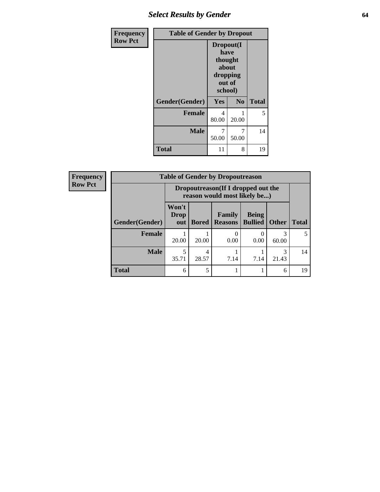# *Select Results by Gender* **64**

| <b>Frequency</b> | <b>Table of Gender by Dropout</b> |                                                                        |                |              |  |
|------------------|-----------------------------------|------------------------------------------------------------------------|----------------|--------------|--|
| <b>Row Pct</b>   |                                   | Dropout(I<br>have<br>thought<br>about<br>dropping<br>out of<br>school) |                |              |  |
|                  | Gender(Gender)                    | Yes                                                                    | N <sub>0</sub> | <b>Total</b> |  |
|                  | <b>Female</b>                     | 4<br>80.00                                                             | 1<br>20.00     | 5            |  |
|                  | <b>Male</b>                       | 7<br>50.00                                                             | 7<br>50.00     | 14           |  |
|                  | <b>Total</b>                      | 11                                                                     | 8              | 19           |  |

| <b>Frequency</b> | <b>Table of Gender by Dropoutreason</b> |                      |              |                                                                    |                                |              |              |
|------------------|-----------------------------------------|----------------------|--------------|--------------------------------------------------------------------|--------------------------------|--------------|--------------|
| <b>Row Pct</b>   |                                         |                      |              | Dropoutreason(If I dropped out the<br>reason would most likely be) |                                |              |              |
|                  | Gender(Gender)                          | Won't<br>Drop<br>out | <b>Bored</b> | <b>Family</b><br><b>Reasons</b>                                    | <b>Being</b><br><b>Bullied</b> | <b>Other</b> | <b>Total</b> |
|                  | <b>Female</b>                           | 20.00                | 20.00        | 0.00                                                               | 0.00                           | 3<br>60.00   | 5            |
|                  | <b>Male</b>                             | 35.71                | 4<br>28.57   | 7.14                                                               | 7.14                           | 3<br>21.43   | 14           |
|                  | <b>Total</b>                            | 6                    | 5            |                                                                    |                                | 6            | 19           |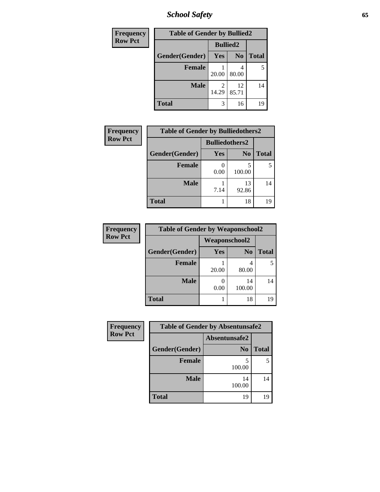*School Safety* **65**

| Frequency      | <b>Table of Gender by Bullied2</b> |                 |                |              |
|----------------|------------------------------------|-----------------|----------------|--------------|
| <b>Row Pct</b> |                                    | <b>Bullied2</b> |                |              |
|                | Gender(Gender)                     | Yes             | N <sub>0</sub> | <b>Total</b> |
|                | <b>Female</b>                      | 20.00           | 4<br>80.00     | 5            |
|                | <b>Male</b>                        | 2<br>14.29      | 12<br>85.71    | 14           |
|                | Total                              | 3               | 16             | 19           |

| Frequency      | <b>Table of Gender by Bulliedothers2</b> |                       |                |              |
|----------------|------------------------------------------|-----------------------|----------------|--------------|
| <b>Row Pct</b> |                                          | <b>Bulliedothers2</b> |                |              |
|                | Gender(Gender)                           | <b>Yes</b>            | N <sub>0</sub> | <b>Total</b> |
|                | <b>Female</b>                            | 0.00                  | 5<br>100.00    |              |
|                | <b>Male</b>                              | 7.14                  | 13<br>92.86    | 14           |
|                | <b>Total</b>                             |                       | 18             | 19           |

| Frequency      | <b>Table of Gender by Weaponschool2</b> |                      |                |              |
|----------------|-----------------------------------------|----------------------|----------------|--------------|
| <b>Row Pct</b> |                                         | <b>Weaponschool2</b> |                |              |
|                | Gender(Gender)                          | <b>Yes</b>           | N <sub>0</sub> | <b>Total</b> |
|                | <b>Female</b>                           | 20.00                | 80.00          |              |
|                | <b>Male</b>                             | 0.00                 | 14<br>100.00   | 14           |
|                | <b>Total</b>                            |                      | 18             | 19           |

| Frequency      | <b>Table of Gender by Absentunsafe2</b> |                |              |  |
|----------------|-----------------------------------------|----------------|--------------|--|
| <b>Row Pct</b> |                                         | Absentunsafe2  |              |  |
|                | Gender(Gender)                          | N <sub>0</sub> | <b>Total</b> |  |
|                | <b>Female</b>                           | 100.00         | 5            |  |
|                | <b>Male</b>                             | 14<br>100.00   | 14           |  |
|                | <b>Total</b>                            | 19             | 19           |  |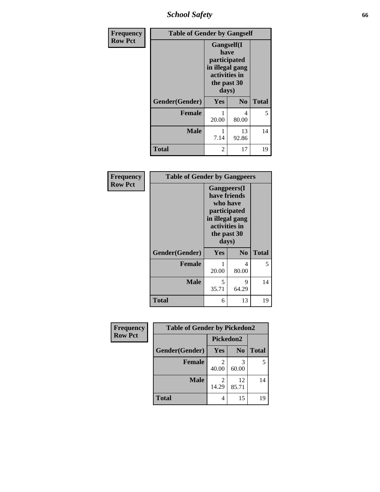*School Safety* **66**

| Frequency      | <b>Table of Gender by Gangself</b> |                                                                                                |                |              |
|----------------|------------------------------------|------------------------------------------------------------------------------------------------|----------------|--------------|
| <b>Row Pct</b> |                                    | Gangself(I<br>have<br>participated<br>in illegal gang<br>activities in<br>the past 30<br>days) |                |              |
|                | Gender(Gender)                     | Yes                                                                                            | N <sub>0</sub> | <b>Total</b> |
|                | <b>Female</b>                      | 20.00                                                                                          | 4<br>80.00     | 5            |
|                | <b>Male</b>                        | 7.14                                                                                           | 13<br>92.86    | 14           |
|                | <b>Total</b>                       | 2                                                                                              | 17             | 19           |

| Frequency      | <b>Table of Gender by Gangpeers</b> |                                                                                                                             |                |              |
|----------------|-------------------------------------|-----------------------------------------------------------------------------------------------------------------------------|----------------|--------------|
| <b>Row Pct</b> |                                     | <b>Gangpeers</b> (I<br>have friends<br>who have<br>participated<br>in illegal gang<br>activities in<br>the past 30<br>days) |                |              |
|                | Gender(Gender)                      | Yes                                                                                                                         | N <sub>0</sub> | <b>Total</b> |
|                | <b>Female</b>                       | 20.00                                                                                                                       | 4<br>80.00     | 5            |
|                | <b>Male</b>                         | 5<br>35.71                                                                                                                  | 9<br>64.29     | 14           |
|                | <b>Total</b>                        | 6                                                                                                                           | 13             | 19           |

| Frequency      | <b>Table of Gender by Pickedon2</b> |            |                |              |
|----------------|-------------------------------------|------------|----------------|--------------|
| <b>Row Pct</b> |                                     | Pickedon2  |                |              |
|                | Gender(Gender)                      | <b>Yes</b> | N <sub>0</sub> | <b>Total</b> |
|                | <b>Female</b>                       | 2<br>40.00 | 60.00          | 5            |
|                | <b>Male</b>                         | 2<br>14.29 | 12<br>85.71    | 14           |
|                | <b>Total</b>                        | 4          | 15             | 19           |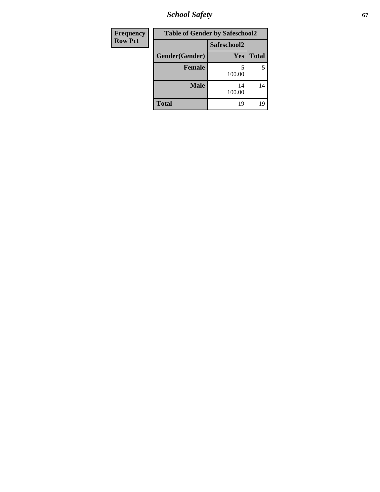*School Safety* **67**

| <b>Frequency</b> | <b>Table of Gender by Safeschool2</b> |              |              |
|------------------|---------------------------------------|--------------|--------------|
| <b>Row Pct</b>   |                                       | Safeschool2  |              |
|                  | Gender(Gender)                        | Yes          | <b>Total</b> |
|                  | <b>Female</b>                         | 5<br>100.00  | 5            |
|                  | <b>Male</b>                           | 14<br>100.00 | 14           |
|                  | <b>Total</b>                          | 19           | 19           |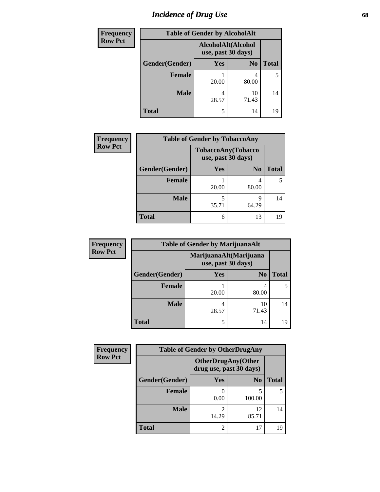# *Incidence of Drug Use* 68

| <b>Frequency</b> | <b>Table of Gender by AlcoholAlt</b> |                    |                    |              |
|------------------|--------------------------------------|--------------------|--------------------|--------------|
| <b>Row Pct</b>   |                                      | use, past 30 days) | AlcoholAlt(Alcohol |              |
|                  | Gender(Gender)                       | Yes                | N <sub>0</sub>     | <b>Total</b> |
|                  | <b>Female</b>                        | 20.00              | 4<br>80.00         | 5            |
|                  | <b>Male</b>                          | 4<br>28.57         | 10<br>71.43        | 14           |
|                  | <b>Total</b>                         | 5                  | 14                 | 19           |

| <b>Frequency</b> | <b>Table of Gender by TobaccoAny</b> |            |                                          |              |
|------------------|--------------------------------------|------------|------------------------------------------|--------------|
| <b>Row Pct</b>   |                                      |            | TobaccoAny(Tobacco<br>use, past 30 days) |              |
|                  | Gender(Gender)                       | <b>Yes</b> | N <sub>0</sub>                           | <b>Total</b> |
|                  | <b>Female</b>                        | 20.00      | 80.00                                    | 5            |
|                  | <b>Male</b>                          | 35.71      | Q<br>64.29                               | 14           |
|                  | <b>Total</b>                         | 6          | 13                                       | 19           |

| <b>Frequency</b> | <b>Table of Gender by MarijuanaAlt</b> |            |                                              |       |
|------------------|----------------------------------------|------------|----------------------------------------------|-------|
| <b>Row Pct</b>   |                                        |            | MarijuanaAlt(Marijuana<br>use, past 30 days) |       |
|                  | Gender(Gender)                         | <b>Yes</b> | N <sub>0</sub>                               | Total |
|                  | Female                                 | 20.00      | 4<br>80.00                                   |       |
|                  | <b>Male</b>                            | 4<br>28.57 | 10<br>71.43                                  | 14    |
|                  | <b>Total</b>                           | 5          | 14                                           | 19    |

| <b>Frequency</b> | <b>Table of Gender by OtherDrugAny</b> |            |                                                      |              |  |
|------------------|----------------------------------------|------------|------------------------------------------------------|--------------|--|
| <b>Row Pct</b>   |                                        |            | <b>OtherDrugAny(Other</b><br>drug use, past 30 days) |              |  |
|                  | Gender(Gender)                         | Yes        | N <sub>0</sub>                                       | <b>Total</b> |  |
|                  | <b>Female</b>                          | 0.00       | 5<br>100.00                                          |              |  |
|                  | <b>Male</b>                            | 2<br>14.29 | 12<br>85.71                                          | 14           |  |
|                  | <b>Total</b>                           | 2          | 17                                                   | 19           |  |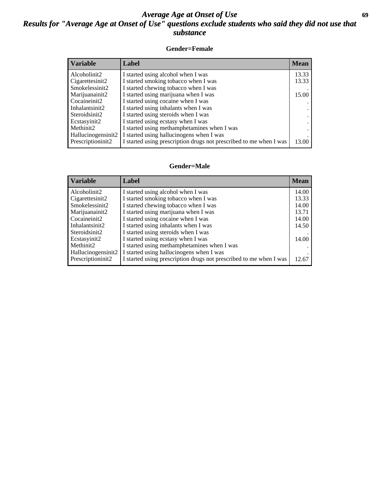### *Average Age at Onset of Use* **69** *Results for "Average Age at Onset of Use" questions exclude students who said they did not use that substance*

### **Gender=Female**

| Variable           | Label                                                              | <b>Mean</b> |
|--------------------|--------------------------------------------------------------------|-------------|
| Alcoholinit2       | I started using alcohol when I was                                 | 13.33       |
| Cigarettesinit2    | I started smoking tobacco when I was                               | 13.33       |
| Smokelessinit2     | I started chewing tobacco when I was                               |             |
| Marijuanainit2     | I started using marijuana when I was                               | 15.00       |
| Cocaineinit2       | I started using cocaine when I was                                 |             |
| Inhalantsinit2     | I started using inhalants when I was                               |             |
| Steroidsinit2      | I started using steroids when I was                                |             |
| Ecstasyinit2       | I started using ecstasy when I was                                 |             |
| Methinit2          | I started using methamphetamines when I was                        |             |
| Hallucinogensinit2 | I started using hallucinogens when I was                           |             |
| Prescription in t2 | I started using prescription drugs not prescribed to me when I was | 13.00       |

#### **Gender=Male**

| <b>Variable</b>                 | Label                                                              | <b>Mean</b> |
|---------------------------------|--------------------------------------------------------------------|-------------|
| Alcoholinit2                    | I started using alcohol when I was                                 | 14.00       |
| Cigarettesinit2                 | I started smoking tobacco when I was                               | 13.33       |
| Smokelessinit2                  | I started chewing tobacco when I was                               | 14.00       |
| Marijuanainit2                  | I started using marijuana when I was                               | 13.71       |
| Cocaineinit2                    | I started using cocaine when I was                                 | 14.00       |
| Inhalantsinit2                  | I started using inhalants when I was                               | 14.50       |
| Steroidsinit2                   | I started using steroids when I was                                |             |
| Ecstasyinit2                    | I started using ecstasy when I was                                 | 14.00       |
| Methinit2                       | I started using methamphetamines when I was                        |             |
| Hallucinogensinit2              | I started using hallucinogens when I was                           |             |
| Prescription in it <sub>2</sub> | I started using prescription drugs not prescribed to me when I was | 12.67       |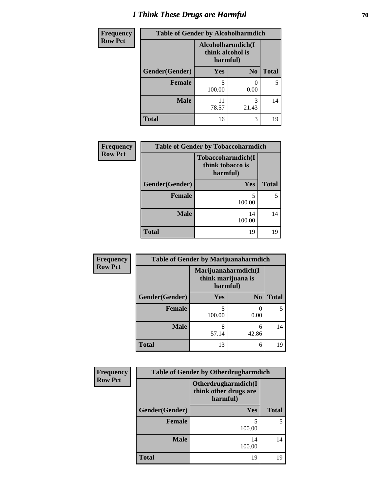# *I Think These Drugs are Harmful* **70**

| Frequency      | <b>Table of Gender by Alcoholharmdich</b> |                                                   |                |              |  |
|----------------|-------------------------------------------|---------------------------------------------------|----------------|--------------|--|
| <b>Row Pct</b> |                                           | Alcoholharmdich(I<br>think alcohol is<br>harmful) |                |              |  |
|                | Gender(Gender)                            | <b>Yes</b>                                        | N <sub>0</sub> | <b>Total</b> |  |
|                | <b>Female</b>                             | 5<br>100.00                                       | 0.00           |              |  |
|                | <b>Male</b>                               | 11<br>78.57                                       | 3<br>21.43     | 14           |  |
|                | <b>Total</b>                              | 16                                                | 3              | 19           |  |

| Frequency      | <b>Table of Gender by Tobaccoharmdich</b> |                                                   |              |  |
|----------------|-------------------------------------------|---------------------------------------------------|--------------|--|
| <b>Row Pct</b> |                                           | Tobaccoharmdich(I<br>think tobacco is<br>harmful) |              |  |
|                | Gender(Gender)                            | Yes                                               | <b>Total</b> |  |
|                | <b>Female</b>                             | 5<br>100.00                                       | 5            |  |
|                | <b>Male</b>                               | 14<br>100.00                                      | 14           |  |
|                | <b>Total</b>                              | 19                                                | 19           |  |

| Frequency      | <b>Table of Gender by Marijuanaharmdich</b> |                                |                       |              |  |
|----------------|---------------------------------------------|--------------------------------|-----------------------|--------------|--|
| <b>Row Pct</b> |                                             | think marijuana is<br>harmful) | Marijuanaharmdich(I   |              |  |
|                | Gender(Gender)                              | <b>Yes</b>                     | N <sub>0</sub>        | <b>Total</b> |  |
|                | <b>Female</b>                               | 100.00                         | $\mathcal{L}$<br>0.00 | 5            |  |
|                | <b>Male</b>                                 | 8<br>57.14                     | 6<br>42.86            | 14           |  |
|                | <b>Total</b>                                | 13                             | 6                     | 19           |  |

| <b>Frequency</b> | <b>Table of Gender by Otherdrugharmdich</b> |                                                          |              |  |  |
|------------------|---------------------------------------------|----------------------------------------------------------|--------------|--|--|
| <b>Row Pct</b>   |                                             | Otherdrugharmdich(I<br>think other drugs are<br>harmful) |              |  |  |
|                  | Gender(Gender)                              | <b>Yes</b>                                               | <b>Total</b> |  |  |
|                  | <b>Female</b>                               | 100.00                                                   | 5            |  |  |
|                  | <b>Male</b>                                 | 14<br>100.00                                             | 14           |  |  |
|                  | <b>Total</b>                                | 19                                                       | 19           |  |  |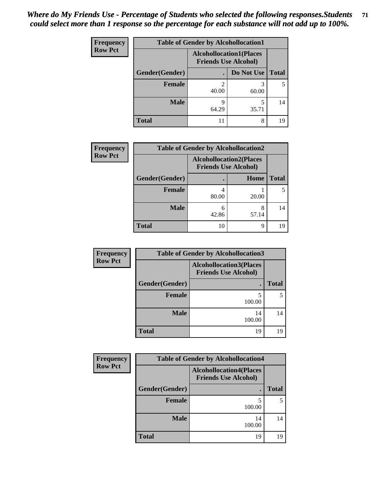| <b>Frequency</b> | <b>Table of Gender by Alcohollocation1</b> |                                                               |            |              |  |
|------------------|--------------------------------------------|---------------------------------------------------------------|------------|--------------|--|
| <b>Row Pct</b>   |                                            | <b>Alcohollocation1(Places</b><br><b>Friends Use Alcohol)</b> |            |              |  |
|                  | Gender(Gender)                             |                                                               | Do Not Use | <b>Total</b> |  |
|                  | <b>Female</b>                              | 40.00                                                         | 60.00      |              |  |
|                  | <b>Male</b>                                | q<br>64.29                                                    | 35.71      | 14           |  |
|                  | <b>Total</b>                               |                                                               | 8          | 19           |  |

| <b>Frequency</b> | <b>Table of Gender by Alcohollocation2</b> |            |                                                               |              |  |
|------------------|--------------------------------------------|------------|---------------------------------------------------------------|--------------|--|
| <b>Row Pct</b>   |                                            |            | <b>Alcohollocation2(Places</b><br><b>Friends Use Alcohol)</b> |              |  |
|                  | Gender(Gender)                             |            | Home                                                          | <b>Total</b> |  |
|                  | <b>Female</b>                              | 80.00      | 20.00                                                         |              |  |
|                  | <b>Male</b>                                | 6<br>42.86 | 57.14                                                         | 14           |  |
|                  | <b>Total</b>                               | 10         | q                                                             | 19           |  |

| <b>Frequency</b> | <b>Table of Gender by Alcohollocation3</b> |                                                               |              |
|------------------|--------------------------------------------|---------------------------------------------------------------|--------------|
| <b>Row Pct</b>   |                                            | <b>Alcohollocation3(Places</b><br><b>Friends Use Alcohol)</b> |              |
|                  | Gender(Gender)                             |                                                               | <b>Total</b> |
|                  | <b>Female</b>                              | 5<br>100.00                                                   |              |
|                  | <b>Male</b>                                | 14<br>100.00                                                  | 14           |
|                  | <b>Total</b>                               | 19                                                            | 19           |

| <b>Frequency</b> | <b>Table of Gender by Alcohollocation4</b> |                                                               |              |  |  |
|------------------|--------------------------------------------|---------------------------------------------------------------|--------------|--|--|
| <b>Row Pct</b>   |                                            | <b>Alcohollocation4(Places</b><br><b>Friends Use Alcohol)</b> |              |  |  |
|                  | Gender(Gender)                             |                                                               | <b>Total</b> |  |  |
|                  | <b>Female</b>                              | 5<br>100.00                                                   |              |  |  |
|                  | <b>Male</b>                                | 14<br>100.00                                                  | 14           |  |  |
|                  | <b>Total</b>                               | 19                                                            | 19           |  |  |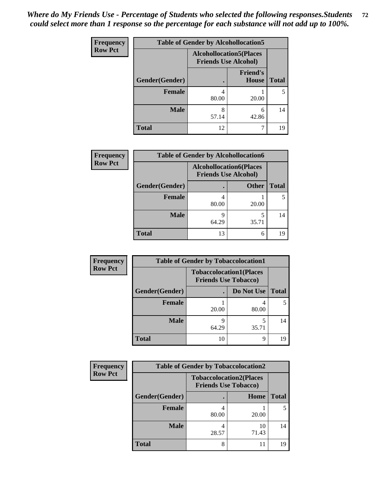| <b>Frequency</b> | <b>Table of Gender by Alcohollocation5</b> |                                                                |                          |              |
|------------------|--------------------------------------------|----------------------------------------------------------------|--------------------------|--------------|
| <b>Row Pct</b>   |                                            | <b>Alcohollocation5</b> (Places<br><b>Friends Use Alcohol)</b> |                          |              |
|                  | Gender(Gender)                             |                                                                | <b>Friend's</b><br>House | <b>Total</b> |
|                  | <b>Female</b>                              | 4<br>80.00                                                     | 20.00                    | 5            |
|                  | <b>Male</b>                                | 8<br>57.14                                                     | 6<br>42.86               | 14           |
|                  | <b>Total</b>                               | 12                                                             |                          | 19           |

| Frequency      | <b>Table of Gender by Alcohollocation6</b> |                                                               |              |              |  |
|----------------|--------------------------------------------|---------------------------------------------------------------|--------------|--------------|--|
| <b>Row Pct</b> |                                            | <b>Alcohollocation6(Places</b><br><b>Friends Use Alcohol)</b> |              |              |  |
|                | Gender(Gender)                             |                                                               | <b>Other</b> | <b>Total</b> |  |
|                | <b>Female</b>                              | 80.00                                                         | 20.00        |              |  |
|                | <b>Male</b>                                | Q<br>64.29                                                    | 35.71        | 14           |  |
|                | <b>Total</b>                               | 13                                                            | 6            | 19           |  |

| Frequency      | <b>Table of Gender by Tobaccolocation1</b> |                                                               |            |              |  |
|----------------|--------------------------------------------|---------------------------------------------------------------|------------|--------------|--|
| <b>Row Pct</b> |                                            | <b>Tobaccolocation1(Places</b><br><b>Friends Use Tobacco)</b> |            |              |  |
|                | Gender(Gender)                             |                                                               | Do Not Use | <b>Total</b> |  |
|                | Female                                     | 20.00                                                         | 80.00      |              |  |
|                | <b>Male</b>                                | 64.29                                                         | 35.71      | 14           |  |
|                | <b>Total</b>                               | 10                                                            | Q          | 19           |  |

| <b>Frequency</b> | <b>Table of Gender by Tobaccolocation2</b> |                                                               |             |              |  |
|------------------|--------------------------------------------|---------------------------------------------------------------|-------------|--------------|--|
| <b>Row Pct</b>   |                                            | <b>Tobaccolocation2(Places</b><br><b>Friends Use Tobacco)</b> |             |              |  |
|                  | Gender(Gender)                             |                                                               | Home        | <b>Total</b> |  |
|                  | Female                                     | 80.00                                                         | 20.00       |              |  |
|                  | <b>Male</b>                                | 28.57                                                         | 10<br>71.43 | 14           |  |
|                  | <b>Total</b>                               |                                                               | 11          | 19           |  |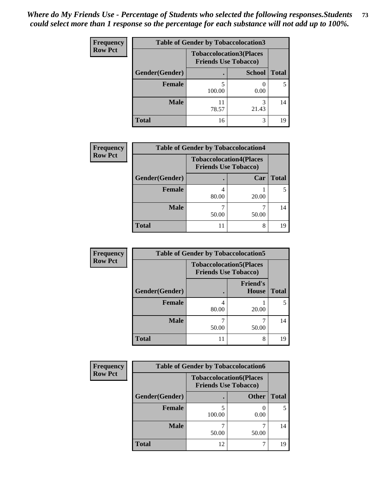| <b>Frequency</b> | <b>Table of Gender by Tobaccolocation3</b> |                                                               |               |              |
|------------------|--------------------------------------------|---------------------------------------------------------------|---------------|--------------|
| <b>Row Pct</b>   |                                            | <b>Tobaccolocation3(Places</b><br><b>Friends Use Tobacco)</b> |               |              |
|                  | Gender(Gender)                             |                                                               | <b>School</b> | <b>Total</b> |
|                  | <b>Female</b>                              | 100.00                                                        | 0.00          |              |
|                  | <b>Male</b>                                | 78.57                                                         | 3<br>21.43    | 14           |
|                  | <b>Total</b>                               | 16                                                            | 3             | 19           |

| <b>Frequency</b> | <b>Table of Gender by Tobaccolocation4</b> |                                                               |       |              |  |
|------------------|--------------------------------------------|---------------------------------------------------------------|-------|--------------|--|
| <b>Row Pct</b>   |                                            | <b>Tobaccolocation4(Places</b><br><b>Friends Use Tobacco)</b> |       |              |  |
|                  | Gender(Gender)                             |                                                               | Car   | <b>Total</b> |  |
|                  | Female                                     | 80.00                                                         | 20.00 |              |  |
|                  | <b>Male</b>                                | 50.00                                                         | 50.00 | 14           |  |
|                  | <b>Total</b>                               | $\mathbf{L}$                                                  | 8     | 19           |  |

| <b>Frequency</b> | <b>Table of Gender by Tobaccolocation5</b> |                                                               |                                 |              |
|------------------|--------------------------------------------|---------------------------------------------------------------|---------------------------------|--------------|
| <b>Row Pct</b>   |                                            | <b>Tobaccolocation5(Places</b><br><b>Friends Use Tobacco)</b> |                                 |              |
|                  | Gender(Gender)                             |                                                               | <b>Friend's</b><br><b>House</b> | <b>Total</b> |
|                  | Female                                     | 80.00                                                         | 20.00                           | 5            |
|                  | <b>Male</b>                                | 50.00                                                         | 50.00                           | 14           |
|                  | <b>Total</b>                               | 11                                                            | 8                               | 19           |

| <b>Frequency</b> | <b>Table of Gender by Tobaccolocation6</b> |                                                               |              |              |  |
|------------------|--------------------------------------------|---------------------------------------------------------------|--------------|--------------|--|
| <b>Row Pct</b>   |                                            | <b>Tobaccolocation6(Places</b><br><b>Friends Use Tobacco)</b> |              |              |  |
|                  | Gender(Gender)                             |                                                               | <b>Other</b> | <b>Total</b> |  |
|                  | Female                                     | 100.00                                                        | 0.00         |              |  |
|                  | <b>Male</b>                                | 50.00                                                         | 50.00        | 14           |  |
|                  | <b>Total</b>                               | 12                                                            |              | 19           |  |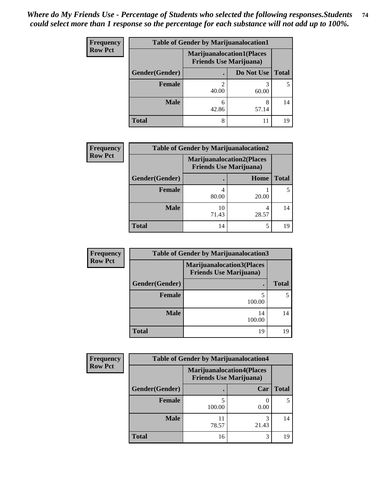| <b>Frequency</b> | <b>Table of Gender by Marijuanalocation1</b> |                                                                    |            |              |
|------------------|----------------------------------------------|--------------------------------------------------------------------|------------|--------------|
| <b>Row Pct</b>   |                                              | <b>Marijuanalocation1(Places</b><br><b>Friends Use Marijuana</b> ) |            |              |
|                  | Gender(Gender)                               |                                                                    | Do Not Use | <b>Total</b> |
|                  | <b>Female</b>                                | 40.00                                                              | 60.00      |              |
|                  | <b>Male</b>                                  | 42.86                                                              | 8<br>57.14 | 14           |
|                  | <b>Total</b>                                 | 8                                                                  | 11         | 19           |

| <b>Frequency</b> | <b>Table of Gender by Marijuanalocation2</b> |                                                                    |            |              |
|------------------|----------------------------------------------|--------------------------------------------------------------------|------------|--------------|
| <b>Row Pct</b>   |                                              | <b>Marijuanalocation2(Places</b><br><b>Friends Use Marijuana</b> ) |            |              |
|                  | Gender(Gender)                               |                                                                    | Home       | <b>Total</b> |
|                  | <b>Female</b>                                | 80.00                                                              | 20.00      |              |
|                  | <b>Male</b>                                  | 10<br>71.43                                                        | 4<br>28.57 | 14           |
|                  | <b>Total</b>                                 | 14                                                                 | 5          | 19           |

| Frequency      |                | <b>Table of Gender by Marijuanalocation3</b>                       |              |
|----------------|----------------|--------------------------------------------------------------------|--------------|
| <b>Row Pct</b> |                | <b>Marijuanalocation3(Places</b><br><b>Friends Use Marijuana</b> ) |              |
|                | Gender(Gender) |                                                                    | <b>Total</b> |
|                | Female         | 100.00                                                             |              |
|                | <b>Male</b>    | 14<br>100.00                                                       | 14           |
|                | <b>Total</b>   | 19                                                                 |              |

| <b>Frequency</b> | <b>Table of Gender by Marijuanalocation4</b> |                                                                    |       |              |
|------------------|----------------------------------------------|--------------------------------------------------------------------|-------|--------------|
| <b>Row Pct</b>   |                                              | <b>Marijuanalocation4(Places</b><br><b>Friends Use Marijuana</b> ) |       |              |
|                  | Gender(Gender)                               |                                                                    | Car   | <b>Total</b> |
|                  | Female                                       | 100.00                                                             | 0.00  |              |
|                  | <b>Male</b>                                  | 11<br>78.57                                                        | 21.43 | 14           |
|                  | <b>Total</b>                                 | 16                                                                 | 3     | 19           |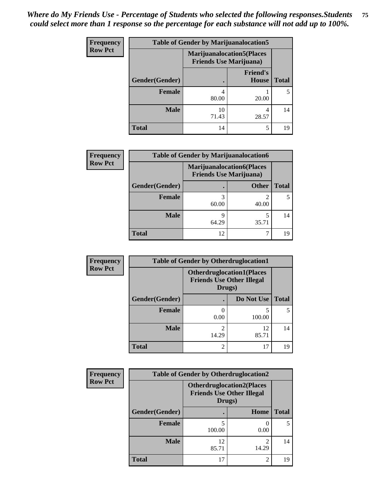| <b>Frequency</b> | <b>Table of Gender by Marijuanalocation5</b> |                                |                                   |              |
|------------------|----------------------------------------------|--------------------------------|-----------------------------------|--------------|
| <b>Row Pct</b>   |                                              | <b>Friends Use Marijuana</b> ) | <b>Marijuanalocation5</b> (Places |              |
|                  | Gender(Gender)                               |                                | <b>Friend's</b><br><b>House</b>   | <b>Total</b> |
|                  | <b>Female</b>                                | 80.00                          | 20.00                             |              |
|                  | <b>Male</b>                                  | 10<br>71.43                    | 4<br>28.57                        | 14           |
|                  | <b>Total</b>                                 | 14                             | 5                                 | 19           |

| <b>Frequency</b> | <b>Table of Gender by Marijuanalocation6</b> |       |                                                                    |              |
|------------------|----------------------------------------------|-------|--------------------------------------------------------------------|--------------|
| <b>Row Pct</b>   |                                              |       | <b>Marijuanalocation6(Places</b><br><b>Friends Use Marijuana</b> ) |              |
|                  | Gender(Gender)                               |       | <b>Other</b>                                                       | <b>Total</b> |
|                  | <b>Female</b>                                | 60.00 | 40.00                                                              |              |
|                  | <b>Male</b>                                  | 64.29 | 35.71                                                              | 14           |
|                  | Total                                        | 12    |                                                                    |              |

| <b>Frequency</b> | <b>Table of Gender by Otherdruglocation1</b> |                                                                                |             |              |
|------------------|----------------------------------------------|--------------------------------------------------------------------------------|-------------|--------------|
| <b>Row Pct</b>   |                                              | <b>Otherdruglocation1(Places</b><br><b>Friends Use Other Illegal</b><br>Drugs) |             |              |
|                  | Gender(Gender)                               |                                                                                | Do Not Use  | <b>Total</b> |
|                  | <b>Female</b>                                | 0.00                                                                           | 5<br>100.00 |              |
|                  | <b>Male</b>                                  | 14.29                                                                          | 12<br>85.71 | 14           |
|                  | <b>Total</b>                                 | 2                                                                              | 17          | 19           |

| Frequency      | <b>Table of Gender by Otherdruglocation2</b> |                                                                                |            |              |
|----------------|----------------------------------------------|--------------------------------------------------------------------------------|------------|--------------|
| <b>Row Pct</b> |                                              | <b>Otherdruglocation2(Places</b><br><b>Friends Use Other Illegal</b><br>Drugs) |            |              |
|                | Gender(Gender)                               |                                                                                | Home       | <b>Total</b> |
|                | Female                                       | 5<br>100.00                                                                    | 0.00       | 5            |
|                | <b>Male</b>                                  | 12<br>85.71                                                                    | ∍<br>14.29 | 14           |
|                | <b>Total</b>                                 | 17                                                                             | 2          | 19           |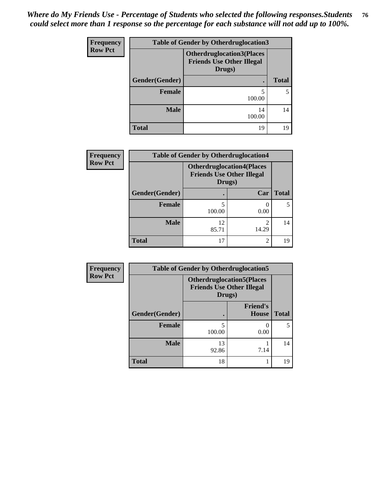| <b>Frequency</b> | <b>Table of Gender by Otherdruglocation3</b> |                                                                                |              |  |
|------------------|----------------------------------------------|--------------------------------------------------------------------------------|--------------|--|
| <b>Row Pct</b>   |                                              | <b>Otherdruglocation3(Places</b><br><b>Friends Use Other Illegal</b><br>Drugs) |              |  |
|                  | Gender(Gender)                               |                                                                                | <b>Total</b> |  |
|                  | Female                                       | 5<br>100.00                                                                    | 5            |  |
|                  | <b>Male</b>                                  | 14<br>100.00                                                                   | 14           |  |
|                  | <b>Total</b>                                 | 19                                                                             | 19           |  |

| Frequency<br><b>Row Pct</b> | <b>Table of Gender by Otherdruglocation4</b> |                                                                                 |                |              |
|-----------------------------|----------------------------------------------|---------------------------------------------------------------------------------|----------------|--------------|
|                             |                                              | <b>Otherdruglocation4(Places)</b><br><b>Friends Use Other Illegal</b><br>Drugs) |                |              |
|                             | Gender(Gender)                               |                                                                                 | Car            | <b>Total</b> |
|                             | <b>Female</b>                                | 100.00                                                                          | 0.00           |              |
|                             | <b>Male</b>                                  | 12<br>85.71                                                                     | 14.29          | 14           |
|                             | Total                                        | 17                                                                              | $\overline{2}$ | 19           |

| Frequency      | <b>Table of Gender by Otherdruglocation5</b> |                                                                                |                                 |              |
|----------------|----------------------------------------------|--------------------------------------------------------------------------------|---------------------------------|--------------|
| <b>Row Pct</b> |                                              | <b>Otherdruglocation5(Places</b><br><b>Friends Use Other Illegal</b><br>Drugs) |                                 |              |
|                | Gender(Gender)                               |                                                                                | <b>Friend's</b><br><b>House</b> | <b>Total</b> |
|                | <b>Female</b>                                | 100.00                                                                         | 0.00                            | 5            |
|                | <b>Male</b>                                  | 13<br>92.86                                                                    | 7.14                            | 14           |
|                | <b>Total</b>                                 | 18                                                                             |                                 | 19           |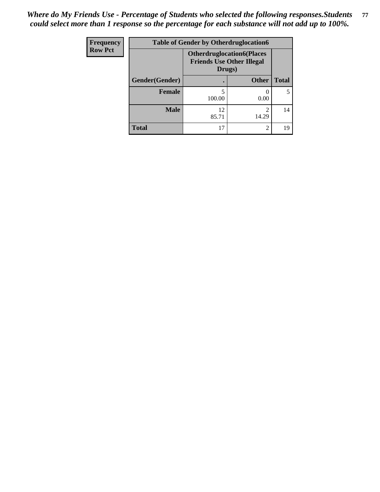| <b>Frequency</b> | <b>Table of Gender by Otherdruglocation6</b> |                                            |                                  |              |
|------------------|----------------------------------------------|--------------------------------------------|----------------------------------|--------------|
| <b>Row Pct</b>   |                                              | <b>Friends Use Other Illegal</b><br>Drugs) | <b>Otherdruglocation6(Places</b> |              |
|                  | Gender(Gender)                               |                                            | <b>Other</b>                     | <b>Total</b> |
|                  | <b>Female</b>                                | 100.00                                     | 0.00                             | 5            |
|                  | <b>Male</b>                                  | 12<br>85.71                                | 14.29                            | 14           |
|                  | <b>Total</b>                                 | 17                                         | 2                                | 19           |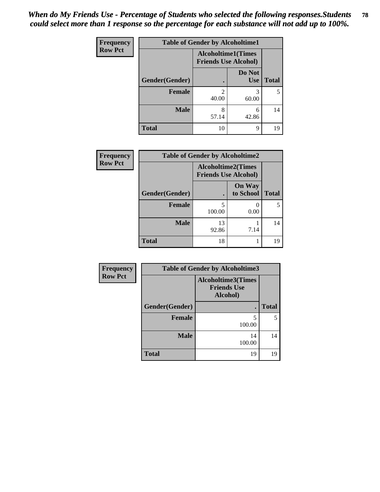| <b>Frequency</b> | <b>Table of Gender by Alcoholtime1</b> |                                                          |                      |              |
|------------------|----------------------------------------|----------------------------------------------------------|----------------------|--------------|
| <b>Row Pct</b>   |                                        | <b>Alcoholtime1(Times</b><br><b>Friends Use Alcohol)</b> |                      |              |
|                  | <b>Gender</b> (Gender)                 | $\bullet$                                                | Do Not<br><b>Use</b> | <b>Total</b> |
|                  | <b>Female</b>                          | $\mathfrak{D}$<br>40.00                                  | 3<br>60.00           | 5            |
|                  | <b>Male</b>                            | 8<br>57.14                                               | 6<br>42.86           | 14           |
|                  | <b>Total</b>                           | 10                                                       | 9                    | 19           |

| <b>Frequency</b> | <b>Table of Gender by Alcoholtime2</b> |                                                          |                            |              |
|------------------|----------------------------------------|----------------------------------------------------------|----------------------------|--------------|
| <b>Row Pct</b>   |                                        | <b>Alcoholtime2(Times</b><br><b>Friends Use Alcohol)</b> |                            |              |
|                  | Gender(Gender)                         |                                                          | <b>On Way</b><br>to School | <b>Total</b> |
|                  | <b>Female</b>                          | 5<br>100.00                                              | 0.00                       | 5.           |
|                  | <b>Male</b>                            | 13<br>92.86                                              | 7.14                       | 14           |
|                  | <b>Total</b>                           | 18                                                       |                            | 19           |

| Frequency      | <b>Table of Gender by Alcoholtime3</b> |                                                             |              |  |  |
|----------------|----------------------------------------|-------------------------------------------------------------|--------------|--|--|
| <b>Row Pct</b> |                                        | <b>Alcoholtime3(Times</b><br><b>Friends Use</b><br>Alcohol) |              |  |  |
|                | Gender(Gender)                         |                                                             | <b>Total</b> |  |  |
|                | <b>Female</b>                          | 5<br>100.00                                                 | 5            |  |  |
|                | <b>Male</b>                            | 14<br>100.00                                                | 14           |  |  |
|                | <b>Total</b>                           | 19                                                          | 19           |  |  |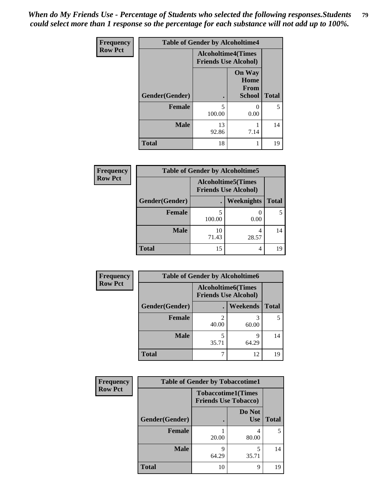*When do My Friends Use - Percentage of Students who selected the following responses.Students could select more than 1 response so the percentage for each substance will not add up to 100%.* **79**

| <b>Frequency</b> |                | <b>Table of Gender by Alcoholtime4</b>                   |                                                |              |
|------------------|----------------|----------------------------------------------------------|------------------------------------------------|--------------|
| <b>Row Pct</b>   |                | <b>Alcoholtime4(Times</b><br><b>Friends Use Alcohol)</b> |                                                |              |
|                  | Gender(Gender) | $\bullet$                                                | <b>On Way</b><br>Home<br>From<br><b>School</b> | <b>Total</b> |
|                  | <b>Female</b>  | 5<br>100.00                                              | 0<br>0.00                                      | 5            |
|                  | <b>Male</b>    | 13<br>92.86                                              | 7.14                                           | 14           |
|                  | <b>Total</b>   | 18                                                       | 1                                              | 19           |

| <b>Frequency</b> | <b>Table of Gender by Alcoholtime5</b> |                                                           |                   |              |
|------------------|----------------------------------------|-----------------------------------------------------------|-------------------|--------------|
| <b>Row Pct</b>   |                                        | <b>Alcoholtime5</b> (Times<br><b>Friends Use Alcohol)</b> |                   |              |
|                  | Gender(Gender)                         |                                                           | <b>Weeknights</b> | <b>Total</b> |
|                  | <b>Female</b>                          | 100.00                                                    | 0.00              | 5            |
|                  | <b>Male</b>                            | 10<br>71.43                                               | 4<br>28.57        | 14           |
|                  | <b>Total</b>                           | 15                                                        | 4                 | 19           |

| <b>Frequency</b> | <b>Table of Gender by Alcoholtime6</b> |            |                                                           |              |  |
|------------------|----------------------------------------|------------|-----------------------------------------------------------|--------------|--|
| <b>Row Pct</b>   |                                        |            | <b>Alcoholtime6</b> (Times<br><b>Friends Use Alcohol)</b> |              |  |
|                  | Gender(Gender)                         |            | Weekends                                                  | <b>Total</b> |  |
|                  | Female                                 | 40.00      | 60.00                                                     | 5            |  |
|                  | <b>Male</b>                            | 5<br>35.71 | q<br>64.29                                                | 14           |  |
|                  | <b>Total</b>                           |            | 12                                                        | 19           |  |

| Frequency      | <b>Table of Gender by Tobaccotime1</b> |                                                          |                      |              |
|----------------|----------------------------------------|----------------------------------------------------------|----------------------|--------------|
| <b>Row Pct</b> |                                        | <b>Tobaccotime1(Times</b><br><b>Friends Use Tobacco)</b> |                      |              |
|                | Gender(Gender)                         |                                                          | Do Not<br><b>Use</b> | <b>Total</b> |
|                | <b>Female</b>                          | 20.00                                                    | 4<br>80.00           | 5            |
|                | <b>Male</b>                            | 9<br>64.29                                               | 35.71                | 14           |
|                | <b>Total</b>                           | 10                                                       | 9                    | 19           |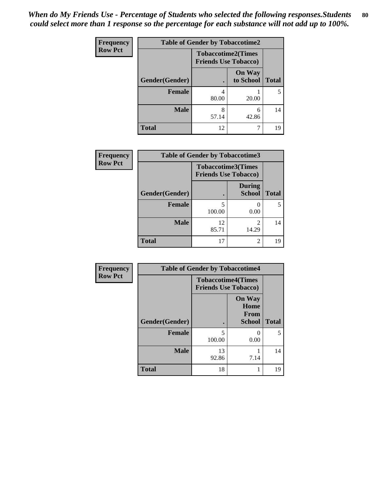| <b>Frequency</b> | <b>Table of Gender by Tobaccotime2</b> |                                                          |                            |              |
|------------------|----------------------------------------|----------------------------------------------------------|----------------------------|--------------|
| <b>Row Pct</b>   |                                        | <b>Tobaccotime2(Times</b><br><b>Friends Use Tobacco)</b> |                            |              |
|                  | Gender(Gender)                         | $\bullet$                                                | <b>On Way</b><br>to School | <b>Total</b> |
|                  | Female                                 | 4<br>80.00                                               | 20.00                      | 5            |
|                  | <b>Male</b>                            | 8<br>57.14                                               | 6<br>42.86                 | 14           |
|                  | <b>Total</b>                           | 12                                                       | ┑                          | 19           |

| Frequency      | <b>Table of Gender by Tobaccotime3</b> |                                                          |                                |              |
|----------------|----------------------------------------|----------------------------------------------------------|--------------------------------|--------------|
| <b>Row Pct</b> |                                        | <b>Tobaccotime3(Times</b><br><b>Friends Use Tobacco)</b> |                                |              |
|                | Gender(Gender)                         |                                                          | <b>During</b><br><b>School</b> | <b>Total</b> |
|                | <b>Female</b>                          | 5<br>100.00                                              | 0.00                           | 5            |
|                | <b>Male</b>                            | 12<br>85.71                                              | 14.29                          | 14           |
|                | <b>Total</b>                           | 17                                                       | 2                              | 19           |

| <b>Frequency</b> | <b>Table of Gender by Tobaccotime4</b> |                                                          |                                                |              |
|------------------|----------------------------------------|----------------------------------------------------------|------------------------------------------------|--------------|
| <b>Row Pct</b>   |                                        | <b>Tobaccotime4(Times</b><br><b>Friends Use Tobacco)</b> |                                                |              |
|                  | Gender(Gender)                         |                                                          | <b>On Way</b><br>Home<br>From<br><b>School</b> | <b>Total</b> |
|                  | <b>Female</b>                          | 5<br>100.00                                              | 0.00                                           | 5            |
|                  | <b>Male</b>                            | 13<br>92.86                                              | 7.14                                           | 14           |
|                  | <b>Total</b>                           | 18                                                       | 1                                              | 19           |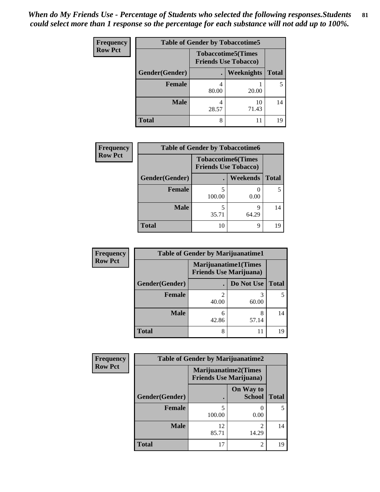| <b>Frequency</b> | <b>Table of Gender by Tobaccotime5</b> |       |                                                          |              |
|------------------|----------------------------------------|-------|----------------------------------------------------------|--------------|
| <b>Row Pct</b>   |                                        |       | <b>Tobaccotime5(Times</b><br><b>Friends Use Tobacco)</b> |              |
|                  | <b>Gender</b> (Gender)                 |       | Weeknights                                               | <b>Total</b> |
|                  | <b>Female</b>                          | 80.00 | 20.00                                                    | 5            |
|                  | <b>Male</b>                            | 28.57 | 10<br>71.43                                              | 14           |
|                  | Total                                  | 8     | 11                                                       | 19           |

| <b>Frequency</b> |                | <b>Table of Gender by Tobaccotime6</b> |                           |              |
|------------------|----------------|----------------------------------------|---------------------------|--------------|
| <b>Row Pct</b>   |                | <b>Friends Use Tobacco)</b>            | <b>Tobaccotime6(Times</b> |              |
|                  | Gender(Gender) |                                        | <b>Weekends</b>           | <b>Total</b> |
|                  | Female         | 5<br>100.00                            | 0.00                      |              |
|                  | <b>Male</b>    | 35.71                                  | 9<br>64.29                | 14           |
|                  | <b>Total</b>   | 10                                     | 9                         | 19           |

| Frequency      | <b>Table of Gender by Marijuanatime1</b> |                                                               |            |              |  |
|----------------|------------------------------------------|---------------------------------------------------------------|------------|--------------|--|
| <b>Row Pct</b> |                                          | <b>Marijuanatime1(Times</b><br><b>Friends Use Marijuana</b> ) |            |              |  |
|                | Gender(Gender)                           |                                                               | Do Not Use | <b>Total</b> |  |
|                | <b>Female</b>                            | 40.00                                                         | 60.00      |              |  |
|                | <b>Male</b>                              | 6<br>42.86                                                    | 8<br>57.14 | 14           |  |
|                | <b>Total</b>                             | 8                                                             | 11         | 19           |  |

| Frequency      | <b>Table of Gender by Marijuanatime2</b> |                                                        |                            |              |
|----------------|------------------------------------------|--------------------------------------------------------|----------------------------|--------------|
| <b>Row Pct</b> |                                          | Marijuanatime2(Times<br><b>Friends Use Marijuana</b> ) |                            |              |
|                | Gender(Gender)                           |                                                        | On Way to<br><b>School</b> | <b>Total</b> |
|                | <b>Female</b>                            | 5<br>100.00                                            | 0.00                       | 5            |
|                | <b>Male</b>                              | 12<br>85.71                                            | $\mathfrak{D}$<br>14.29    | 14           |
|                | <b>Total</b>                             | 17                                                     | $\mathfrak{D}$             | 19           |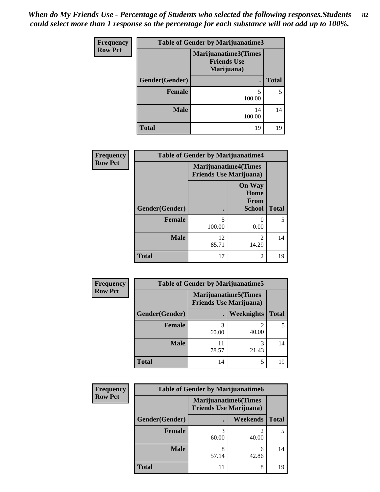| Frequency      | <b>Table of Gender by Marijuanatime3</b> |                                                          |              |  |  |
|----------------|------------------------------------------|----------------------------------------------------------|--------------|--|--|
| <b>Row Pct</b> |                                          | Marijuanatime3(Times<br><b>Friends Use</b><br>Marijuana) |              |  |  |
|                | Gender(Gender)                           | $\blacksquare$                                           | <b>Total</b> |  |  |
|                | <b>Female</b>                            | 5<br>100.00                                              | 5            |  |  |
|                | <b>Male</b>                              | 14<br>100.00                                             | 14           |  |  |
|                | <b>Total</b>                             | 19                                                       | 19           |  |  |

| Frequency      | <b>Table of Gender by Marijuanatime4</b> |                             |                                                       |              |
|----------------|------------------------------------------|-----------------------------|-------------------------------------------------------|--------------|
| <b>Row Pct</b> |                                          | <b>Marijuanatime4(Times</b> | <b>Friends Use Marijuana</b> )                        |              |
|                | Gender(Gender)                           |                             | <b>On Way</b><br>Home<br><b>From</b><br><b>School</b> | <b>Total</b> |
|                | <b>Female</b>                            | 5<br>100.00                 | 0.00                                                  | 5            |
|                | <b>Male</b>                              | 12<br>85.71                 | $\mathfrak{D}$<br>14.29                               | 14           |
|                | <b>Total</b>                             | 17                          | 2                                                     | 19           |

| Frequency      | <b>Table of Gender by Marijuanatime5</b>                       |             |            |              |
|----------------|----------------------------------------------------------------|-------------|------------|--------------|
| <b>Row Pct</b> | <b>Marijuanatime5</b> (Times<br><b>Friends Use Marijuana</b> ) |             |            |              |
|                | Gender(Gender)                                                 |             | Weeknights | <b>Total</b> |
|                | <b>Female</b>                                                  | 60.00       | 40.00      | 5            |
|                | <b>Male</b>                                                    | 11<br>78.57 | 3<br>21.43 | 14           |
|                | <b>Total</b>                                                   | 14          | 5          | 19           |

| Frequency      | <b>Table of Gender by Marijuanatime6</b> |                                                               |                 |              |
|----------------|------------------------------------------|---------------------------------------------------------------|-----------------|--------------|
| <b>Row Pct</b> |                                          | <b>Marijuanatime6(Times</b><br><b>Friends Use Marijuana</b> ) |                 |              |
|                | Gender(Gender)                           |                                                               | <b>Weekends</b> | <b>Total</b> |
|                | <b>Female</b>                            | 60.00                                                         | 40.00           |              |
|                | <b>Male</b>                              | 8<br>57.14                                                    | 6<br>42.86      | 14           |
|                | <b>Total</b>                             |                                                               | 8               | 19           |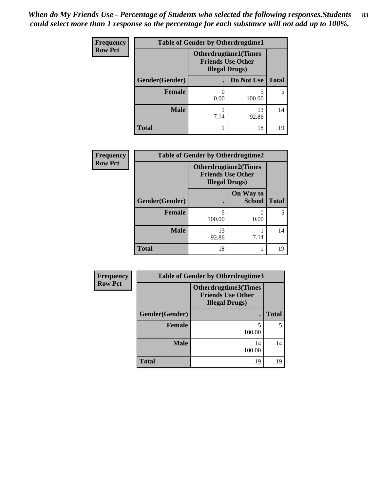| <b>Frequency</b> | <b>Table of Gender by Otherdrugtime1</b> |                        |                                                          |              |
|------------------|------------------------------------------|------------------------|----------------------------------------------------------|--------------|
| <b>Row Pct</b>   |                                          | <b>Illegal Drugs</b> ) | <b>Otherdrugtime1</b> (Times<br><b>Friends Use Other</b> |              |
|                  | Gender(Gender)                           |                        | Do Not Use                                               | <b>Total</b> |
|                  | <b>Female</b>                            | 0.00                   | 100.00                                                   |              |
|                  | <b>Male</b>                              | 7.14                   | 13<br>92.86                                              | 14           |
|                  | <b>Total</b>                             |                        | 18                                                       | 19           |

| Frequency      | <b>Table of Gender by Otherdrugtime2</b> |                                                                                   |                            |              |
|----------------|------------------------------------------|-----------------------------------------------------------------------------------|----------------------------|--------------|
| <b>Row Pct</b> |                                          | <b>Otherdrugtime2(Times</b><br><b>Friends Use Other</b><br><b>Illegal Drugs</b> ) |                            |              |
|                | Gender(Gender)                           |                                                                                   | On Way to<br><b>School</b> | <b>Total</b> |
|                | <b>Female</b>                            | 5<br>100.00                                                                       | 0.00                       |              |
|                | <b>Male</b>                              | 13<br>92.86                                                                       | 7.14                       | 14           |
|                | <b>Total</b>                             | 18                                                                                |                            | 19           |

| Frequency      | Table of Gender by Otherdrugtime3 |                                                                                    |              |  |  |
|----------------|-----------------------------------|------------------------------------------------------------------------------------|--------------|--|--|
| <b>Row Pct</b> |                                   | <b>Otherdrugtime3</b> (Times<br><b>Friends Use Other</b><br><b>Illegal Drugs</b> ) |              |  |  |
|                | Gender(Gender)                    | $\bullet$                                                                          | <b>Total</b> |  |  |
|                | <b>Female</b>                     | 5<br>100.00                                                                        | 5            |  |  |
|                | <b>Male</b>                       | 14<br>100.00                                                                       | 14           |  |  |
|                | <b>Total</b>                      | 19                                                                                 | 19           |  |  |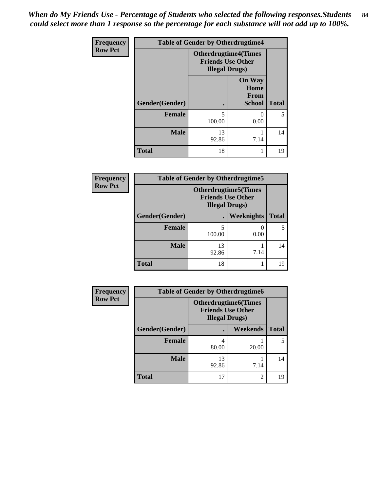*When do My Friends Use - Percentage of Students who selected the following responses.Students could select more than 1 response so the percentage for each substance will not add up to 100%.* **84**

| <b>Frequency</b> | <b>Table of Gender by Otherdrugtime4</b> |                                                                                   |                                                |              |
|------------------|------------------------------------------|-----------------------------------------------------------------------------------|------------------------------------------------|--------------|
| <b>Row Pct</b>   |                                          | <b>Otherdrugtime4(Times</b><br><b>Friends Use Other</b><br><b>Illegal Drugs</b> ) |                                                |              |
|                  | Gender(Gender)                           |                                                                                   | <b>On Way</b><br>Home<br>From<br><b>School</b> | <b>Total</b> |
|                  | Female                                   | $\overline{\phantom{0}}$<br>100.00                                                | 0.00                                           | 5            |
|                  | <b>Male</b>                              | 13<br>92.86                                                                       | 7.14                                           | 14           |
|                  | <b>Total</b>                             | 18                                                                                |                                                | 19           |

| <b>Frequency</b> | <b>Table of Gender by Otherdrugtime5</b> |                                                                                    |            |              |
|------------------|------------------------------------------|------------------------------------------------------------------------------------|------------|--------------|
| <b>Row Pct</b>   |                                          | <b>Otherdrugtime5</b> (Times<br><b>Friends Use Other</b><br><b>Illegal Drugs</b> ) |            |              |
|                  | Gender(Gender)                           |                                                                                    | Weeknights | <b>Total</b> |
|                  | Female                                   | 5<br>100.00                                                                        | 0.00       | 5            |
|                  | <b>Male</b>                              | 13<br>92.86                                                                        | 7.14       | 14           |
|                  | <b>Total</b>                             | 18                                                                                 |            | 19           |

| <b>Frequency</b> |                | <b>Table of Gender by Otherdrugtime6</b>                                          |          |              |
|------------------|----------------|-----------------------------------------------------------------------------------|----------|--------------|
| <b>Row Pct</b>   |                | <b>Otherdrugtime6(Times</b><br><b>Friends Use Other</b><br><b>Illegal Drugs</b> ) |          |              |
|                  | Gender(Gender) |                                                                                   | Weekends | <b>Total</b> |
|                  | <b>Female</b>  | 4<br>80.00                                                                        | 20.00    | 5            |
|                  | <b>Male</b>    | 13<br>92.86                                                                       | 7.14     | 14           |
|                  | <b>Total</b>   | 17                                                                                | 2        | 19           |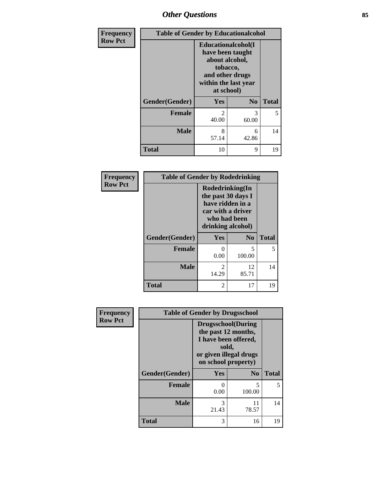# *Other Questions* **85**

| Frequency      | <b>Table of Gender by Educationalcohol</b> |                                                                                                                               |                |              |
|----------------|--------------------------------------------|-------------------------------------------------------------------------------------------------------------------------------|----------------|--------------|
| <b>Row Pct</b> |                                            | Educationalcohol(I<br>have been taught<br>about alcohol,<br>tobacco,<br>and other drugs<br>within the last year<br>at school) |                |              |
|                | Gender(Gender)                             | Yes                                                                                                                           | N <sub>0</sub> | <b>Total</b> |
|                | <b>Female</b>                              | $\mathfrak{D}$<br>40.00                                                                                                       | 3<br>60.00     | 5            |
|                | <b>Male</b>                                | 8<br>57.14                                                                                                                    | 6<br>42.86     | 14           |
|                | <b>Total</b>                               | 10                                                                                                                            | 9              | 19           |

| Frequency      | <b>Table of Gender by Rodedrinking</b> |                                                                                                                     |                |              |
|----------------|----------------------------------------|---------------------------------------------------------------------------------------------------------------------|----------------|--------------|
| <b>Row Pct</b> |                                        | Rodedrinking(In<br>the past 30 days I<br>have ridden in a<br>car with a driver<br>who had been<br>drinking alcohol) |                |              |
|                | Gender(Gender)                         | Yes                                                                                                                 | N <sub>0</sub> | <b>Total</b> |
|                | <b>Female</b>                          | $\mathcal{O}$<br>0.00                                                                                               | 5<br>100.00    | 5            |
|                | <b>Male</b>                            | $\mathfrak{D}$<br>14.29                                                                                             | 12<br>85.71    | 14           |
|                | <b>Total</b>                           | $\mathfrak{D}$                                                                                                      | 17             | 19           |

| Frequency      | <b>Table of Gender by Drugsschool</b> |                                                                                                                                     |                |              |
|----------------|---------------------------------------|-------------------------------------------------------------------------------------------------------------------------------------|----------------|--------------|
| <b>Row Pct</b> |                                       | <b>Drugsschool</b> (During<br>the past 12 months,<br>I have been offered,<br>sold,<br>or given illegal drugs<br>on school property) |                |              |
|                | Gender(Gender)                        | <b>Yes</b>                                                                                                                          | N <sub>0</sub> | <b>Total</b> |
|                | <b>Female</b>                         | 0<br>0.00                                                                                                                           | 5<br>100.00    | 5.           |
|                | <b>Male</b>                           | 3<br>21.43                                                                                                                          | 11<br>78.57    | 14           |
|                | <b>Total</b>                          | 3                                                                                                                                   | 16             | 19           |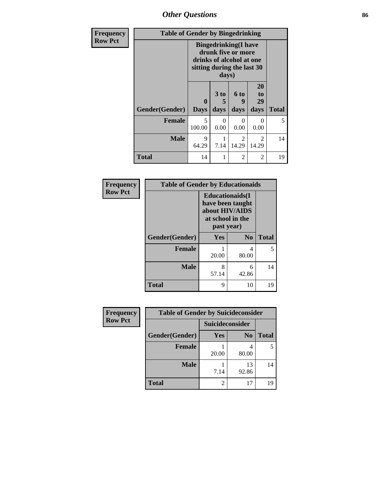*Other Questions* **86**

| <b>Frequency</b> | <b>Table of Gender by Bingedrinking</b> |                                                                                                                       |                              |                         |                         |              |
|------------------|-----------------------------------------|-----------------------------------------------------------------------------------------------------------------------|------------------------------|-------------------------|-------------------------|--------------|
| <b>Row Pct</b>   |                                         | <b>Bingedrinking</b> (I have<br>drunk five or more<br>drinks of alcohol at one<br>sitting during the last 30<br>days) |                              |                         |                         |              |
|                  | Gender(Gender)                          | 0<br><b>Days</b>                                                                                                      | 3 <sub>to</sub><br>5<br>days | 6 to<br>q<br>days       | 20<br>to<br>29<br>days  | <b>Total</b> |
|                  | <b>Female</b>                           | 5<br>100.00                                                                                                           | 0<br>0.00                    | 0<br>0.00               | 0<br>0.00               | 5            |
|                  | <b>Male</b>                             | $\mathbf Q$<br>64.29                                                                                                  | 7.14                         | $\mathfrak{D}$<br>14.29 | $\mathfrak{D}$<br>14.29 | 14           |
|                  | <b>Total</b>                            | 14                                                                                                                    | 1                            | 2                       | 2                       | 19           |

| Frequency      | <b>Table of Gender by Educationaids</b> |                                                                                                 |                |              |
|----------------|-----------------------------------------|-------------------------------------------------------------------------------------------------|----------------|--------------|
| <b>Row Pct</b> |                                         | <b>Educationaids</b> (I<br>have been taught<br>about HIV/AIDS<br>at school in the<br>past year) |                |              |
|                | Gender(Gender)                          | Yes                                                                                             | N <sub>0</sub> | <b>Total</b> |
|                | <b>Female</b>                           | 20.00                                                                                           | 4<br>80.00     | 5            |
|                | <b>Male</b>                             | 8<br>57.14                                                                                      | 6<br>42.86     | 14           |
|                | <b>Total</b>                            | 9                                                                                               | 10             | 19           |

| Frequency      | <b>Table of Gender by Suicideconsider</b> |                 |                |              |  |
|----------------|-------------------------------------------|-----------------|----------------|--------------|--|
| <b>Row Pct</b> |                                           | Suicideconsider |                |              |  |
|                | Gender(Gender)                            | Yes             | N <sub>0</sub> | <b>Total</b> |  |
|                | <b>Female</b>                             | 20.00           | 80.00          |              |  |
|                | <b>Male</b>                               | 7.14            | 13<br>92.86    | 14           |  |
|                | <b>Total</b>                              |                 | 17             | 19           |  |